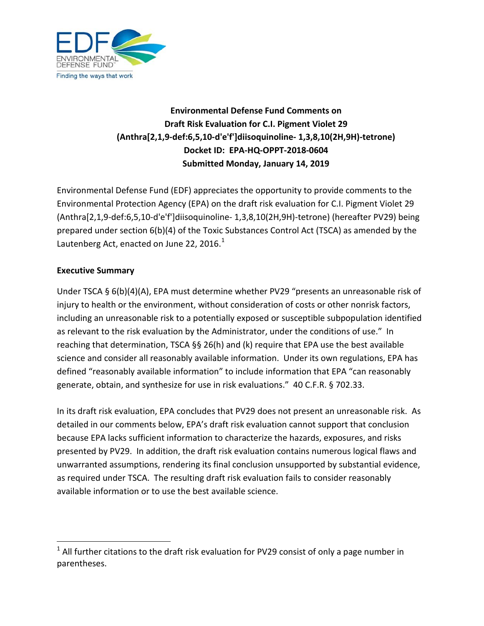

# **Environmental Defense Fund Comments on Draft Risk Evaluation for C.I. Pigment Violet 29 (Anthra[2,1,9-def:6,5,10-d'e'f']diisoquinoline- 1,3,8,10(2H,9H)-tetrone) Docket ID: EPA-HQ-OPPT-2018-0604 Submitted Monday, January 14, 2019**

Environmental Defense Fund (EDF) appreciates the opportunity to provide comments to the Environmental Protection Agency (EPA) on the draft risk evaluation for C.I. Pigment Violet 29 (Anthra[2,1,9-def:6,5,10-d'e'f']diisoquinoline- 1,3,8,10(2H,9H)-tetrone) (hereafter PV29) being prepared under section 6(b)(4) of the Toxic Substances Control Act (TSCA) as amended by the Lautenberg Act, enacted on June 22, 20[1](#page-0-0)6. $^1$ 

#### <span id="page-0-1"></span>**Executive Summary**

Under TSCA § 6(b)(4)(A), EPA must determine whether PV29 "presents an unreasonable risk of injury to health or the environment, without consideration of costs or other nonrisk factors, including an unreasonable risk to a potentially exposed or susceptible subpopulation identified as relevant to the risk evaluation by the Administrator, under the conditions of use." In reaching that determination, TSCA §§ 26(h) and (k) require that EPA use the best available science and consider all reasonably available information. Under its own regulations, EPA has defined "reasonably available information" to include information that EPA "can reasonably generate, obtain, and synthesize for use in risk evaluations." 40 C.F.R. § 702.33.

In its draft risk evaluation, EPA concludes that PV29 does not present an unreasonable risk. As detailed in our comments below, EPA's draft risk evaluation cannot support that conclusion because EPA lacks sufficient information to characterize the hazards, exposures, and risks presented by PV29. In addition, the draft risk evaluation contains numerous logical flaws and unwarranted assumptions, rendering its final conclusion unsupported by substantial evidence, as required under TSCA. The resulting draft risk evaluation fails to consider reasonably available information or to use the best available science.

<span id="page-0-0"></span> $1$  All further citations to the draft risk evaluation for PV29 consist of only a page number in parentheses.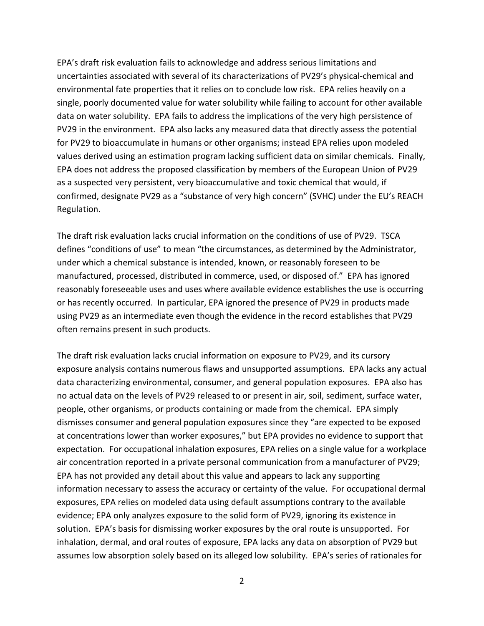EPA's draft risk evaluation fails to acknowledge and address serious limitations and uncertainties associated with several of its characterizations of PV29's physical-chemical and environmental fate properties that it relies on to conclude low risk. EPA relies heavily on a single, poorly documented value for water solubility while failing to account for other available data on water solubility. EPA fails to address the implications of the very high persistence of PV29 in the environment. EPA also lacks any measured data that directly assess the potential for PV29 to bioaccumulate in humans or other organisms; instead EPA relies upon modeled values derived using an estimation program lacking sufficient data on similar chemicals. Finally, EPA does not address the proposed classification by members of the European Union of PV29 as a suspected very persistent, very bioaccumulative and toxic chemical that would, if confirmed, designate PV29 as a "substance of very high concern" (SVHC) under the EU's REACH Regulation.

The draft risk evaluation lacks crucial information on the conditions of use of PV29. TSCA defines "conditions of use" to mean "the circumstances, as determined by the Administrator, under which a chemical substance is intended, known, or reasonably foreseen to be manufactured, processed, distributed in commerce, used, or disposed of." EPA has ignored reasonably foreseeable uses and uses where available evidence establishes the use is occurring or has recently occurred. In particular, EPA ignored the presence of PV29 in products made using PV29 as an intermediate even though the evidence in the record establishes that PV29 often remains present in such products.

The draft risk evaluation lacks crucial information on exposure to PV29, and its cursory exposure analysis contains numerous flaws and unsupported assumptions. EPA lacks any actual data characterizing environmental, consumer, and general population exposures. EPA also has no actual data on the levels of PV29 released to or present in air, soil, sediment, surface water, people, other organisms, or products containing or made from the chemical. EPA simply dismisses consumer and general population exposures since they "are expected to be exposed at concentrations lower than worker exposures," but EPA provides no evidence to support that expectation. For occupational inhalation exposures, EPA relies on a single value for a workplace air concentration reported in a private personal communication from a manufacturer of PV29; EPA has not provided any detail about this value and appears to lack any supporting information necessary to assess the accuracy or certainty of the value. For occupational dermal exposures, EPA relies on modeled data using default assumptions contrary to the available evidence; EPA only analyzes exposure to the solid form of PV29, ignoring its existence in solution. EPA's basis for dismissing worker exposures by the oral route is unsupported. For inhalation, dermal, and oral routes of exposure, EPA lacks any data on absorption of PV29 but assumes low absorption solely based on its alleged low solubility. EPA's series of rationales for

2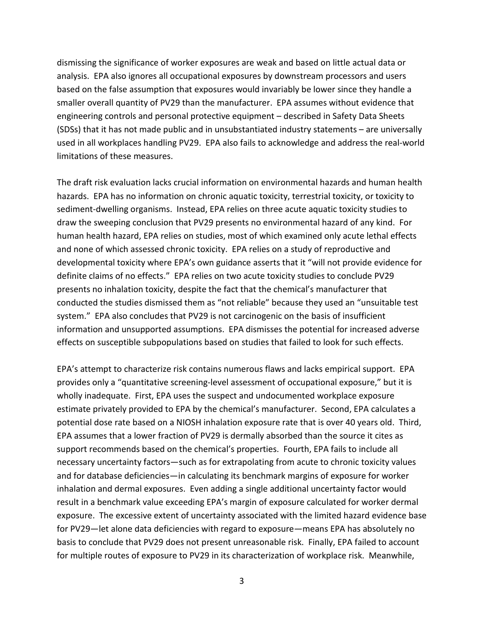dismissing the significance of worker exposures are weak and based on little actual data or analysis. EPA also ignores all occupational exposures by downstream processors and users based on the false assumption that exposures would invariably be lower since they handle a smaller overall quantity of PV29 than the manufacturer. EPA assumes without evidence that engineering controls and personal protective equipment – described in Safety Data Sheets (SDSs) that it has not made public and in unsubstantiated industry statements – are universally used in all workplaces handling PV29. EPA also fails to acknowledge and address the real-world limitations of these measures.

The draft risk evaluation lacks crucial information on environmental hazards and human health hazards. EPA has no information on chronic aquatic toxicity, terrestrial toxicity, or toxicity to sediment-dwelling organisms. Instead, EPA relies on three acute aquatic toxicity studies to draw the sweeping conclusion that PV29 presents no environmental hazard of any kind. For human health hazard, EPA relies on studies, most of which examined only acute lethal effects and none of which assessed chronic toxicity. EPA relies on a study of reproductive and developmental toxicity where EPA's own guidance asserts that it "will not provide evidence for definite claims of no effects." EPA relies on two acute toxicity studies to conclude PV29 presents no inhalation toxicity, despite the fact that the chemical's manufacturer that conducted the studies dismissed them as "not reliable" because they used an "unsuitable test system." EPA also concludes that PV29 is not carcinogenic on the basis of insufficient information and unsupported assumptions. EPA dismisses the potential for increased adverse effects on susceptible subpopulations based on studies that failed to look for such effects.

EPA's attempt to characterize risk contains numerous flaws and lacks empirical support. EPA provides only a "quantitative screening-level assessment of occupational exposure," but it is wholly inadequate. First, EPA uses the suspect and undocumented workplace exposure estimate privately provided to EPA by the chemical's manufacturer. Second, EPA calculates a potential dose rate based on a NIOSH inhalation exposure rate that is over 40 years old. Third, EPA assumes that a lower fraction of PV29 is dermally absorbed than the source it cites as support recommends based on the chemical's properties. Fourth, EPA fails to include all necessary uncertainty factors—such as for extrapolating from acute to chronic toxicity values and for database deficiencies—in calculating its benchmark margins of exposure for worker inhalation and dermal exposures. Even adding a single additional uncertainty factor would result in a benchmark value exceeding EPA's margin of exposure calculated for worker dermal exposure. The excessive extent of uncertainty associated with the limited hazard evidence base for PV29—let alone data deficiencies with regard to exposure—means EPA has absolutely no basis to conclude that PV29 does not present unreasonable risk. Finally, EPA failed to account for multiple routes of exposure to PV29 in its characterization of workplace risk. Meanwhile,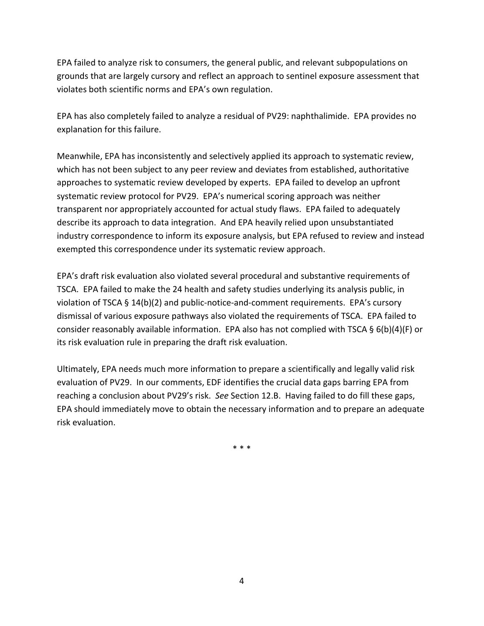EPA failed to analyze risk to consumers, the general public, and relevant subpopulations on grounds that are largely cursory and reflect an approach to sentinel exposure assessment that violates both scientific norms and EPA's own regulation.

EPA has also completely failed to analyze a residual of PV29: naphthalimide. EPA provides no explanation for this failure.

Meanwhile, EPA has inconsistently and selectively applied its approach to systematic review, which has not been subject to any peer review and deviates from established, authoritative approaches to systematic review developed by experts. EPA failed to develop an upfront systematic review protocol for PV29. EPA's numerical scoring approach was neither transparent nor appropriately accounted for actual study flaws. EPA failed to adequately describe its approach to data integration. And EPA heavily relied upon unsubstantiated industry correspondence to inform its exposure analysis, but EPA refused to review and instead exempted this correspondence under its systematic review approach.

EPA's draft risk evaluation also violated several procedural and substantive requirements of TSCA. EPA failed to make the 24 health and safety studies underlying its analysis public, in violation of TSCA § 14(b)(2) and public-notice-and-comment requirements. EPA's cursory dismissal of various exposure pathways also violated the requirements of TSCA. EPA failed to consider reasonably available information. EPA also has not complied with TSCA §  $6(b)(4)(F)$  or its risk evaluation rule in preparing the draft risk evaluation.

Ultimately, EPA needs much more information to prepare a scientifically and legally valid risk evaluation of PV29. In our comments, EDF identifies the crucial data gaps barring EPA from reaching a conclusion about PV29's risk. *See* Section 12.B. Having failed to do fill these gaps, EPA should immediately move to obtain the necessary information and to prepare an adequate risk evaluation.

\* \* \*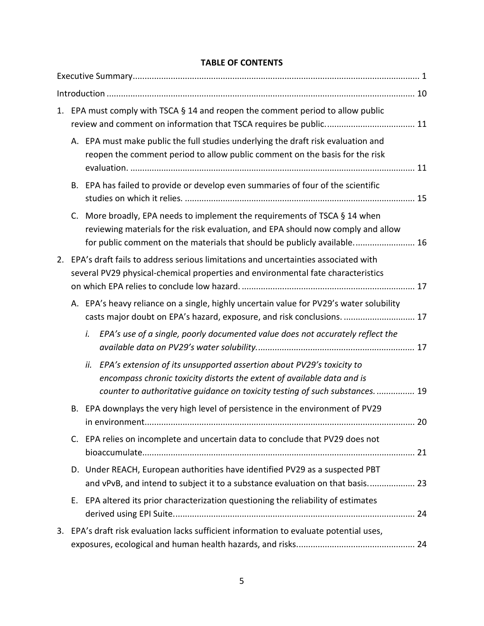## **TABLE OF CONTENTS**

|    | 1. EPA must comply with TSCA § 14 and reopen the comment period to allow public                                                                                                                                                          |    |  |  |  |  |
|----|------------------------------------------------------------------------------------------------------------------------------------------------------------------------------------------------------------------------------------------|----|--|--|--|--|
|    | A. EPA must make public the full studies underlying the draft risk evaluation and<br>reopen the comment period to allow public comment on the basis for the risk                                                                         |    |  |  |  |  |
|    | B. EPA has failed to provide or develop even summaries of four of the scientific                                                                                                                                                         |    |  |  |  |  |
| C. | More broadly, EPA needs to implement the requirements of TSCA § 14 when<br>reviewing materials for the risk evaluation, and EPA should now comply and allow<br>for public comment on the materials that should be publicly available 16  |    |  |  |  |  |
|    | 2. EPA's draft fails to address serious limitations and uncertainties associated with<br>several PV29 physical-chemical properties and environmental fate characteristics                                                                |    |  |  |  |  |
|    | A. EPA's heavy reliance on a single, highly uncertain value for PV29's water solubility<br>casts major doubt on EPA's hazard, exposure, and risk conclusions.  17                                                                        |    |  |  |  |  |
|    | EPA's use of a single, poorly documented value does not accurately reflect the<br>i.                                                                                                                                                     |    |  |  |  |  |
|    | EPA's extension of its unsupported assertion about PV29's toxicity to<br>ii.<br>encompass chronic toxicity distorts the extent of available data and is<br>counter to authoritative guidance on toxicity testing of such substances.  19 |    |  |  |  |  |
| В. | EPA downplays the very high level of persistence in the environment of PV29                                                                                                                                                              | 20 |  |  |  |  |
|    | C. EPA relies on incomplete and uncertain data to conclude that PV29 does not                                                                                                                                                            |    |  |  |  |  |
|    | D. Under REACH, European authorities have identified PV29 as a suspected PBT<br>and vPvB, and intend to subject it to a substance evaluation on that basis 23                                                                            |    |  |  |  |  |
| Е. | EPA altered its prior characterization questioning the reliability of estimates                                                                                                                                                          |    |  |  |  |  |
|    | 3. EPA's draft risk evaluation lacks sufficient information to evaluate potential uses,                                                                                                                                                  |    |  |  |  |  |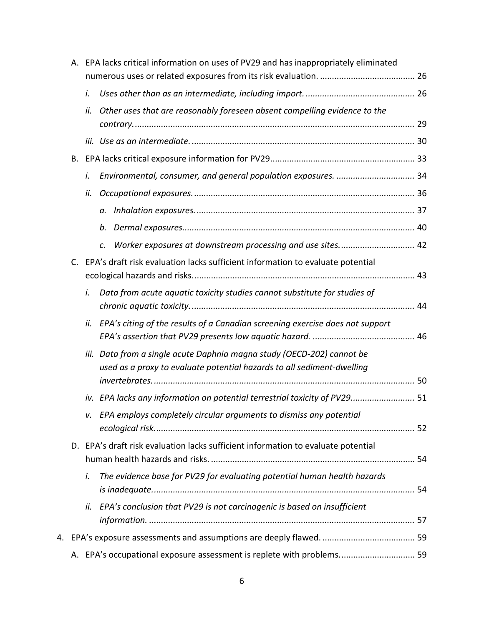|    | А.      |      | EPA lacks critical information on uses of PV29 and has inappropriately eliminated                                                           |  |
|----|---------|------|---------------------------------------------------------------------------------------------------------------------------------------------|--|
|    |         |      |                                                                                                                                             |  |
|    |         | i.   |                                                                                                                                             |  |
|    |         | ii.  | Other uses that are reasonably foreseen absent compelling evidence to the                                                                   |  |
|    |         |      |                                                                                                                                             |  |
|    | В.      |      |                                                                                                                                             |  |
|    |         | i.   | Environmental, consumer, and general population exposures.  34                                                                              |  |
|    |         | ii.  |                                                                                                                                             |  |
|    |         |      | a.                                                                                                                                          |  |
|    |         |      | b.                                                                                                                                          |  |
|    |         |      | Worker exposures at downstream processing and use sites 42<br>c.                                                                            |  |
|    | $C_{1}$ |      | EPA's draft risk evaluation lacks sufficient information to evaluate potential                                                              |  |
|    |         | i.   | Data from acute aquatic toxicity studies cannot substitute for studies of                                                                   |  |
|    |         | ii.  | EPA's citing of the results of a Canadian screening exercise does not support                                                               |  |
|    |         | iii. | Data from a single acute Daphnia magna study (OECD-202) cannot be<br>used as a proxy to evaluate potential hazards to all sediment-dwelling |  |
|    |         |      | iv. EPA lacks any information on potential terrestrial toxicity of PV29 51                                                                  |  |
|    |         |      | v. EPA employs completely circular arguments to dismiss any potential                                                                       |  |
|    |         |      |                                                                                                                                             |  |
|    |         |      | D. EPA's draft risk evaluation lacks sufficient information to evaluate potential                                                           |  |
|    |         | i.   | The evidence base for PV29 for evaluating potential human health hazards                                                                    |  |
|    |         | ii.  | EPA's conclusion that PV29 is not carcinogenic is based on insufficient                                                                     |  |
| 4. |         |      |                                                                                                                                             |  |
|    |         |      | A. EPA's occupational exposure assessment is replete with problems 59                                                                       |  |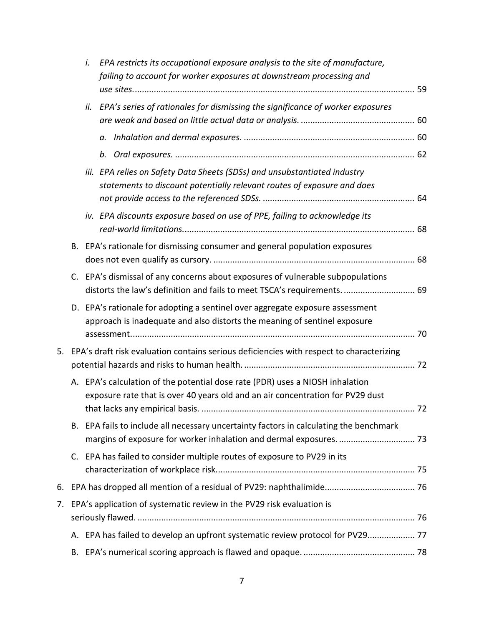|    |             | i.  | EPA restricts its occupational exposure analysis to the site of manufacture,                                                                                    |  |
|----|-------------|-----|-----------------------------------------------------------------------------------------------------------------------------------------------------------------|--|
|    |             |     | failing to account for worker exposures at downstream processing and                                                                                            |  |
|    |             |     |                                                                                                                                                                 |  |
|    |             | ii. | EPA's series of rationales for dismissing the significance of worker exposures                                                                                  |  |
|    |             |     |                                                                                                                                                                 |  |
|    |             |     |                                                                                                                                                                 |  |
|    |             |     | iii. EPA relies on Safety Data Sheets (SDSs) and unsubstantiated industry<br>statements to discount potentially relevant routes of exposure and does            |  |
|    |             |     | iv. EPA discounts exposure based on use of PPE, failing to acknowledge its                                                                                      |  |
|    |             |     | B. EPA's rationale for dismissing consumer and general population exposures                                                                                     |  |
|    | C.          |     | EPA's dismissal of any concerns about exposures of vulnerable subpopulations<br>distorts the law's definition and fails to meet TSCA's requirements.  69        |  |
|    |             |     | D. EPA's rationale for adopting a sentinel over aggregate exposure assessment<br>approach is inadequate and also distorts the meaning of sentinel exposure      |  |
|    |             |     |                                                                                                                                                                 |  |
| 5. |             |     | EPA's draft risk evaluation contains serious deficiencies with respect to characterizing                                                                        |  |
|    |             |     | A. EPA's calculation of the potential dose rate (PDR) uses a NIOSH inhalation<br>exposure rate that is over 40 years old and an air concentration for PV29 dust |  |
|    | В.          |     | EPA fails to include all necessary uncertainty factors in calculating the benchmark                                                                             |  |
|    | $C_{\cdot}$ |     | EPA has failed to consider multiple routes of exposure to PV29 in its                                                                                           |  |
| 6. |             |     |                                                                                                                                                                 |  |
| 7. |             |     | EPA's application of systematic review in the PV29 risk evaluation is                                                                                           |  |
|    |             |     | A. EPA has failed to develop an upfront systematic review protocol for PV29 77                                                                                  |  |
|    |             |     |                                                                                                                                                                 |  |
|    | В.          |     |                                                                                                                                                                 |  |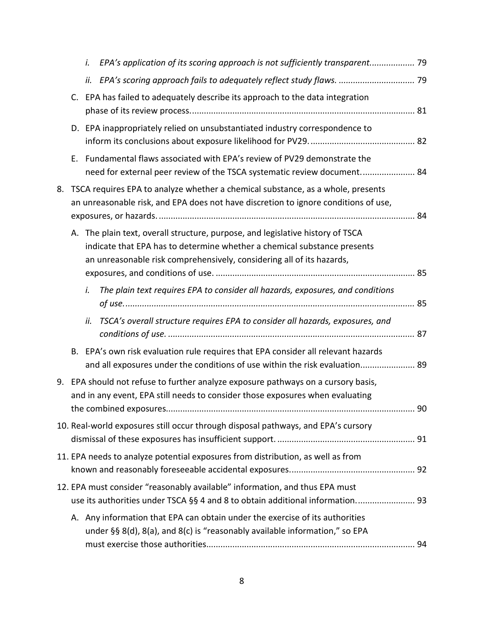|    |    | i.  | EPA's application of its scoring approach is not sufficiently transparent 79                                                                                                                                                        |    |
|----|----|-----|-------------------------------------------------------------------------------------------------------------------------------------------------------------------------------------------------------------------------------------|----|
|    |    | ii. |                                                                                                                                                                                                                                     |    |
|    | C. |     | EPA has failed to adequately describe its approach to the data integration                                                                                                                                                          |    |
|    |    |     | D. EPA inappropriately relied on unsubstantiated industry correspondence to                                                                                                                                                         |    |
|    | Е. |     | Fundamental flaws associated with EPA's review of PV29 demonstrate the<br>need for external peer review of the TSCA systematic review document 84                                                                                   |    |
| 8. |    |     | TSCA requires EPA to analyze whether a chemical substance, as a whole, presents<br>an unreasonable risk, and EPA does not have discretion to ignore conditions of use,                                                              |    |
|    |    |     | A. The plain text, overall structure, purpose, and legislative history of TSCA<br>indicate that EPA has to determine whether a chemical substance presents<br>an unreasonable risk comprehensively, considering all of its hazards, |    |
|    |    | i.  | The plain text requires EPA to consider all hazards, exposures, and conditions                                                                                                                                                      |    |
|    |    | ii. | TSCA's overall structure requires EPA to consider all hazards, exposures, and                                                                                                                                                       |    |
|    |    |     | B. EPA's own risk evaluation rule requires that EPA consider all relevant hazards<br>and all exposures under the conditions of use within the risk evaluation 89                                                                    |    |
| 9. |    |     | EPA should not refuse to further analyze exposure pathways on a cursory basis,<br>and in any event, EPA still needs to consider those exposures when evaluating                                                                     | 90 |
|    |    |     | 10. Real-world exposures still occur through disposal pathways, and EPA's cursory                                                                                                                                                   |    |
|    |    |     | 11. EPA needs to analyze potential exposures from distribution, as well as from                                                                                                                                                     |    |
|    |    |     | 12. EPA must consider "reasonably available" information, and thus EPA must<br>use its authorities under TSCA §§ 4 and 8 to obtain additional information 93                                                                        |    |
|    |    |     | A. Any information that EPA can obtain under the exercise of its authorities<br>under §§ 8(d), 8(a), and 8(c) is "reasonably available information," so EPA                                                                         |    |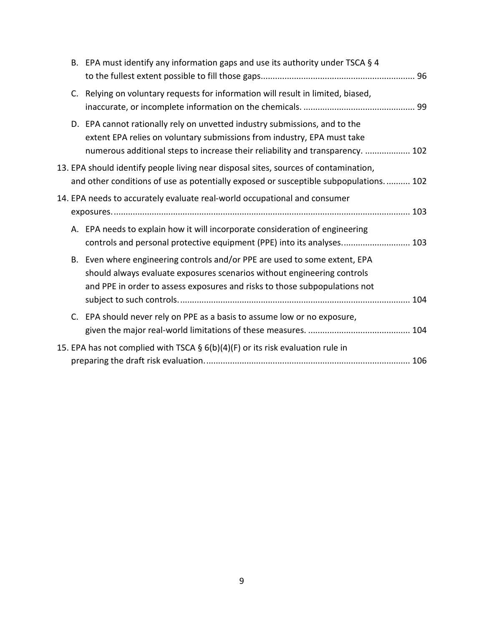|  | B. EPA must identify any information gaps and use its authority under TSCA § 4                                                                                                                                                          |  |
|--|-----------------------------------------------------------------------------------------------------------------------------------------------------------------------------------------------------------------------------------------|--|
|  | C. Relying on voluntary requests for information will result in limited, biased,                                                                                                                                                        |  |
|  | D. EPA cannot rationally rely on unvetted industry submissions, and to the<br>extent EPA relies on voluntary submissions from industry, EPA must take<br>numerous additional steps to increase their reliability and transparency.  102 |  |
|  | 13. EPA should identify people living near disposal sites, sources of contamination,<br>and other conditions of use as potentially exposed or susceptible subpopulations 102                                                            |  |
|  | 14. EPA needs to accurately evaluate real-world occupational and consumer                                                                                                                                                               |  |
|  | A. EPA needs to explain how it will incorporate consideration of engineering<br>controls and personal protective equipment (PPE) into its analyses 103                                                                                  |  |
|  | B. Even where engineering controls and/or PPE are used to some extent, EPA<br>should always evaluate exposures scenarios without engineering controls<br>and PPE in order to assess exposures and risks to those subpopulations not     |  |
|  | C. EPA should never rely on PPE as a basis to assume low or no exposure,                                                                                                                                                                |  |
|  | 15. EPA has not complied with TSCA § 6(b)(4)(F) or its risk evaluation rule in                                                                                                                                                          |  |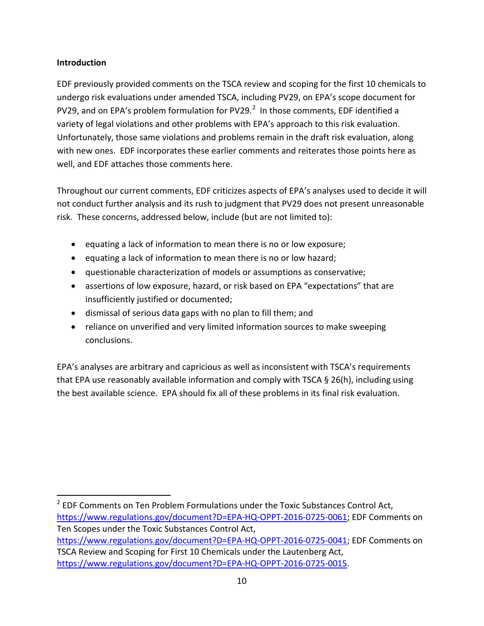#### <span id="page-9-0"></span>**Introduction**

EDF previously provided comments on the TSCA review and scoping for the first 10 chemicals to undergo risk evaluations under amended TSCA, including PV29, on EPA's scope document for PV[2](#page-9-1)9, and on EPA's problem formulation for PV29. $^2$  In those comments, EDF identified a variety of legal violations and other problems with EPA's approach to this risk evaluation. Unfortunately, those same violations and problems remain in the draft risk evaluation, along with new ones. EDF incorporates these earlier comments and reiterates those points here as well, and EDF attaches those comments here.

Throughout our current comments, EDF criticizes aspects of EPA's analyses used to decide it will not conduct further analysis and its rush to judgment that PV29 does not present unreasonable risk. These concerns, addressed below, include (but are not limited to):

- equating a lack of information to mean there is no or low exposure;
- equating a lack of information to mean there is no or low hazard;
- questionable characterization of models or assumptions as conservative;
- assertions of low exposure, hazard, or risk based on EPA "expectations" that are insufficiently justified or documented;
- dismissal of serious data gaps with no plan to fill them; and
- reliance on unverified and very limited information sources to make sweeping conclusions.

EPA's analyses are arbitrary and capricious as well as inconsistent with TSCA's requirements that EPA use reasonably available information and comply with TSCA § 26(h), including using the best available science. EPA should fix all of these problems in its final risk evaluation.

<span id="page-9-1"></span> $2$  EDF Comments on Ten Problem Formulations under the Toxic Substances Control Act, [https://www.regulations.gov/document?D=EPA-HQ-OPPT-2016-0725-0061;](https://www.regulations.gov/document?D=EPA-HQ-OPPT-2016-0725-0061) EDF Comments on Ten Scopes under the Toxic Substances Control Act, [https://www.regulations.gov/document?D=EPA-HQ-OPPT-2016-0725-0041;](https://www.regulations.gov/document?D=EPA-HQ-OPPT-2016-0725-0041) EDF Comments on TSCA Review and Scoping for First 10 Chemicals under the Lautenberg Act, [https://www.regulations.gov/document?D=EPA-HQ-OPPT-2016-0725-0015.](https://www.regulations.gov/document?D=EPA-HQ-OPPT-2016-0725-0015)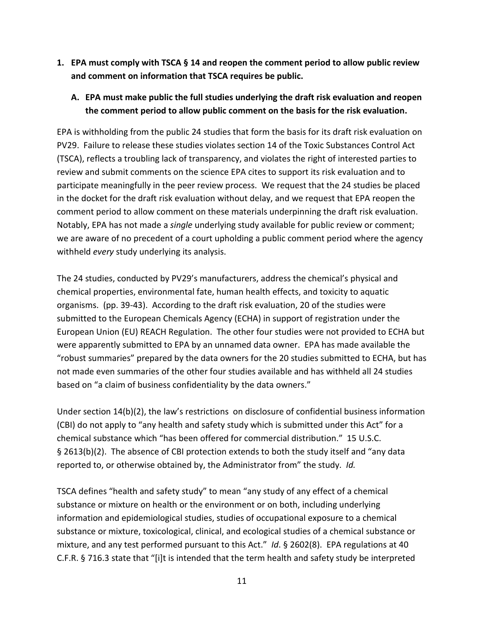<span id="page-10-0"></span>**1. EPA must comply with TSCA § 14 and reopen the comment period to allow public review and comment on information that TSCA requires be public.**

### <span id="page-10-1"></span>**A. EPA must make public the full studies underlying the draft risk evaluation and reopen the comment period to allow public comment on the basis for the risk evaluation.**

EPA is withholding from the public 24 studies that form the basis for its draft risk evaluation on PV29. Failure to release these studies violates section 14 of the Toxic Substances Control Act (TSCA), reflects a troubling lack of transparency, and violates the right of interested parties to review and submit comments on the science EPA cites to support its risk evaluation and to participate meaningfully in the peer review process. We request that the 24 studies be placed in the docket for the draft risk evaluation without delay, and we request that EPA reopen the comment period to allow comment on these materials underpinning the draft risk evaluation. Notably, EPA has not made a *single* underlying study available for public review or comment; we are aware of no precedent of a court upholding a public comment period where the agency withheld *every* study underlying its analysis.

The 24 studies, conducted by PV29's manufacturers, address the chemical's physical and chemical properties, environmental fate, human health effects, and toxicity to aquatic organisms. (pp. 39-43). According to the draft risk evaluation, 20 of the studies were submitted to the European Chemicals Agency (ECHA) in support of registration under the European Union (EU) REACH Regulation. The other four studies were not provided to ECHA but were apparently submitted to EPA by an unnamed data owner. EPA has made available the "robust summaries" prepared by the data owners for the 20 studies submitted to ECHA, but has not made even summaries of the other four studies available and has withheld all 24 studies based on "a claim of business confidentiality by the data owners."

Under section 14(b)(2), the law's restrictions on disclosure of confidential business information (CBI) do not apply to "any health and safety study which is submitted under this Act" for a chemical substance which "has been offered for commercial distribution." 15 U.S.C. § 2613(b)(2). The absence of CBI protection extends to both the study itself and "any data reported to, or otherwise obtained by, the Administrator from" the study. *Id.*

TSCA defines "health and safety study" to mean "any study of any effect of a chemical substance or mixture on health or the environment or on both, including underlying information and epidemiological studies, studies of occupational exposure to a chemical substance or mixture, toxicological, clinical, and ecological studies of a chemical substance or mixture, and any test performed pursuant to this Act." *Id*. § 2602(8). EPA regulations at 40 C.F.R. § 716.3 state that "[i]t is intended that the term health and safety study be interpreted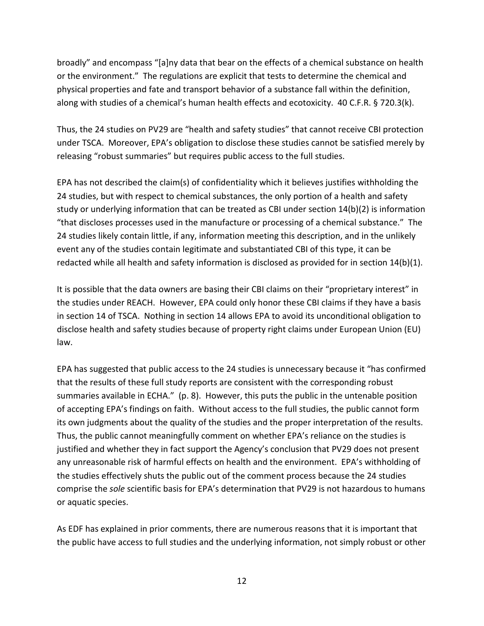broadly" and encompass "[a]ny data that bear on the effects of a chemical substance on health or the environment." The regulations are explicit that tests to determine the chemical and physical properties and fate and transport behavior of a substance fall within the definition, along with studies of a chemical's human health effects and ecotoxicity. 40 C.F.R. § 720.3(k).

Thus, the 24 studies on PV29 are "health and safety studies" that cannot receive CBI protection under TSCA. Moreover, EPA's obligation to disclose these studies cannot be satisfied merely by releasing "robust summaries" but requires public access to the full studies.

EPA has not described the claim(s) of confidentiality which it believes justifies withholding the 24 studies, but with respect to chemical substances, the only portion of a health and safety study or underlying information that can be treated as CBI under section 14(b)(2) is information "that discloses processes used in the manufacture or processing of a chemical substance." The 24 studies likely contain little, if any, information meeting this description, and in the unlikely event any of the studies contain legitimate and substantiated CBI of this type, it can be redacted while all health and safety information is disclosed as provided for in section 14(b)(1).

It is possible that the data owners are basing their CBI claims on their "proprietary interest" in the studies under REACH. However, EPA could only honor these CBI claims if they have a basis in section 14 of TSCA. Nothing in section 14 allows EPA to avoid its unconditional obligation to disclose health and safety studies because of property right claims under European Union (EU) law.

EPA has suggested that public access to the 24 studies is unnecessary because it "has confirmed that the results of these full study reports are consistent with the corresponding robust summaries available in ECHA." (p. 8). However, this puts the public in the untenable position of accepting EPA's findings on faith. Without access to the full studies, the public cannot form its own judgments about the quality of the studies and the proper interpretation of the results. Thus, the public cannot meaningfully comment on whether EPA's reliance on the studies is justified and whether they in fact support the Agency's conclusion that PV29 does not present any unreasonable risk of harmful effects on health and the environment. EPA's withholding of the studies effectively shuts the public out of the comment process because the 24 studies comprise the *sole* scientific basis for EPA's determination that PV29 is not hazardous to humans or aquatic species.

As EDF has explained in prior comments, there are numerous reasons that it is important that the public have access to full studies and the underlying information, not simply robust or other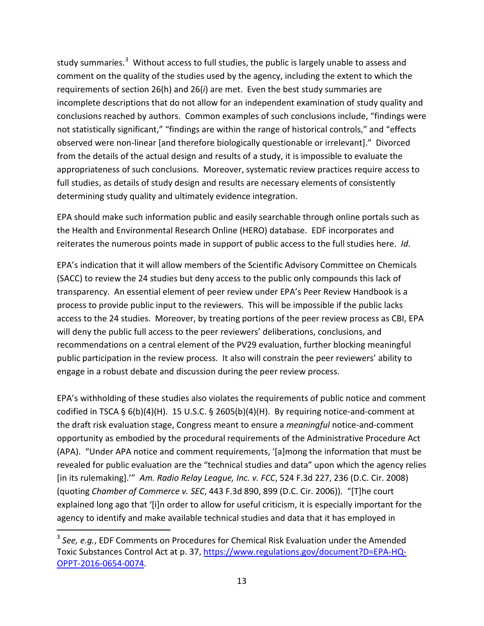study summaries.<sup>[3](#page-12-0)</sup> Without access to full studies, the public is largely unable to assess and comment on the quality of the studies used by the agency, including the extent to which the requirements of section 26(h) and 26(*i*) are met. Even the best study summaries are incomplete descriptions that do not allow for an independent examination of study quality and conclusions reached by authors. Common examples of such conclusions include, "findings were not statistically significant," "findings are within the range of historical controls," and "effects observed were non-linear [and therefore biologically questionable or irrelevant]." Divorced from the details of the actual design and results of a study, it is impossible to evaluate the appropriateness of such conclusions. Moreover, systematic review practices require access to full studies, as details of study design and results are necessary elements of consistently determining study quality and ultimately evidence integration.

EPA should make such information public and easily searchable through online portals such as the Health and Environmental Research Online (HERO) database. EDF incorporates and reiterates the numerous points made in support of public access to the full studies here. *Id*.

EPA's indication that it will allow members of the Scientific Advisory Committee on Chemicals (SACC) to review the 24 studies but deny access to the public only compounds this lack of transparency. An essential element of peer review under EPA's Peer Review Handbook is a process to provide public input to the reviewers. This will be impossible if the public lacks access to the 24 studies. Moreover, by treating portions of the peer review process as CBI, EPA will deny the public full access to the peer reviewers' deliberations, conclusions, and recommendations on a central element of the PV29 evaluation, further blocking meaningful public participation in the review process. It also will constrain the peer reviewers' ability to engage in a robust debate and discussion during the peer review process.

EPA's withholding of these studies also violates the requirements of public notice and comment codified in TSCA §  $6(b)(4)(H)$ . 15 U.S.C. § 2605(b)(4)(H). By requiring notice-and-comment at the draft risk evaluation stage, Congress meant to ensure a *meaningful* notice-and-comment opportunity as embodied by the procedural requirements of the Administrative Procedure Act (APA). "Under APA notice and comment requirements, '[a]mong the information that must be revealed for public evaluation are the "technical studies and data" upon which the agency relies [in its rulemaking].'" *Am. Radio Relay League, Inc. v. FCC*, 524 F.3d 227, 236 (D.C. Cir. 2008) (quoting *Chamber of Commerce v. SEC*, 443 F.3d 890, 899 (D.C. Cir. 2006)). "[T]he court explained long ago that '[i]n order to allow for useful criticism, it is especially important for the agency to identify and make available technical studies and data that it has employed in

<span id="page-12-0"></span> <sup>3</sup> *See, e.g.*, EDF Comments on Procedures for Chemical Risk Evaluation under the Amended Toxic Substances Control Act at p. 37, [https://www.regulations.gov/document?D=EPA-HQ-](https://www.regulations.gov/document?D=EPA-HQ-OPPT-2016-0654-0074)[OPPT-2016-0654-0074.](https://www.regulations.gov/document?D=EPA-HQ-OPPT-2016-0654-0074)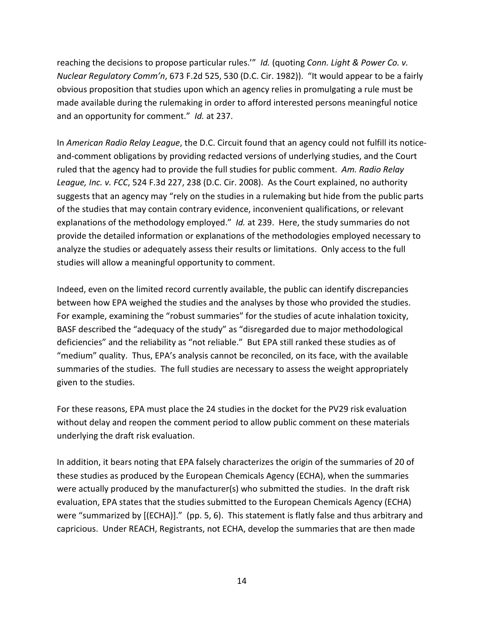reaching the decisions to propose particular rules.'" *Id.* (quoting *Conn. Light & Power Co. v. Nuclear Regulatory Comm'n*, 673 F.2d 525, 530 (D.C. Cir. 1982)). "It would appear to be a fairly obvious proposition that studies upon which an agency relies in promulgating a rule must be made available during the rulemaking in order to afford interested persons meaningful notice and an opportunity for comment." *Id.* at 237.

In *American Radio Relay League*, the D.C. Circuit found that an agency could not fulfill its noticeand-comment obligations by providing redacted versions of underlying studies, and the Court ruled that the agency had to provide the full studies for public comment. *Am. Radio Relay League, Inc. v. FCC*, 524 F.3d 227, 238 (D.C. Cir. 2008). As the Court explained, no authority suggests that an agency may "rely on the studies in a rulemaking but hide from the public parts of the studies that may contain contrary evidence, inconvenient qualifications, or relevant explanations of the methodology employed." *Id.* at 239. Here, the study summaries do not provide the detailed information or explanations of the methodologies employed necessary to analyze the studies or adequately assess their results or limitations. Only access to the full studies will allow a meaningful opportunity to comment.

Indeed, even on the limited record currently available, the public can identify discrepancies between how EPA weighed the studies and the analyses by those who provided the studies. For example, examining the "robust summaries" for the studies of acute inhalation toxicity, BASF described the "adequacy of the study" as "disregarded due to major methodological deficiencies" and the reliability as "not reliable." But EPA still ranked these studies as of "medium" quality. Thus, EPA's analysis cannot be reconciled, on its face, with the available summaries of the studies. The full studies are necessary to assess the weight appropriately given to the studies.

For these reasons, EPA must place the 24 studies in the docket for the PV29 risk evaluation without delay and reopen the comment period to allow public comment on these materials underlying the draft risk evaluation.

In addition, it bears noting that EPA falsely characterizes the origin of the summaries of 20 of these studies as produced by the European Chemicals Agency (ECHA), when the summaries were actually produced by the manufacturer(s) who submitted the studies. In the draft risk evaluation, EPA states that the studies submitted to the European Chemicals Agency (ECHA) were "summarized by [(ECHA)]." (pp. 5, 6). This statement is flatly false and thus arbitrary and capricious. Under REACH, [Registrants, not ECHA, develop the summaries](https://echa.europa.eu/documents/10162/13643/pg_report_robust_study_summaries_en.pdf/1e8302c3-98b7-4a50-aa22-f6f02ca54352) that are then made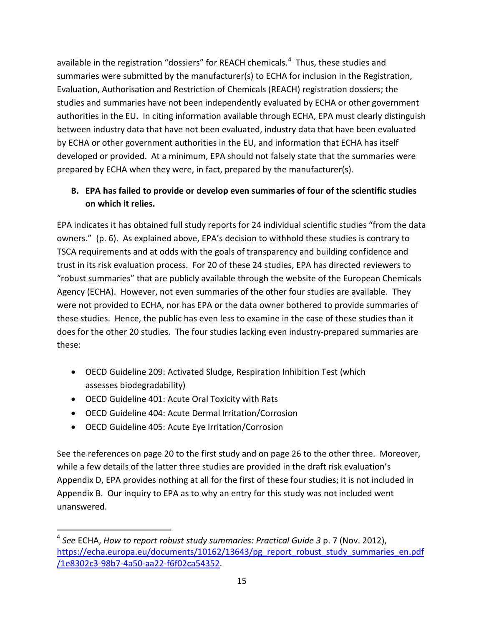available in the registration "dossiers" for REACH chemicals.<sup>[4](#page-14-1)</sup> Thus, these studies and summaries were submitted by the manufacturer(s) to ECHA for inclusion in the Registration, Evaluation, Authorisation and Restriction of Chemicals (REACH) registration dossiers; the studies and summaries have not been independently evaluated by ECHA or other government authorities in the EU. In citing information available through ECHA, EPA must clearly distinguish between industry data that have not been evaluated, industry data that have been evaluated by ECHA or other government authorities in the EU, and information that ECHA has itself developed or provided. At a minimum, EPA should not falsely state that the summaries were prepared by ECHA when they were, in fact, prepared by the manufacturer(s).

## <span id="page-14-0"></span>**B. EPA has failed to provide or develop even summaries of four of the scientific studies on which it relies.**

EPA indicates it has obtained full study reports for 24 individual scientific studies "from the data owners." (p. 6). As explained above, EPA's decision to withhold these studies is contrary to TSCA requirements and at odds with the goals of transparency and building confidence and trust in its risk evaluation process. For 20 of these 24 studies, EPA has directed reviewers to "robust summaries" that are publicly available through the website of the European Chemicals Agency (ECHA). However, not even summaries of the other four studies are available. They were not provided to ECHA, nor has EPA or the data owner bothered to provide summaries of these studies. Hence, the public has even less to examine in the case of these studies than it does for the other 20 studies. The four studies lacking even industry-prepared summaries are these:

- OECD Guideline 209: Activated Sludge, Respiration Inhibition Test (which assesses biodegradability)
- OECD Guideline 401: Acute Oral Toxicity with Rats
- OECD Guideline 404: Acute Dermal Irritation/Corrosion
- OECD Guideline 405: Acute Eye Irritation/Corrosion

See the references on page 20 to the first study and on page 26 to the other three. Moreover, while a few details of the latter three studies are provided in the draft risk evaluation's Appendix D, EPA provides nothing at all for the first of these four studies; it is not included in Appendix B. Our inquiry to EPA as to why an entry for this study was not included went unanswered.

<span id="page-14-1"></span> <sup>4</sup> *See* ECHA, *How to report robust study summaries: Practical Guide 3* p. 7 (Nov. 2012), [https://echa.europa.eu/documents/10162/13643/pg\\_report\\_robust\\_study\\_summaries\\_en.pdf](https://echa.europa.eu/documents/10162/13643/pg_report_robust_study_summaries_en.pdf/1e8302c3-98b7-4a50-aa22-f6f02ca54352) [/1e8302c3-98b7-4a50-aa22-f6f02ca54352.](https://echa.europa.eu/documents/10162/13643/pg_report_robust_study_summaries_en.pdf/1e8302c3-98b7-4a50-aa22-f6f02ca54352)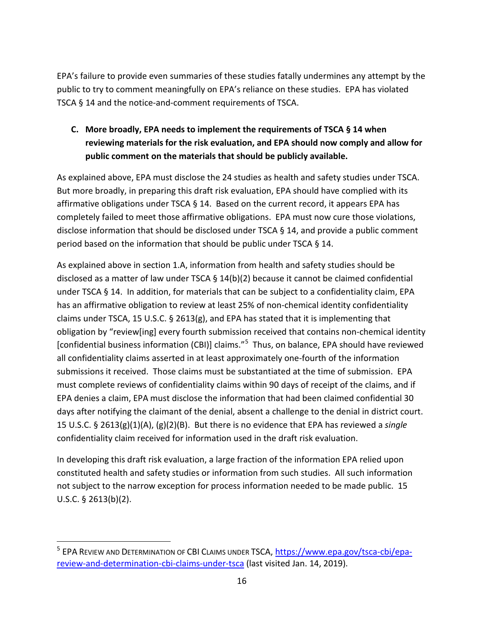EPA's failure to provide even summaries of these studies fatally undermines any attempt by the public to try to comment meaningfully on EPA's reliance on these studies. EPA has violated TSCA § 14 and the notice-and-comment requirements of TSCA.

## <span id="page-15-0"></span>**C. More broadly, EPA needs to implement the requirements of TSCA § 14 when reviewing materials for the risk evaluation, and EPA should now comply and allow for public comment on the materials that should be publicly available.**

As explained above, EPA must disclose the 24 studies as health and safety studies under TSCA. But more broadly, in preparing this draft risk evaluation, EPA should have complied with its affirmative obligations under TSCA § 14. Based on the current record, it appears EPA has completely failed to meet those affirmative obligations. EPA must now cure those violations, disclose information that should be disclosed under TSCA § 14, and provide a public comment period based on the information that should be public under TSCA § 14.

As explained above in section 1.A, information from health and safety studies should be disclosed as a matter of law under TSCA  $\S$  14(b)(2) because it cannot be claimed confidential under TSCA § 14. In addition, for materials that can be subject to a confidentiality claim, EPA has an affirmative obligation to review at least 25% of non-chemical identity confidentiality claims under TSCA, 15 U.S.C. § 2613(g), and EPA has stated that it is implementing that obligation by "review[ing] every fourth submission received that contains non-chemical identity [confidential business information (CBI)] claims."<sup>[5](#page-15-1)</sup> Thus, on balance, EPA should have reviewed all confidentiality claims asserted in at least approximately one-fourth of the information submissions it received. Those claims must be substantiated at the time of submission. EPA must complete reviews of confidentiality claims within 90 days of receipt of the claims, and if EPA denies a claim, EPA must disclose the information that had been claimed confidential 30 days after notifying the claimant of the denial, absent a challenge to the denial in district court. 15 U.S.C. § 2613(g)(1)(A), (g)(2)(B). But there is no evidence that EPA has reviewed a *single* confidentiality claim received for information used in the draft risk evaluation.

In developing this draft risk evaluation, a large fraction of the information EPA relied upon constituted health and safety studies or information from such studies. All such information not subject to the narrow exception for process information needed to be made public. 15 U.S.C. § 2613(b)(2).

<span id="page-15-1"></span><sup>&</sup>lt;sup>5</sup> EPA REVIEW AND DETERMINATION OF CBI CLAIMS UNDER TSCA, [https://www.epa.gov/tsca-cbi/epa](https://www.epa.gov/tsca-cbi/epa-review-and-determination-cbi-claims-under-tsca)[review-and-determination-cbi-claims-under-tsca](https://www.epa.gov/tsca-cbi/epa-review-and-determination-cbi-claims-under-tsca) (last visited Jan. 14, 2019).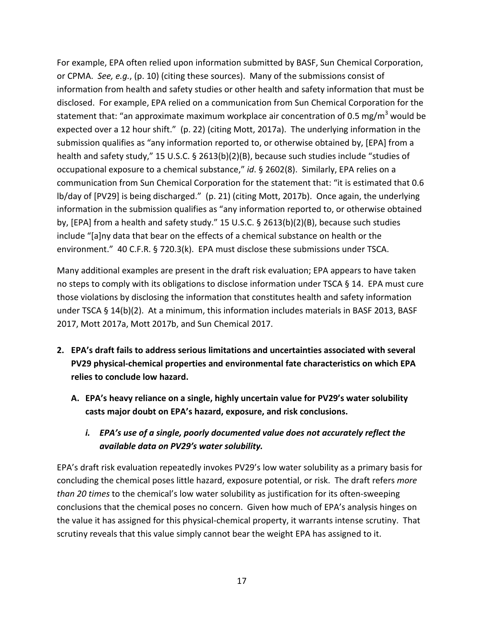For example, EPA often relied upon information submitted by BASF, Sun Chemical Corporation, or CPMA. *See, e.g.*, (p. 10) (citing these sources). Many of the submissions consist of information from health and safety studies or other health and safety information that must be disclosed. For example, EPA relied on a communication from Sun Chemical Corporation for the statement that: "an approximate maximum workplace air concentration of 0.5 mg/m<sup>3</sup> would be expected over a 12 hour shift." (p. 22) (citing Mott, 2017a). The underlying information in the submission qualifies as "any information reported to, or otherwise obtained by, [EPA] from a health and safety study," 15 U.S.C. § 2613(b)(2)(B), because such studies include "studies of occupational exposure to a chemical substance," *id*. § 2602(8). Similarly, EPA relies on a communication from Sun Chemical Corporation for the statement that: "it is estimated that 0.6 lb/day of [PV29] is being discharged." (p. 21) (citing Mott, 2017b). Once again, the underlying information in the submission qualifies as "any information reported to, or otherwise obtained by, [EPA] from a health and safety study." 15 U.S.C. § 2613(b)(2)(B), because such studies include "[a]ny data that bear on the effects of a chemical substance on health or the environment." 40 C.F.R. § 720.3(k). EPA must disclose these submissions under TSCA.

Many additional examples are present in the draft risk evaluation; EPA appears to have taken no steps to comply with its obligations to disclose information under TSCA § 14. EPA must cure those violations by disclosing the information that constitutes health and safety information under TSCA § 14(b)(2). At a minimum, this information includes materials in BASF 2013, BASF 2017, Mott 2017a, Mott 2017b, and Sun Chemical 2017.

- <span id="page-16-1"></span><span id="page-16-0"></span>**2. EPA's draft fails to address serious limitations and uncertainties associated with several PV29 physical-chemical properties and environmental fate characteristics on which EPA relies to conclude low hazard.**
	- **A. EPA's heavy reliance on a single, highly uncertain value for PV29's water solubility casts major doubt on EPA's hazard, exposure, and risk conclusions.**
		- *i. EPA's use of a single, poorly documented value does not accurately reflect the available data on PV29's water solubility.*

<span id="page-16-2"></span>EPA's draft risk evaluation repeatedly invokes PV29's low water solubility as a primary basis for concluding the chemical poses little hazard, exposure potential, or risk. The draft refers *more than 20 times* to the chemical's low water solubility as justification for its often-sweeping conclusions that the chemical poses no concern. Given how much of EPA's analysis hinges on the value it has assigned for this physical-chemical property, it warrants intense scrutiny. That scrutiny reveals that this value simply cannot bear the weight EPA has assigned to it.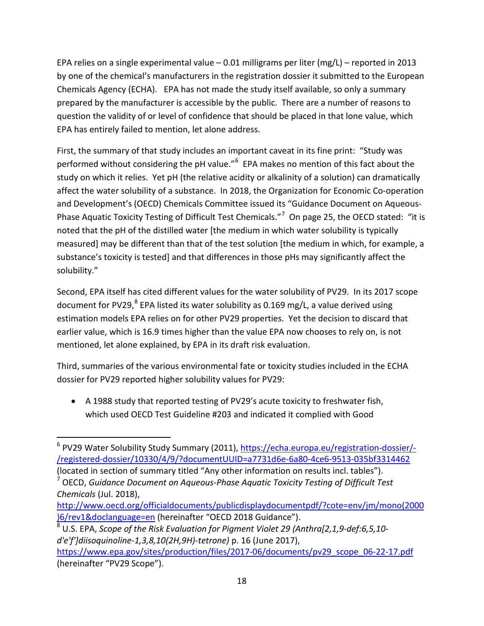EPA relies on a single experimental value – 0.01 milligrams per liter (mg/L) – reported in 2013 by one of the chemical's manufacturers in the registration dossier it submitted to the European Chemicals Agency (ECHA). EPA has not made the study itself available, so only a summary prepared by the manufacturer is accessible by the public. There are a number of reasons to question the validity of or level of confidence that should be placed in that lone value, which EPA has entirely failed to mention, let alone address.

First, the summary of that study includes an important caveat in its fine print: "Study was performed without considering the pH value."<sup>[6](#page-17-0)</sup> EPA makes no mention of this fact about the study on which it relies. Yet pH (the relative acidity or alkalinity of a solution) can dramatically affect the water solubility of a substance. In 2018, the Organization for Economic Co-operation and Development's (OECD) Chemicals Committee issued its "Guidance Document on Aqueous-Phase Aquatic Toxicity Testing of Difficult Test Chemicals."[7](#page-17-1) On page 25, the OECD stated: "it is noted that the pH of the distilled water [the medium in which water solubility is typically measured] may be different than that of the test solution [the medium in which, for example, a substance's toxicity is tested] and that differences in those pHs may significantly affect the solubility."

Second, EPA itself has cited different values for the water solubility of PV29. In its 2017 scope document for PV29, $^8$  $^8$  EPA listed its water solubility as 0.169 mg/L, a value derived using estimation models EPA relies on for other PV29 properties. Yet the decision to discard that earlier value, which is 16.9 times higher than the value EPA now chooses to rely on, is not mentioned, let alone explained, by EPA in its draft risk evaluation.

Third, summaries of the various environmental fate or toxicity studies included in the ECHA dossier for PV29 reported higher solubility values for PV29:

• A 1988 study that reported testing of PV29's acute toxicity to freshwater fish, which used OECD Test Guideline #203 and indicated it complied with Good

<span id="page-17-1"></span><sup>7</sup> OECD, *Guidance Document on Aqueous-Phase Aquatic Toxicity Testing of Difficult Test Chemicals* (Jul. 2018),

<span id="page-17-2"></span><sup>8</sup> U.S. EPA, *Scope of the Risk Evaluation for Pigment Violet 29 (Anthra[2,1,9-def:6,5,10 d'e'f']diisoquinoline-1,3,8,10(2H,9H)-tetrone)* p. 16 (June 2017), [https://www.epa.gov/sites/production/files/2017-06/documents/pv29\\_scope\\_06-22-17.pdf](https://www.epa.gov/sites/production/files/2017-06/documents/pv29_scope_06-22-17.pdf) (hereinafter "PV29 Scope").

<span id="page-17-0"></span><sup>&</sup>lt;sup>6</sup> PV29 Water Solubility Study Summary (2011), [https://echa.europa.eu/registration-dossier/-](https://echa.europa.eu/registration-dossier/-/registered-dossier/10330/4/9/?documentUUID=a7731d6e-6a80-4ce6-9513-035bf3314462) [/registered-dossier/10330/4/9/?documentUUID=a7731d6e-6a80-4ce6-9513-035bf3314462](https://echa.europa.eu/registration-dossier/-/registered-dossier/10330/4/9/?documentUUID=a7731d6e-6a80-4ce6-9513-035bf3314462)

<sup>(</sup>located in section of summary titled "Any other information on results incl. tables").

[http://www.oecd.org/officialdocuments/publicdisplaydocumentpdf/?cote=env/jm/mono\(2000](http://www.oecd.org/officialdocuments/publicdisplaydocumentpdf/?cote=env/jm/mono(2000)6/rev1&doclanguage=en) [\)6/rev1&doclanguage=en](http://www.oecd.org/officialdocuments/publicdisplaydocumentpdf/?cote=env/jm/mono(2000)6/rev1&doclanguage=en) (hereinafter "OECD 2018 Guidance").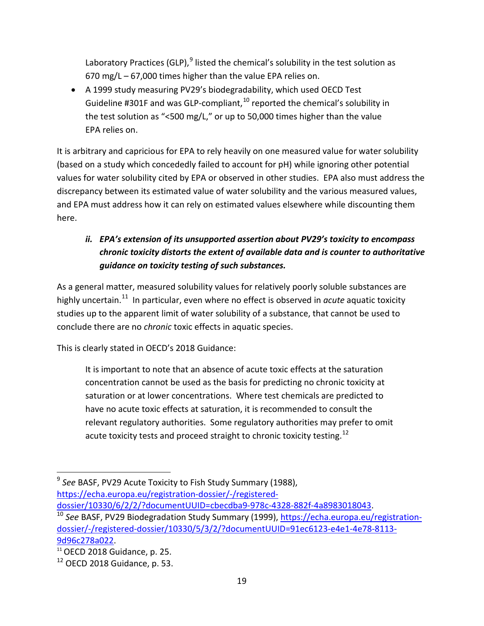Laboratory Practices (GLP), $9$  listed the chemical's solubility in the test solution as 670 mg/L – 67,000 times higher than the value EPA relies on.

• A 1999 study measuring PV29's biodegradability, which used OECD Test Guideline #301F and was GLP-compliant,  $10$  reported the chemical's solubility in the test solution as "<500 mg/L," or up to 50,000 times higher than the value EPA relies on.

It is arbitrary and capricious for EPA to rely heavily on one measured value for water solubility (based on a study which concededly failed to account for pH) while ignoring other potential values for water solubility cited by EPA or observed in other studies. EPA also must address the discrepancy between its estimated value of water solubility and the various measured values, and EPA must address how it can rely on estimated values elsewhere while discounting them here.

# <span id="page-18-0"></span>*ii. EPA's extension of its unsupported assertion about PV29's toxicity to encompass chronic toxicity distorts the extent of available data and is counter to authoritative guidance on toxicity testing of such substances.*

As a general matter, measured solubility values for relatively poorly soluble substances are highly uncertain. [11](#page-18-3) In particular, even where no effect is observed in *acute* aquatic toxicity studies up to the apparent limit of water solubility of a substance, that cannot be used to conclude there are no *chronic* toxic effects in aquatic species.

This is clearly stated in OECD's 2018 Guidance:

It is important to note that an absence of acute toxic effects at the saturation concentration cannot be used as the basis for predicting no chronic toxicity at saturation or at lower concentrations. Where test chemicals are predicted to have no acute toxic effects at saturation, it is recommended to consult the relevant regulatory authorities. Some regulatory authorities may prefer to omit acute toxicity tests and proceed straight to chronic toxicity testing.<sup>[12](#page-18-4)</sup>

<span id="page-18-1"></span> <sup>9</sup> *See* BASF, PV29 Acute Toxicity to Fish Study Summary (1988), [https://echa.europa.eu/registration-dossier/-/registered-](https://echa.europa.eu/registration-dossier/-/registered-dossier/10330/6/2/2/?documentUUID=cbecdba9-978c-4328-882f-4a8983018043)

<span id="page-18-2"></span>[dossier/10330/6/2/2/?documentUUID=cbecdba9-978c-4328-882f-4a8983018043.](https://echa.europa.eu/registration-dossier/-/registered-dossier/10330/6/2/2/?documentUUID=cbecdba9-978c-4328-882f-4a8983018043)<br><sup>[10](https://echa.europa.eu/registration-dossier/-/registered-dossier/10330/6/2/2/?documentUUID=cbecdba9-978c-4328-882f-4a8983018043)</sup> See BASF, PV29 Biodegradation Study Summary (1999), [https://echa.europa.eu/registration](https://echa.europa.eu/registration-dossier/-/registered-dossier/10330/5/3/2/?documentUUID=91ec6123-e4e1-4e78-8113-9d96c278a022)[dossier/-/registered-dossier/10330/5/3/2/?documentUUID=91ec6123-e4e1-4e78-8113-](https://echa.europa.eu/registration-dossier/-/registered-dossier/10330/5/3/2/?documentUUID=91ec6123-e4e1-4e78-8113-9d96c278a022)

<span id="page-18-3"></span>[<sup>9</sup>d96c278a022.](https://echa.europa.eu/registration-dossier/-/registered-dossier/10330/5/3/2/?documentUUID=91ec6123-e4e1-4e78-8113-9d96c278a022)<br><sup>11</sup> OECD 2018 Guidance, p. 25.

<span id="page-18-4"></span> $12$  OECD 2018 Guidance, p. 53.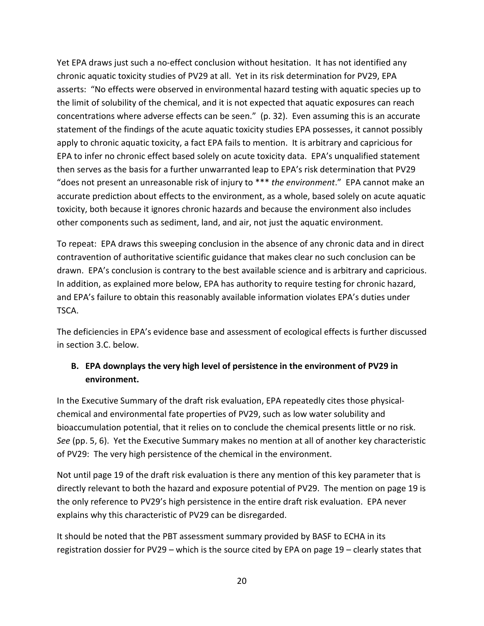Yet EPA draws just such a no-effect conclusion without hesitation. It has not identified any chronic aquatic toxicity studies of PV29 at all. Yet in its risk determination for PV29, EPA asserts: "No effects were observed in environmental hazard testing with aquatic species up to the limit of solubility of the chemical, and it is not expected that aquatic exposures can reach concentrations where adverse effects can be seen." (p. 32). Even assuming this is an accurate statement of the findings of the acute aquatic toxicity studies EPA possesses, it cannot possibly apply to chronic aquatic toxicity, a fact EPA fails to mention. It is arbitrary and capricious for EPA to infer no chronic effect based solely on acute toxicity data. EPA's unqualified statement then serves as the basis for a further unwarranted leap to EPA's risk determination that PV29 "does not present an unreasonable risk of injury to \*\*\* *the environment*." EPA cannot make an accurate prediction about effects to the environment, as a whole, based solely on acute aquatic toxicity, both because it ignores chronic hazards and because the environment also includes other components such as sediment, land, and air, not just the aquatic environment.

To repeat: EPA draws this sweeping conclusion in the absence of any chronic data and in direct contravention of authoritative scientific guidance that makes clear no such conclusion can be drawn. EPA's conclusion is contrary to the best available science and is arbitrary and capricious. In addition, as explained more below, EPA has authority to require testing for chronic hazard, and EPA's failure to obtain this reasonably available information violates EPA's duties under TSCA.

The deficiencies in EPA's evidence base and assessment of ecological effects is further discussed in section 3.C. below.

## <span id="page-19-0"></span>**B. EPA downplays the very high level of persistence in the environment of PV29 in environment.**

In the Executive Summary of the draft risk evaluation, EPA repeatedly cites those physicalchemical and environmental fate properties of PV29, such as low water solubility and bioaccumulation potential, that it relies on to conclude the chemical presents little or no risk. *See* (pp. 5, 6). Yet the Executive Summary makes no mention at all of another key characteristic of PV29: The very high persistence of the chemical in the environment.

Not until page 19 of the draft risk evaluation is there any mention of this key parameter that is directly relevant to both the hazard and exposure potential of PV29. The mention on page 19 is the only reference to PV29's high persistence in the entire draft risk evaluation. EPA never explains why this characteristic of PV29 can be disregarded.

It should be noted that the PBT assessment summary provided by BASF to ECHA in its registration dossier for PV29 – which is the source cited by EPA on page 19 – clearly states that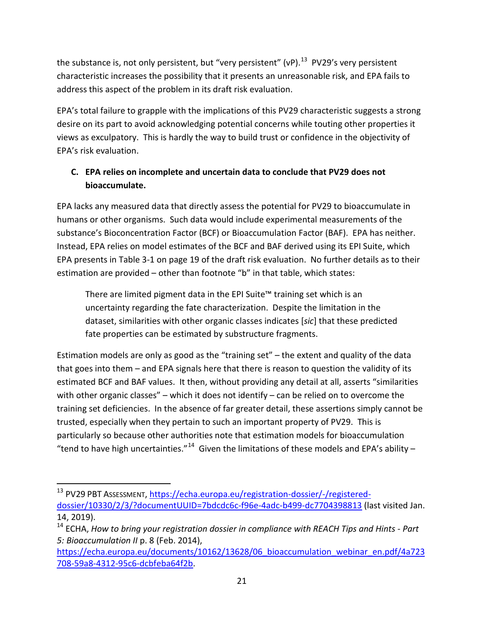the substance is, not only persistent, but "very persistent" (vP).<sup>13</sup> PV29's very persistent characteristic increases the possibility that it presents an unreasonable risk, and EPA fails to address this aspect of the problem in its draft risk evaluation.

EPA's total failure to grapple with the implications of this PV29 characteristic suggests a strong desire on its part to avoid acknowledging potential concerns while touting other properties it views as exculpatory. This is hardly the way to build trust or confidence in the objectivity of EPA's risk evaluation.

## <span id="page-20-0"></span>**C. EPA relies on incomplete and uncertain data to conclude that PV29 does not bioaccumulate.**

EPA lacks any measured data that directly assess the potential for PV29 to bioaccumulate in humans or other organisms. Such data would include experimental measurements of the substance's Bioconcentration Factor (BCF) or Bioaccumulation Factor (BAF). EPA has neither. Instead, EPA relies on model estimates of the BCF and BAF derived using its EPI Suite, which EPA presents in Table 3-1 on page 19 of the draft risk evaluation. No further details as to their estimation are provided – other than footnote "b" in that table, which states:

There are limited pigment data in the EPI Suite™ training set which is an uncertainty regarding the fate characterization. Despite the limitation in the dataset, similarities with other organic classes indicates [*sic*] that these predicted fate properties can be estimated by substructure fragments.

Estimation models are only as good as the "training set" – the extent and quality of the data that goes into them – and EPA signals here that there is reason to question the validity of its estimated BCF and BAF values. It then, without providing any detail at all, asserts "similarities with other organic classes" – which it does not identify – can be relied on to overcome the training set deficiencies. In the absence of far greater detail, these assertions simply cannot be trusted, especially when they pertain to such an important property of PV29. This is particularly so because other authorities note that estimation models for bioaccumulation "tend to have high uncertainties."<sup>[14](#page-20-2)</sup> Given the limitations of these models and EPA's ability –

<span id="page-20-1"></span> <sup>13</sup> PV29 PBT ASSESSMENT, [https://echa.europa.eu/registration-dossier/-/registered](https://echa.europa.eu/registration-dossier/-/registered-dossier/10330/2/3/?documentUUID=7bdcdc6c-f96e-4adc-b499-dc7704398813)[dossier/10330/2/3/?documentUUID=7bdcdc6c-f96e-4adc-b499-dc7704398813](https://echa.europa.eu/registration-dossier/-/registered-dossier/10330/2/3/?documentUUID=7bdcdc6c-f96e-4adc-b499-dc7704398813) (last visited Jan. 14, 2019).

<span id="page-20-2"></span><sup>14</sup> ECHA, *How to bring your registration dossier in compliance with REACH Tips and Hints - Part 5: Bioaccumulation II* p. 8 (Feb. 2014),

https://echa.europa.eu/documents/10162/13628/06 bioaccumulation webinar en.pdf/4a723 [708-59a8-4312-95c6-dcbfeba64f2b.](https://echa.europa.eu/documents/10162/13628/06_bioaccumulation_webinar_en.pdf/4a723708-59a8-4312-95c6-dcbfeba64f2b)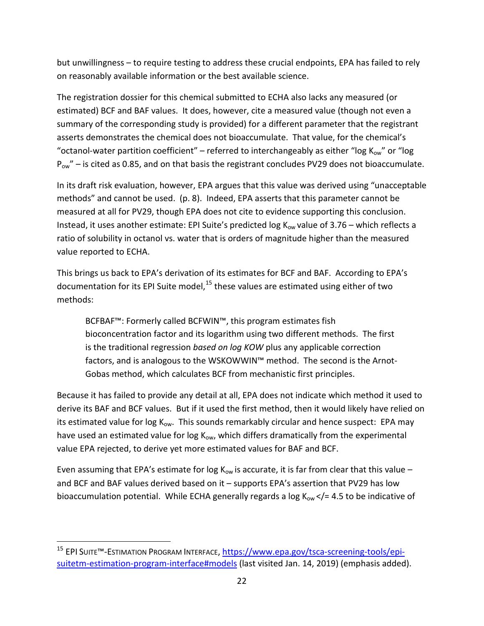but unwillingness – to require testing to address these crucial endpoints, EPA has failed to rely on reasonably available information or the best available science.

The registration dossier for this chemical submitted to ECHA also lacks any measured (or estimated) BCF and BAF values. It does, however, cite a measured value (though not even a summary of the corresponding study is provided) for a different parameter that the registrant asserts demonstrates the chemical does not bioaccumulate. That value, for the chemical's "octanol-water partition coefficient" – referred to interchangeably as either "log  $K_{ow}$ " or "log  $P_{ow}$ " – is cited as 0.85, and on that basis the registrant concludes PV29 does not bioaccumulate.

In its draft risk evaluation, however, EPA argues that this value was derived using "unacceptable methods" and cannot be used. (p. 8). Indeed, EPA asserts that this parameter cannot be measured at all for PV29, though EPA does not cite to evidence supporting this conclusion. Instead, it uses another estimate: EPI Suite's predicted log  $K_{ow}$  value of 3.76 – which reflects a ratio of solubility in octanol vs. water that is orders of magnitude higher than the measured value reported to ECHA.

This brings us back to EPA's derivation of its estimates for BCF and BAF. According to EPA's documentation for its EPI Suite model, $15$  these values are estimated using either of two methods:

BCFBAF™: Formerly called BCFWIN™, this program estimates fish bioconcentration factor and its logarithm using two different methods. The first is the traditional regression *based on log KOW* plus any applicable correction factors, and is analogous to the WSKOWWIN™ method. The second is the Arnot-Gobas method, which calculates BCF from mechanistic first principles.

Because it has failed to provide any detail at all, EPA does not indicate which method it used to derive its BAF and BCF values. But if it used the first method, then it would likely have relied on its estimated value for log  $K_{ow}$ . This sounds remarkably circular and hence suspect: EPA may have used an estimated value for log  $K_{ow}$ , which differs dramatically from the experimental value EPA rejected, to derive yet more estimated values for BAF and BCF.

Even assuming that EPA's estimate for log  $K_{ow}$  is accurate, it is far from clear that this value  $$ and BCF and BAF values derived based on it – supports EPA's assertion that PV29 has low bioaccumulation potential. While ECHA generally regards a log  $K_{ow}$  </= 4.5 to be indicative of

<span id="page-21-0"></span><sup>&</sup>lt;sup>15</sup> EPI SUITE™-ESTIMATION PROGRAM INTERFACE, [https://www.epa.gov/tsca-screening-tools/epi](https://www.epa.gov/tsca-screening-tools/epi-suitetm-estimation-program-interface#models)[suitetm-estimation-program-interface#models](https://www.epa.gov/tsca-screening-tools/epi-suitetm-estimation-program-interface#models) (last visited Jan. 14, 2019) (emphasis added).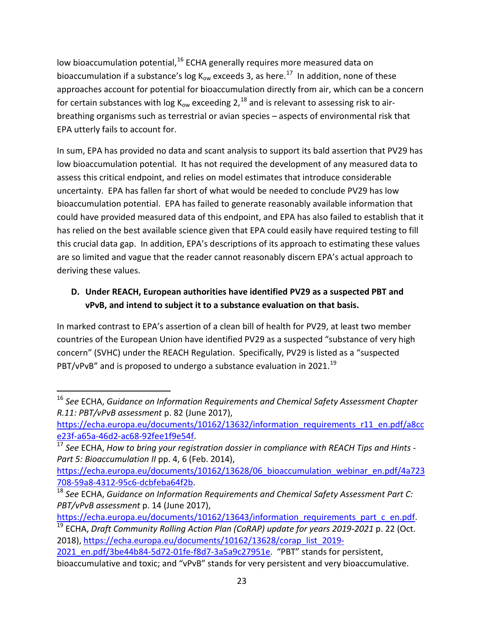low bioaccumulation potential,<sup>[16](#page-22-1)</sup> ECHA generally requires more measured data on bioaccumulation if a substance's log  $K_{ow}$  exceeds 3, as here.<sup>17</sup> In addition, none of these approaches account for potential for bioaccumulation directly from air, which can be a concern for certain substances with log  $K_{ow}$  exceeding 2,<sup>[18](#page-22-3)</sup> and is relevant to assessing risk to airbreathing organisms such as terrestrial or avian species – aspects of environmental risk that EPA utterly fails to account for.

In sum, EPA has provided no data and scant analysis to support its bald assertion that PV29 has low bioaccumulation potential. It has not required the development of any measured data to assess this critical endpoint, and relies on model estimates that introduce considerable uncertainty. EPA has fallen far short of what would be needed to conclude PV29 has low bioaccumulation potential. EPA has failed to generate reasonably available information that could have provided measured data of this endpoint, and EPA has also failed to establish that it has relied on the best available science given that EPA could easily have required testing to fill this crucial data gap. In addition, EPA's descriptions of its approach to estimating these values are so limited and vague that the reader cannot reasonably discern EPA's actual approach to deriving these values.

## <span id="page-22-0"></span>**D. Under REACH, European authorities have identified PV29 as a suspected PBT and vPvB, and intend to subject it to a substance evaluation on that basis.**

In marked contrast to EPA's assertion of a clean bill of health for PV29, at least two member countries of the European Union have identified PV29 as a suspected "substance of very high concern" (SVHC) under the REACH Regulation. Specifically, PV29 is listed as a "suspected  $PBT/VPVB''$  and is proposed to undergo a substance evaluation in 2021.<sup>[19](#page-22-4)</sup>

<span id="page-22-4"></span>[https://echa.europa.eu/documents/10162/13643/information\\_requirements\\_part\\_c\\_en.pdf.](https://echa.europa.eu/documents/10162/13643/information_requirements_part_c_en.pdf) <sup>19</sup> ECHA, *Draft Community Rolling Action Plan (CoRAP) update for years 2019-2021* p. 22 (Oct. 2018)[, https://echa.europa.eu/documents/10162/13628/corap\\_list\\_2019-](https://echa.europa.eu/documents/10162/13628/corap_list_2019-2021_en.pdf/3be44b84-5d72-01fe-f8d7-3a5a9c27951e)

<span id="page-22-1"></span> <sup>16</sup> *See* ECHA, *Guidance on Information Requirements and Chemical Safety Assessment Chapter R.11: PBT/vPvB assessment* p. 82 (June 2017),

[https://echa.europa.eu/documents/10162/13632/information\\_requirements\\_r11\\_en.pdf/a8cc](https://echa.europa.eu/documents/10162/13632/information_requirements_r11_en.pdf/a8cce23f-a65a-46d2-ac68-92fee1f9e54f)

<span id="page-22-2"></span>[e23f-a65a-46d2-ac68-92fee1f9e54f.](https://echa.europa.eu/documents/10162/13632/information_requirements_r11_en.pdf/a8cce23f-a65a-46d2-ac68-92fee1f9e54f) [17](https://echa.europa.eu/documents/10162/13632/information_requirements_r11_en.pdf/a8cce23f-a65a-46d2-ac68-92fee1f9e54f) *See* ECHA, *How to bring your registration dossier in compliance with REACH Tips and Hints -* Part 5: Bioaccumulation II pp. 4, 6 (Feb. 2014),

[https://echa.europa.eu/documents/10162/13628/06\\_bioaccumulation\\_webinar\\_en.pdf/4a723](https://echa.europa.eu/documents/10162/13628/06_bioaccumulation_webinar_en.pdf/4a723708-59a8-4312-95c6-dcbfeba64f2b)

<span id="page-22-3"></span>[<sup>708-59</sup>a8-4312-95c6-dcbfeba64f2b.](https://echa.europa.eu/documents/10162/13628/06_bioaccumulation_webinar_en.pdf/4a723708-59a8-4312-95c6-dcbfeba64f2b) 18 *See* ECHA, *Guidance on Information Requirements and Chemical Safety Assessment Part C: PBT/vPvB assessment* p. 14 (June 2017),

<sup>2021</sup> en.pdf/3be44b84-5d72-01fe-f8d7-3a5a9c27951e. "PBT" stands for persistent, bioaccumulative and toxic; and "vPvB" stands for very persistent and very bioaccumulative.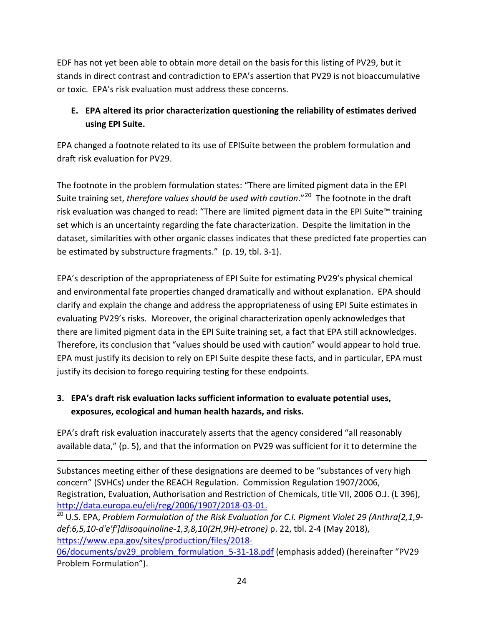EDF has not yet been able to obtain more detail on the basis for this listing of PV29, but it stands in direct contrast and contradiction to EPA's assertion that PV29 is not bioaccumulative or toxic. EPA's risk evaluation must address these concerns.

## <span id="page-23-0"></span>**E. EPA altered its prior characterization questioning the reliability of estimates derived using EPI Suite.**

EPA changed a footnote related to its use of EPISuite between the problem formulation and draft risk evaluation for PV29.

The footnote in the problem formulation states: "There are limited pigment data in the EPI Suite training set, *therefore values should be used with caution*."[20](#page-23-2) The footnote in the draft risk evaluation was changed to read: "There are limited pigment data in the EPI Suite™ training set which is an uncertainty regarding the fate characterization. Despite the limitation in the dataset, similarities with other organic classes indicates that these predicted fate properties can be estimated by substructure fragments." (p. 19, tbl. 3-1).

EPA's description of the appropriateness of EPI Suite for estimating PV29's physical chemical and environmental fate properties changed dramatically and without explanation. EPA should clarify and explain the change and address the appropriateness of using EPI Suite estimates in evaluating PV29's risks. Moreover, the original characterization openly acknowledges that there are limited pigment data in the EPI Suite training set, a fact that EPA still acknowledges. Therefore, its conclusion that "values should be used with caution" would appear to hold true. EPA must justify its decision to rely on EPI Suite despite these facts, and in particular, EPA must justify its decision to forego requiring testing for these endpoints.

# <span id="page-23-1"></span>**3. EPA's draft risk evaluation lacks sufficient information to evaluate potential uses, exposures, ecological and human health hazards, and risks.**

l

EPA's draft risk evaluation inaccurately asserts that the agency considered "all reasonably available data," (p. 5), and that the information on PV29 was sufficient for it to determine the

Substances meeting either of these designations are deemed to be "substances of very high concern" (SVHCs) under the REACH Regulation. Commission Regulation 1907/2006, Registration, Evaluation, Authorisation and Restriction of Chemicals, title VII, 2006 O.J. (L 396), [http://data.europa.eu/eli/reg/2006/1907/2018-03-01.](http://data.europa.eu/eli/reg/2006/1907/2018-03-01)<br><sup>[20](http://data.europa.eu/eli/reg/2006/1907/2018-03-01)</sup> U.S. EPA, *Problem Formulation of the Risk Evaluation for C.I. Pigment Violet 29 (Anthra[2,1,9-*

<span id="page-23-2"></span>*def:6,5,10-d'e'f']diisoquinoline-1,3,8,10(2H,9H)-etrone)* p. 22, tbl. 2-4 (May 2018), [https://www.epa.gov/sites/production/files/2018-](https://www.epa.gov/sites/production/files/2018-06/documents/pv29_problem_formulation_5-31-18.pdf)

[06/documents/pv29\\_problem\\_formulation\\_5-31-18.pdf](https://www.epa.gov/sites/production/files/2018-06/documents/pv29_problem_formulation_5-31-18.pdf) (emphasis added) (hereinafter "PV29 Problem Formulation").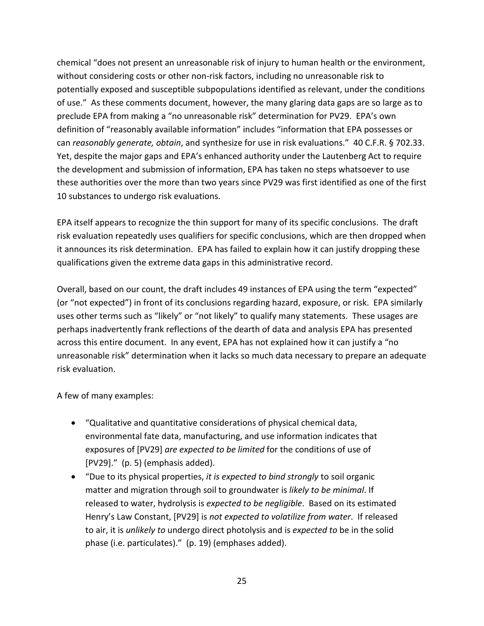chemical "does not present an unreasonable risk of injury to human health or the environment, without considering costs or other non-risk factors, including no unreasonable risk to potentially exposed and susceptible subpopulations identified as relevant, under the conditions of use." As these comments document, however, the many glaring data gaps are so large as to preclude EPA from making a "no unreasonable risk" determination for PV29. EPA's own definition of "reasonably available information" includes "information that EPA possesses or can *reasonably generate, obtain*, and synthesize for use in risk evaluations." 40 C.F.R. § 702.33. Yet, despite the major gaps and EPA's enhanced authority under the Lautenberg Act to require the development and submission of information, EPA has taken no steps whatsoever to use these authorities over the more than two years since PV29 was first identified as one of the first 10 substances to undergo risk evaluations.

EPA itself appears to recognize the thin support for many of its specific conclusions. The draft risk evaluation repeatedly uses qualifiers for specific conclusions, which are then dropped when it announces its risk determination. EPA has failed to explain how it can justify dropping these qualifications given the extreme data gaps in this administrative record.

Overall, based on our count, the draft includes 49 instances of EPA using the term "expected" (or "not expected") in front of its conclusions regarding hazard, exposure, or risk. EPA similarly uses other terms such as "likely" or "not likely" to qualify many statements. These usages are perhaps inadvertently frank reflections of the dearth of data and analysis EPA has presented across this entire document. In any event, EPA has not explained how it can justify a "no unreasonable risk" determination when it lacks so much data necessary to prepare an adequate risk evaluation.

A few of many examples:

- "Qualitative and quantitative considerations of physical chemical data, environmental fate data, manufacturing, and use information indicates that exposures of [PV29] *are expected to be limited* for the conditions of use of  $[PV29]."$  (p. 5) (emphasis added).
- "Due to its physical properties, *it is expected to bind strongly* to soil organic matter and migration through soil to groundwater is *likely to be minimal*. If released to water, hydrolysis is *expected to be negligible*. Based on its estimated Henry's Law Constant, [PV29] is *not expected to volatilize from water*. If released to air, it is *unlikely to* undergo direct photolysis and is *expected to* be in the solid phase (i.e. particulates)." (p. 19) (emphases added).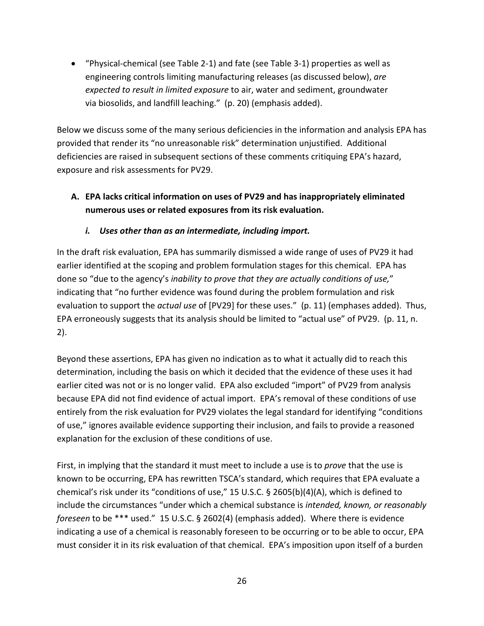• "Physical-chemical (see Table 2-1) and fate (see Table 3-1) properties as well as engineering controls limiting manufacturing releases (as discussed below), *are expected to result in limited exposure* to air, water and sediment, groundwater via biosolids, and landfill leaching." (p. 20) (emphasis added).

Below we discuss some of the many serious deficiencies in the information and analysis EPA has provided that render its "no unreasonable risk" determination unjustified. Additional deficiencies are raised in subsequent sections of these comments critiquing EPA's hazard, exposure and risk assessments for PV29.

### <span id="page-25-0"></span>**A. EPA lacks critical information on uses of PV29 and has inappropriately eliminated numerous uses or related exposures from its risk evaluation.**

#### *i. Uses other than as an intermediate, including import.*

<span id="page-25-1"></span>In the draft risk evaluation, EPA has summarily dismissed a wide range of uses of PV29 it had earlier identified at the scoping and problem formulation stages for this chemical. EPA has done so "due to the agency's *inability to prove that they are actually conditions of use,*" indicating that "no further evidence was found during the problem formulation and risk evaluation to support the *actual use* of [PV29] for these uses." (p. 11) (emphases added). Thus, EPA erroneously suggests that its analysis should be limited to "actual use" of PV29. (p. 11, n. 2).

Beyond these assertions, EPA has given no indication as to what it actually did to reach this determination, including the basis on which it decided that the evidence of these uses it had earlier cited was not or is no longer valid. EPA also excluded "import" of PV29 from analysis because EPA did not find evidence of actual import. EPA's removal of these conditions of use entirely from the risk evaluation for PV29 violates the legal standard for identifying "conditions of use," ignores available evidence supporting their inclusion, and fails to provide a reasoned explanation for the exclusion of these conditions of use.

First, in implying that the standard it must meet to include a use is to *prove* that the use is known to be occurring, EPA has rewritten TSCA's standard, which requires that EPA evaluate a chemical's risk under its "conditions of use," 15 U.S.C. § 2605(b)(4)(A), which is defined to include the circumstances "under which a chemical substance is *intended, known, or reasonably foreseen* to be \*\*\* used." 15 U.S.C. § 2602(4) (emphasis added). Where there is evidence indicating a use of a chemical is reasonably foreseen to be occurring or to be able to occur, EPA must consider it in its risk evaluation of that chemical. EPA's imposition upon itself of a burden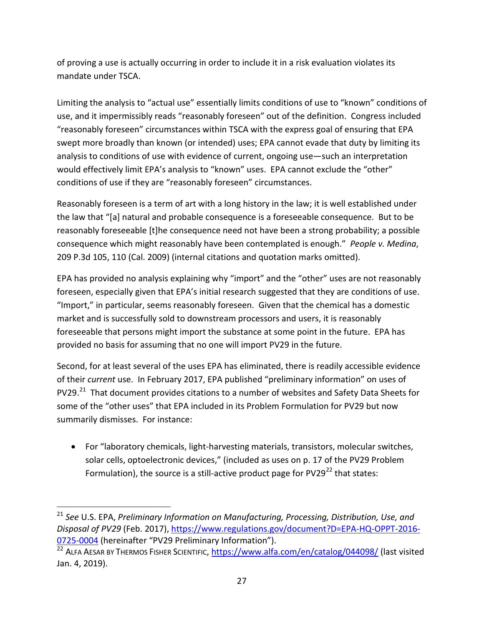of proving a use is actually occurring in order to include it in a risk evaluation violates its mandate under TSCA.

Limiting the analysis to "actual use" essentially limits conditions of use to "known" conditions of use, and it impermissibly reads "reasonably foreseen" out of the definition. Congress included "reasonably foreseen" circumstances within TSCA with the express goal of ensuring that EPA swept more broadly than known (or intended) uses; EPA cannot evade that duty by limiting its analysis to conditions of use with evidence of current, ongoing use—such an interpretation would effectively limit EPA's analysis to "known" uses. EPA cannot exclude the "other" conditions of use if they are "reasonably foreseen" circumstances.

Reasonably foreseen is a term of art with a long history in the law; it is well established under the law that "[a] natural and probable consequence is a foreseeable consequence. But to be reasonably foreseeable [t]he consequence need not have been a strong probability; a possible consequence which might reasonably have been contemplated is enough." *People v. Medina*, 209 P.3d 105, 110 (Cal. 2009) (internal citations and quotation marks omitted).

EPA has provided no analysis explaining why "import" and the "other" uses are not reasonably foreseen, especially given that EPA's initial research suggested that they are conditions of use. "Import," in particular, seems reasonably foreseen. Given that the chemical has a domestic market and is successfully sold to downstream processors and users, it is reasonably foreseeable that persons might import the substance at some point in the future. EPA has provided no basis for assuming that no one will import PV29 in the future.

Second, for at least several of the uses EPA has eliminated, there is readily accessible evidence of their *current* use. In February 2017, EPA published "preliminary information" on uses of PV29.<sup>21</sup> That document provides citations to a number of websites and Safety Data Sheets for some of the "other uses" that EPA included in its Problem Formulation for PV29 but now summarily dismisses. For instance:

• For "laboratory chemicals, light-harvesting materials, transistors, molecular switches, solar cells, optoelectronic devices," (included as uses on p. 17 of the PV29 Problem Formulation), the source is a still-active product page for  $PV29^{22}$  $PV29^{22}$  $PV29^{22}$  that states:

<span id="page-26-0"></span> <sup>21</sup> *See* U.S. EPA, *Preliminary Information on Manufacturing, Processing, Distribution, Use, and Disposal of PV29* (Feb. 2017)[, https://www.regulations.gov/document?D=EPA-HQ-OPPT-2016-](https://www.regulations.gov/document?D=EPA-HQ-OPPT-2016-0725-0004) [0725-0004](https://www.regulations.gov/document?D=EPA-HQ-OPPT-2016-0725-0004) (hereinafter "PV29 Preliminary Information").

<span id="page-26-1"></span><sup>&</sup>lt;sup>22</sup> ALFA AESAR BY THERMOS FISHER SCIENTIFIC,<https://www.alfa.com/en/catalog/044098/> (last visited Jan. 4, 2019).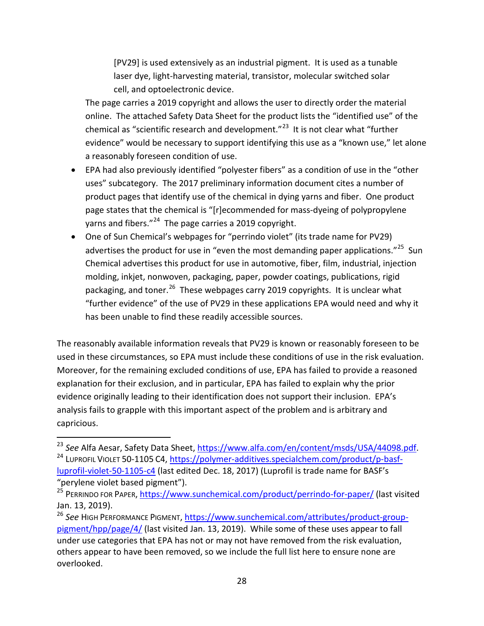[PV29] is used extensively as an industrial pigment. It is used as a tunable laser dye, light-harvesting material, transistor, molecular switched solar cell, and optoelectronic device.

The page carries a 2019 copyright and allows the user to directly order the material online. The attached Safety Data Sheet for the product lists the "identified use" of the chemical as "scientific research and development."<sup>[23](#page-27-0)</sup> It is not clear what "further evidence" would be necessary to support identifying this use as a "known use," let alone a reasonably foreseen condition of use.

- EPA had also previously identified "polyester fibers" as a condition of use in the "other uses" subcategory. The 2017 preliminary information document cites a number of product pages that identify use of the chemical in dying yarns and fiber. One product page states that the chemical is "[r]ecommended for mass-dyeing of polypropylene yarns and fibers."<sup>[24](#page-27-1)</sup> The page carries a 2019 copyright.
- One of Sun Chemical's webpages for "perrindo violet" (its trade name for PV29) advertises the product for use in "even the most demanding paper applications."<sup>[25](#page-27-2)</sup> Sun Chemical advertises this product for use in automotive, fiber, film, industrial, injection molding, inkjet, nonwoven, packaging, paper, powder coatings, publications, rigid packaging, and toner.<sup>[26](#page-27-3)</sup> These webpages carry 2019 copyrights. It is unclear what "further evidence" of the use of PV29 in these applications EPA would need and why it has been unable to find these readily accessible sources.

The reasonably available information reveals that PV29 is known or reasonably foreseen to be used in these circumstances, so EPA must include these conditions of use in the risk evaluation. Moreover, for the remaining excluded conditions of use, EPA has failed to provide a reasoned explanation for their exclusion, and in particular, EPA has failed to explain why the prior evidence originally leading to their identification does not support their inclusion. EPA's analysis fails to grapple with this important aspect of the problem and is arbitrary and capricious.

<span id="page-27-1"></span><span id="page-27-0"></span><sup>&</sup>lt;sup>23</sup> See Alfa Aesar, Safety Data Sheet, <u>https://www.alfa.com/en/content/msds/USA/44098.pdf</u>.<br><sup>24</sup> LUPROFIL VIOLET 50-1105 C4[, https://polymer-additives.specialchem.com/product/p-basf](https://polymer-additives.specialchem.com/product/p-basf-luprofil-violet-50-1105-c4)[luprofil-violet-50-1105-c4](https://polymer-additives.specialchem.com/product/p-basf-luprofil-violet-50-1105-c4) (last edited Dec. 18, 2017) (Luprofil is trade name for BASF's "perylene violet based pigment").

<span id="page-27-2"></span><sup>&</sup>lt;sup>25</sup> PERRINDO FOR PAPER,<https://www.sunchemical.com/product/perrindo-for-paper/> (last visited Jan. 13, 2019).

<span id="page-27-3"></span><sup>26</sup> *See* HIGH PERFORMANCE PIGMENT, [https://www.sunchemical.com/attributes/product-group](https://www.sunchemical.com/attributes/product-group-pigment/hpp/page/4/)[pigment/hpp/page/4/](https://www.sunchemical.com/attributes/product-group-pigment/hpp/page/4/) (last visited Jan. 13, 2019). While some of these uses appear to fall under use categories that EPA has not or may not have removed from the risk evaluation, others appear to have been removed, so we include the full list here to ensure none are overlooked.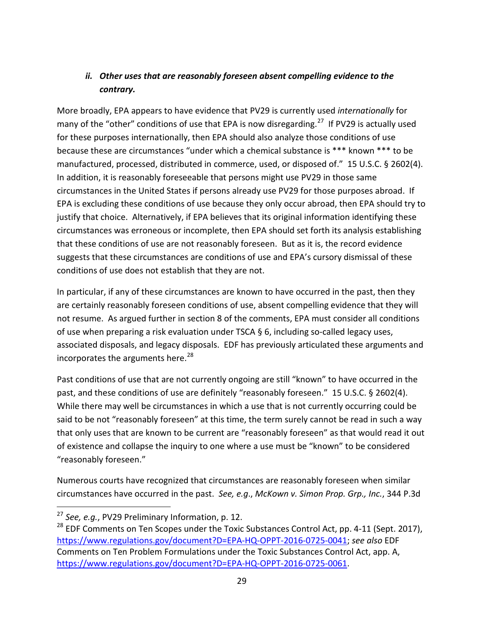## <span id="page-28-0"></span>*ii. Other uses that are reasonably foreseen absent compelling evidence to the contrary.*

More broadly, EPA appears to have evidence that PV29 is currently used *internationally* for many of the "other" conditions of use that EPA is now disregarding.<sup>27</sup> If PV29 is actually used for these purposes internationally, then EPA should also analyze those conditions of use because these are circumstances "under which a chemical substance is \*\*\* known \*\*\* to be manufactured, processed, distributed in commerce, used, or disposed of." 15 U.S.C. § 2602(4). In addition, it is reasonably foreseeable that persons might use PV29 in those same circumstances in the United States if persons already use PV29 for those purposes abroad. If EPA is excluding these conditions of use because they only occur abroad, then EPA should try to justify that choice. Alternatively, if EPA believes that its original information identifying these circumstances was erroneous or incomplete, then EPA should set forth its analysis establishing that these conditions of use are not reasonably foreseen. But as it is, the record evidence suggests that these circumstances are conditions of use and EPA's cursory dismissal of these conditions of use does not establish that they are not.

In particular, if any of these circumstances are known to have occurred in the past, then they are certainly reasonably foreseen conditions of use, absent compelling evidence that they will not resume. As argued further in section 8 of the comments, EPA must consider all conditions of use when preparing a risk evaluation under TSCA  $\S$  6, including so-called legacy uses, associated disposals, and legacy disposals. EDF has previously articulated these arguments and incorporates the arguments here. $^{28}$  $^{28}$  $^{28}$ 

Past conditions of use that are not currently ongoing are still "known" to have occurred in the past, and these conditions of use are definitely "reasonably foreseen." 15 U.S.C. § 2602(4). While there may well be circumstances in which a use that is not currently occurring could be said to be not "reasonably foreseen" at this time, the term surely cannot be read in such a way that only uses that are known to be current are "reasonably foreseen" as that would read it out of existence and collapse the inquiry to one where a use must be "known" to be considered "reasonably foreseen."

Numerous courts have recognized that circumstances are reasonably foreseen when similar circumstances have occurred in the past. *See, e.g*., *McKown v. Simon Prop. Grp., Inc.*, 344 P.3d

 <sup>27</sup> *See, e.g.*, PV29 Preliminary Information, p. 12.

<span id="page-28-2"></span><span id="page-28-1"></span><sup>&</sup>lt;sup>28</sup> EDF Comments on Ten Scopes under the Toxic Substances Control Act, pp. 4-11 (Sept. 2017), [https://www.regulations.gov/document?D=EPA-HQ-OPPT-2016-0725-0041;](https://www.regulations.gov/document?D=EPA-HQ-OPPT-2016-0725-0041) *see also* EDF Comments on Ten Problem Formulations under the Toxic Substances Control Act, app. A, [https://www.regulations.gov/document?D=EPA-HQ-OPPT-2016-0725-0061.](https://www.regulations.gov/document?D=EPA-HQ-OPPT-2016-0725-0061)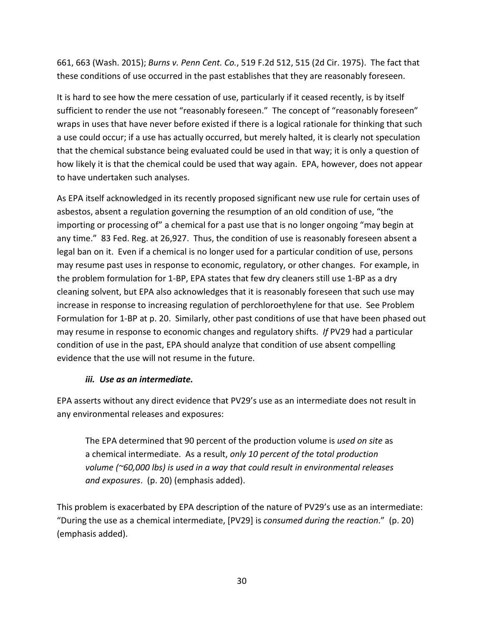661, 663 (Wash. 2015); *Burns v. Penn Cent. Co.*, 519 F.2d 512, 515 (2d Cir. 1975). The fact that these conditions of use occurred in the past establishes that they are reasonably foreseen.

It is hard to see how the mere cessation of use, particularly if it ceased recently, is by itself sufficient to render the use not "reasonably foreseen." The concept of "reasonably foreseen" wraps in uses that have never before existed if there is a logical rationale for thinking that such a use could occur; if a use has actually occurred, but merely halted, it is clearly not speculation that the chemical substance being evaluated could be used in that way; it is only a question of how likely it is that the chemical could be used that way again. EPA, however, does not appear to have undertaken such analyses.

As EPA itself acknowledged in its recently proposed significant new use rule for certain uses of asbestos, absent a regulation governing the resumption of an old condition of use, "the importing or processing of" a chemical for a past use that is no longer ongoing "may begin at any time." 83 Fed. Reg. at 26,927. Thus, the condition of use is reasonably foreseen absent a legal ban on it. Even if a chemical is no longer used for a particular condition of use, persons may resume past uses in response to economic, regulatory, or other changes. For example, in the problem formulation for 1-BP, EPA states that few dry cleaners still use 1-BP as a dry cleaning solvent, but EPA also acknowledges that it is reasonably foreseen that such use may increase in response to increasing regulation of perchloroethylene for that use. See Problem Formulation for 1-BP at p. 20. Similarly, other past conditions of use that have been phased out may resume in response to economic changes and regulatory shifts. *If* PV29 had a particular condition of use in the past, EPA should analyze that condition of use absent compelling evidence that the use will not resume in the future.

#### *iii. Use as an intermediate.*

<span id="page-29-0"></span>EPA asserts without any direct evidence that PV29's use as an intermediate does not result in any environmental releases and exposures:

The EPA determined that 90 percent of the production volume is *used on site* as a chemical intermediate. As a result, *only 10 percent of the total production volume (~60,000 lbs) is used in a way that could result in environmental releases and exposures*. (p. 20) (emphasis added).

This problem is exacerbated by EPA description of the nature of PV29's use as an intermediate: "During the use as a chemical intermediate, [PV29] is *consumed during the reaction*." (p. 20) (emphasis added).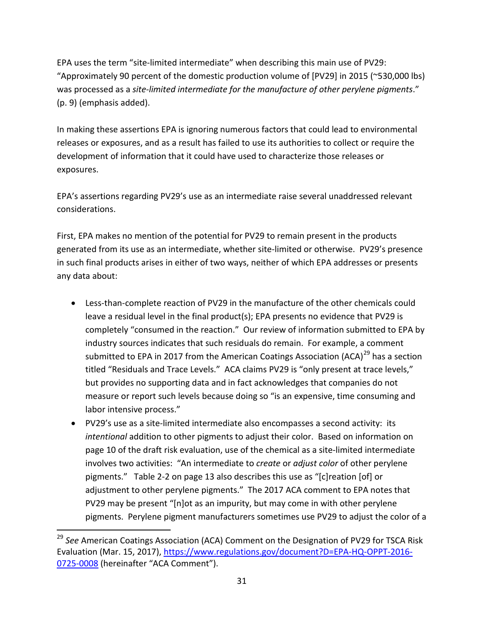EPA uses the term "site-limited intermediate" when describing this main use of PV29: "Approximately 90 percent of the domestic production volume of [PV29] in 2015 (~530,000 lbs) was processed as a *site-limited intermediate for the manufacture of other perylene pigments*." (p. 9) (emphasis added).

In making these assertions EPA is ignoring numerous factors that could lead to environmental releases or exposures, and as a result has failed to use its authorities to collect or require the development of information that it could have used to characterize those releases or exposures.

EPA's assertions regarding PV29's use as an intermediate raise several unaddressed relevant considerations.

First, EPA makes no mention of the potential for PV29 to remain present in the products generated from its use as an intermediate, whether site-limited or otherwise. PV29's presence in such final products arises in either of two ways, neither of which EPA addresses or presents any data about:

- Less-than-complete reaction of PV29 in the manufacture of the other chemicals could leave a residual level in the final product(s); EPA presents no evidence that PV29 is completely "consumed in the reaction." Our review of information submitted to EPA by industry sources indicates that such residuals do remain. For example, a comment submitted to EPA in 2017 from the American Coatings Association (ACA)<sup>[29](#page-30-0)</sup> has a section titled "Residuals and Trace Levels." ACA claims PV29 is "only present at trace levels," but provides no supporting data and in fact acknowledges that companies do not measure or report such levels because doing so "is an expensive, time consuming and labor intensive process."
- PV29's use as a site-limited intermediate also encompasses a second activity: its *intentional* addition to other pigments to adjust their color. Based on information on page 10 of the draft risk evaluation, use of the chemical as a site-limited intermediate involves two activities: "An intermediate to *create* or *adjust color* of other perylene pigments." Table 2-2 on page 13 also describes this use as "[c]reation [of] or adjustment to other perylene pigments." The 2017 ACA comment to EPA notes that PV29 may be present "[n]ot as an impurity, but may come in with other perylene pigments. Perylene pigment manufacturers sometimes use PV29 to adjust the color of a

<span id="page-30-0"></span> <sup>29</sup> *See* American Coatings Association (ACA) Comment on the Designation of PV29 for TSCA Risk Evaluation (Mar. 15, 2017), [https://www.regulations.gov/document?D=EPA-HQ-OPPT-2016-](https://www.regulations.gov/document?D=EPA-HQ-OPPT-2016-0725-0008) [0725-0008](https://www.regulations.gov/document?D=EPA-HQ-OPPT-2016-0725-0008) (hereinafter "ACA Comment").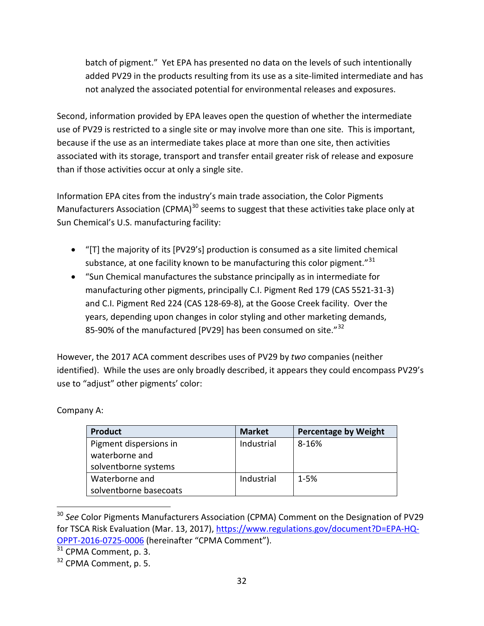batch of pigment." Yet EPA has presented no data on the levels of such intentionally added PV29 in the products resulting from its use as a site-limited intermediate and has not analyzed the associated potential for environmental releases and exposures.

Second, information provided by EPA leaves open the question of whether the intermediate use of PV29 is restricted to a single site or may involve more than one site. This is important, because if the use as an intermediate takes place at more than one site, then activities associated with its storage, transport and transfer entail greater risk of release and exposure than if those activities occur at only a single site.

Information EPA cites from the industry's main trade association, the Color Pigments Manufacturers Association (CPMA) $^{30}$  $^{30}$  $^{30}$  seems to suggest that these activities take place only at Sun Chemical's U.S. manufacturing facility:

- "[T] the majority of its [PV29's] production is consumed as a site limited chemical substance, at one facility known to be manufacturing this color pigment."<sup>[31](#page-31-1)</sup>
- "Sun Chemical manufactures the substance principally as in intermediate for manufacturing other pigments, principally C.I. Pigment Red 179 (CAS 5521-31-3) and C.I. Pigment Red 224 (CAS 128-69-8), at the Goose Creek facility. Over the years, depending upon changes in color styling and other marketing demands, 85-90% of the manufactured [PV29] has been consumed on site."<sup>[32](#page-31-2)</sup>

However, the 2017 ACA comment describes uses of PV29 by *two* companies (neither identified). While the uses are only broadly described, it appears they could encompass PV29's use to "adjust" other pigments' color:

| <b>Product</b>         | <b>Market</b> | <b>Percentage by Weight</b> |
|------------------------|---------------|-----------------------------|
| Pigment dispersions in | Industrial    | 8-16%                       |
| waterborne and         |               |                             |
| solventborne systems   |               |                             |
| Waterborne and         | Industrial    | $1 - 5%$                    |
| solventborne basecoats |               |                             |

Company A:

<span id="page-31-0"></span><sup>&</sup>lt;sup>30</sup> See Color Pigments Manufacturers Association (CPMA) Comment on the Designation of PV29 for TSCA Risk Evaluation (Mar. 13, 2017), [https://www.regulations.gov/document?D=EPA-HQ-](https://www.regulations.gov/document?D=EPA-HQ-OPPT-2016-0725-0006)OPPT-2016-0725-0006 (hereinafter "CPMA Comment").<br><sup>[31](https://www.regulations.gov/document?D=EPA-HQ-OPPT-2016-0725-0006)</sup> CPMA Comment, p. 3.

<span id="page-31-1"></span>

<span id="page-31-2"></span><sup>&</sup>lt;sup>32</sup> CPMA Comment, p. 5.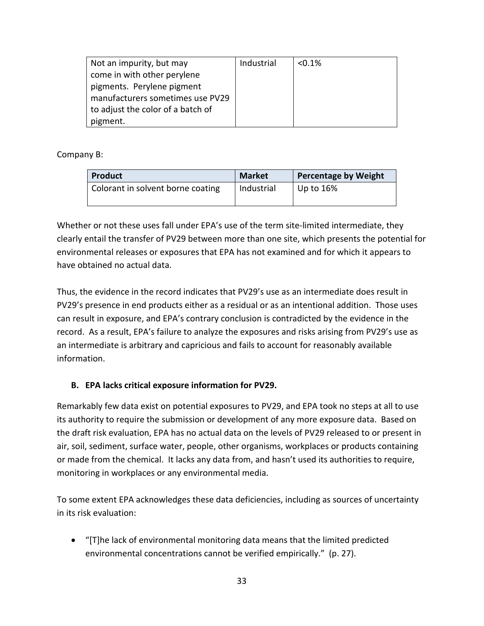| Not an impurity, but may          | Industrial | $< 0.1\%$ |
|-----------------------------------|------------|-----------|
| come in with other perylene       |            |           |
| pigments. Perylene pigment        |            |           |
| manufacturers sometimes use PV29  |            |           |
| to adjust the color of a batch of |            |           |
| pigment.                          |            |           |

Company B:

| <b>Product</b>                    | <b>Market</b> | <b>Percentage by Weight</b> |
|-----------------------------------|---------------|-----------------------------|
| Colorant in solvent borne coating | Industrial    | Up to $16\%$                |

Whether or not these uses fall under EPA's use of the term site-limited intermediate, they clearly entail the transfer of PV29 between more than one site, which presents the potential for environmental releases or exposures that EPA has not examined and for which it appears to have obtained no actual data.

Thus, the evidence in the record indicates that PV29's use as an intermediate does result in PV29's presence in end products either as a residual or as an intentional addition. Those uses can result in exposure, and EPA's contrary conclusion is contradicted by the evidence in the record. As a result, EPA's failure to analyze the exposures and risks arising from PV29's use as an intermediate is arbitrary and capricious and fails to account for reasonably available information.

### <span id="page-32-0"></span>**B. EPA lacks critical exposure information for PV29.**

Remarkably few data exist on potential exposures to PV29, and EPA took no steps at all to use its authority to require the submission or development of any more exposure data. Based on the draft risk evaluation, EPA has no actual data on the levels of PV29 released to or present in air, soil, sediment, surface water, people, other organisms, workplaces or products containing or made from the chemical. It lacks any data from, and hasn't used its authorities to require, monitoring in workplaces or any environmental media.

To some extent EPA acknowledges these data deficiencies, including as sources of uncertainty in its risk evaluation:

• "[T]he lack of environmental monitoring data means that the limited predicted environmental concentrations cannot be verified empirically." (p. 27).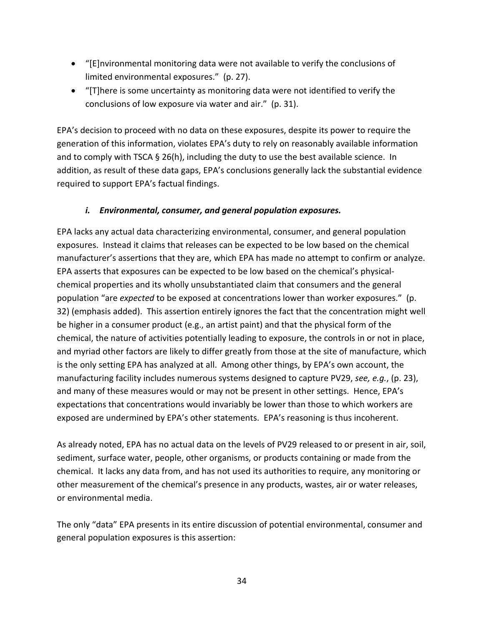- "[E]nvironmental monitoring data were not available to verify the conclusions of limited environmental exposures." (p. 27).
- "[T]here is some uncertainty as monitoring data were not identified to verify the conclusions of low exposure via water and air." (p. 31).

EPA's decision to proceed with no data on these exposures, despite its power to require the generation of this information, violates EPA's duty to rely on reasonably available information and to comply with TSCA § 26(h), including the duty to use the best available science. In addition, as result of these data gaps, EPA's conclusions generally lack the substantial evidence required to support EPA's factual findings.

#### *i. Environmental, consumer, and general population exposures.*

<span id="page-33-0"></span>EPA lacks any actual data characterizing environmental, consumer, and general population exposures. Instead it claims that releases can be expected to be low based on the chemical manufacturer's assertions that they are, which EPA has made no attempt to confirm or analyze. EPA asserts that exposures can be expected to be low based on the chemical's physicalchemical properties and its wholly unsubstantiated claim that consumers and the general population "are *expected* to be exposed at concentrations lower than worker exposures." (p. 32) (emphasis added). This assertion entirely ignores the fact that the concentration might well be higher in a consumer product (e.g., an artist paint) and that the physical form of the chemical, the nature of activities potentially leading to exposure, the controls in or not in place, and myriad other factors are likely to differ greatly from those at the site of manufacture, which is the only setting EPA has analyzed at all. Among other things, by EPA's own account, the manufacturing facility includes numerous systems designed to capture PV29, *see, e.g.*, (p. 23), and many of these measures would or may not be present in other settings. Hence, EPA's expectations that concentrations would invariably be lower than those to which workers are exposed are undermined by EPA's other statements. EPA's reasoning is thus incoherent.

As already noted, EPA has no actual data on the levels of PV29 released to or present in air, soil, sediment, surface water, people, other organisms, or products containing or made from the chemical. It lacks any data from, and has not used its authorities to require, any monitoring or other measurement of the chemical's presence in any products, wastes, air or water releases, or environmental media.

The only "data" EPA presents in its entire discussion of potential environmental, consumer and general population exposures is this assertion: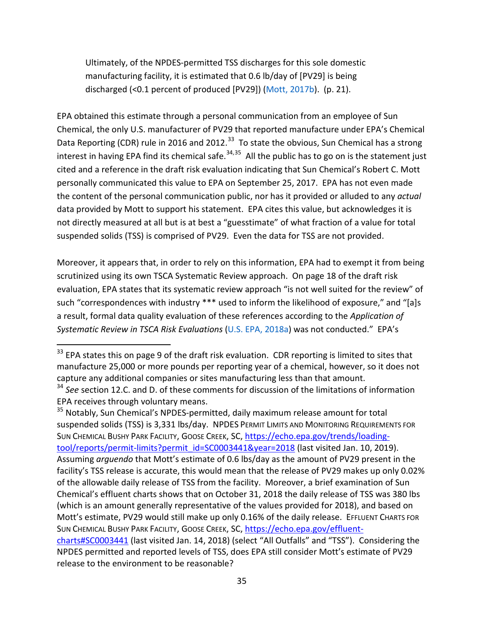Ultimately, of the NPDES-permitted TSS discharges for this sole domestic manufacturing facility, it is estimated that 0.6 lb/day of [PV29] is being discharged (<0.1 percent of produced [PV29]) (Mott, 2017b). (p. 21).

EPA obtained this estimate through a personal communication from an employee of Sun Chemical, the only U.S. manufacturer of PV29 that reported manufacture under EPA's Chemical Data Reporting (CDR) rule in 2016 and 2012.<sup>33</sup> To state the obvious, Sun Chemical has a strong interest in having EPA find its chemical safe.<sup>[34,](#page-34-1)[35](#page-34-2)</sup> All the public has to go on is the statement just cited and a reference in the draft risk evaluation indicating that Sun Chemical's Robert C. Mott personally communicated this value to EPA on September 25, 2017. EPA has not even made the content of the personal communication public, nor has it provided or alluded to any *actual* data provided by Mott to support his statement. EPA cites this value, but acknowledges it is not directly measured at all but is at best a "guesstimate" of what fraction of a value for total suspended solids (TSS) is comprised of PV29. Even the data for TSS are not provided.

Moreover, it appears that, in order to rely on this information, EPA had to exempt it from being scrutinized using its own TSCA Systematic Review approach. On page 18 of the draft risk evaluation, EPA states that its systematic review approach "is not well suited for the review" of such "correspondences with industry \*\*\* used to inform the likelihood of exposure," and "[a]s a result, formal data quality evaluation of these references according to the *Application of Systematic Review in TSCA Risk Evaluations* (U.S. EPA, 2018a) was not conducted." EPA's

<span id="page-34-2"></span><sup>35</sup> Notably, Sun Chemical's NPDES-permitted, daily maximum release amount for total suspended solids (TSS) is 3,331 lbs/day. NPDES PERMIT LIMITS AND MONITORING REQUIREMENTS FOR SUN CHEMICAL BUSHY PARK FACILITY, GOOSE CREEK, SC, [https://echo.epa.gov/trends/loading](https://echo.epa.gov/trends/loading-tool/reports/permit-limits?permit_id=SC0003441&year=2018)[tool/reports/permit-limits?permit\\_id=SC0003441&year=2018](https://echo.epa.gov/trends/loading-tool/reports/permit-limits?permit_id=SC0003441&year=2018) (last visited Jan. 10, 2019). Assuming *arguendo* that Mott's estimate of 0.6 lbs/day as the amount of PV29 present in the facility's TSS release is accurate, this would mean that the release of PV29 makes up only 0.02% of the allowable daily release of TSS from the facility. Moreover, a brief examination of Sun Chemical's effluent charts shows that on October 31, 2018 the daily release of TSS was 380 lbs (which is an amount generally representative of the values provided for 2018), and based on Mott's estimate, PV29 would still make up only 0.16% of the daily release. EFFLUENT CHARTS FOR SUN CHEMICAL BUSHY PARK FACILITY, GOOSE CREEK, SC, [https://echo.epa.gov/effluent](https://echo.epa.gov/effluent-charts#SC0003441)[charts#SC0003441](https://echo.epa.gov/effluent-charts#SC0003441) (last visited Jan. 14, 2018) (select "All Outfalls" and "TSS"). Considering the NPDES permitted and reported levels of TSS, does EPA still consider Mott's estimate of PV29 release to the environment to be reasonable?

<span id="page-34-0"></span><sup>&</sup>lt;sup>33</sup> EPA states this on page 9 of the draft risk evaluation. CDR reporting is limited to sites that manufacture 25,000 or more pounds per reporting year of a chemical, however, so it does not capture any additional companies or sites manufacturing less than that amount.

<span id="page-34-1"></span><sup>&</sup>lt;sup>34</sup> See section 12.C. and D. of these comments for discussion of the limitations of information EPA receives through voluntary means.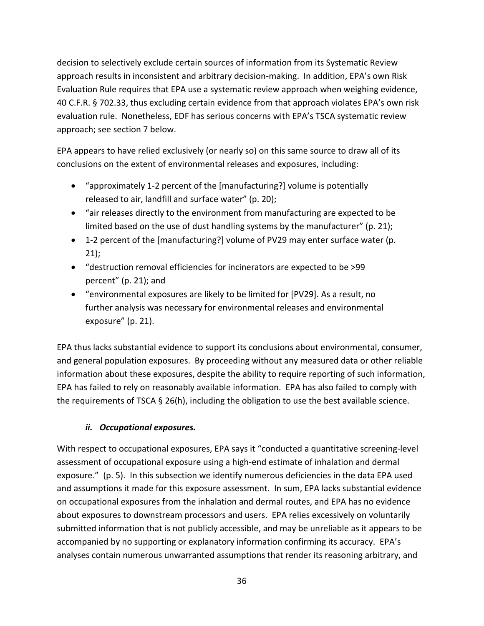decision to selectively exclude certain sources of information from its Systematic Review approach results in inconsistent and arbitrary decision-making. In addition, EPA's own Risk Evaluation Rule requires that EPA use a systematic review approach when weighing evidence, 40 C.F.R. § 702.33, thus excluding certain evidence from that approach violates EPA's own risk evaluation rule. Nonetheless, EDF has serious concerns with EPA's TSCA systematic review approach; see section 7 below.

EPA appears to have relied exclusively (or nearly so) on this same source to draw all of its conclusions on the extent of environmental releases and exposures, including:

- "approximately 1-2 percent of the [manufacturing?] volume is potentially released to air, landfill and surface water" (p. 20);
- "air releases directly to the environment from manufacturing are expected to be limited based on the use of dust handling systems by the manufacturer" (p. 21);
- 1-2 percent of the [manufacturing?] volume of PV29 may enter surface water (p. 21);
- "destruction removal efficiencies for incinerators are expected to be >99 percent" (p. 21); and
- "environmental exposures are likely to be limited for [PV29]. As a result, no further analysis was necessary for environmental releases and environmental exposure" (p. 21).

EPA thus lacks substantial evidence to support its conclusions about environmental, consumer, and general population exposures. By proceeding without any measured data or other reliable information about these exposures, despite the ability to require reporting of such information, EPA has failed to rely on reasonably available information. EPA has also failed to comply with the requirements of TSCA § 26(h), including the obligation to use the best available science.

### *ii. Occupational exposures.*

<span id="page-35-0"></span>With respect to occupational exposures, EPA says it "conducted a quantitative screening-level assessment of occupational exposure using a high-end estimate of inhalation and dermal exposure." (p. 5). In this subsection we identify numerous deficiencies in the data EPA used and assumptions it made for this exposure assessment. In sum, EPA lacks substantial evidence on occupational exposures from the inhalation and dermal routes, and EPA has no evidence about exposures to downstream processors and users. EPA relies excessively on voluntarily submitted information that is not publicly accessible, and may be unreliable as it appears to be accompanied by no supporting or explanatory information confirming its accuracy. EPA's analyses contain numerous unwarranted assumptions that render its reasoning arbitrary, and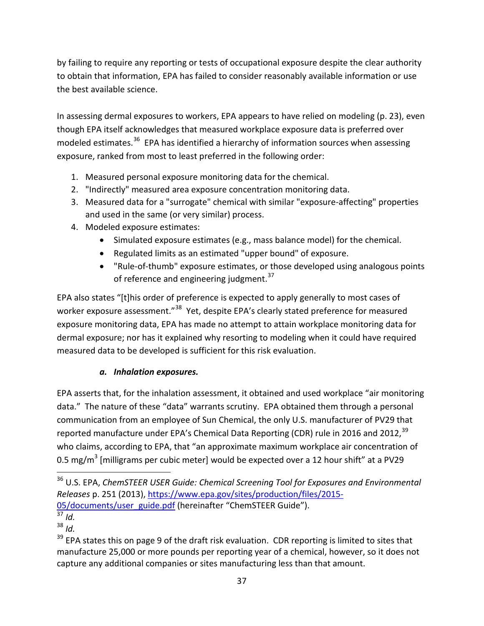by failing to require any reporting or tests of occupational exposure despite the clear authority to obtain that information, EPA has failed to consider reasonably available information or use the best available science.

In assessing dermal exposures to workers, EPA appears to have relied on modeling (p. 23), even though EPA itself acknowledges that measured workplace exposure data is preferred over modeled estimates.<sup>[36](#page-36-0)</sup> EPA has identified a hierarchy of information sources when assessing exposure, ranked from most to least preferred in the following order:

- 1. Measured personal exposure monitoring data for the chemical.
- 2. "Indirectly" measured area exposure concentration monitoring data.
- 3. Measured data for a "surrogate" chemical with similar "exposure-affecting" properties and used in the same (or very similar) process.
- 4. Modeled exposure estimates:
	- Simulated exposure estimates (e.g., mass balance model) for the chemical.
	- Regulated limits as an estimated "upper bound" of exposure.
	- "Rule-of-thumb" exposure estimates, or those developed using analogous points of reference and engineering judgment.<sup>[37](#page-36-1)</sup>

EPA also states "[t]his order of preference is expected to apply generally to most cases of worker exposure assessment."<sup>[38](#page-36-2)</sup> Yet, despite EPA's clearly stated preference for measured exposure monitoring data, EPA has made no attempt to attain workplace monitoring data for dermal exposure; nor has it explained why resorting to modeling when it could have required measured data to be developed is sufficient for this risk evaluation.

## *a. Inhalation exposures.*

EPA asserts that, for the inhalation assessment, it obtained and used workplace "air monitoring data." The nature of these "data" warrants scrutiny. EPA obtained them through a personal communication from an employee of Sun Chemical, the only U.S. manufacturer of PV29 that reported manufacture under EPA's Chemical Data Reporting (CDR) rule in 2016 and 2012,<sup>[39](#page-36-3)</sup> who claims, according to EPA, that "an approximate maximum workplace air concentration of 0.5 mg/m<sup>3</sup> [milligrams per cubic meter] would be expected over a 12 hour shift" at a PV29

<span id="page-36-0"></span> <sup>36</sup> U.S. EPA, *ChemSTEER USER Guide: Chemical Screening Tool for Exposures and Environmental Releases* p. 251 (2013), [https://www.epa.gov/sites/production/files/2015-](https://www.epa.gov/sites/production/files/2015-05/documents/user_guide.pdf) [05/documents/user\\_guide.pdf](https://www.epa.gov/sites/production/files/2015-05/documents/user_guide.pdf) (hereinafter "ChemSTEER Guide").

<span id="page-36-1"></span> $rac{37}{37}$  *Id.* 

<span id="page-36-2"></span><sup>38</sup> *Id.*

<span id="page-36-3"></span> $39$  EPA states this on page 9 of the draft risk evaluation. CDR reporting is limited to sites that manufacture 25,000 or more pounds per reporting year of a chemical, however, so it does not capture any additional companies or sites manufacturing less than that amount.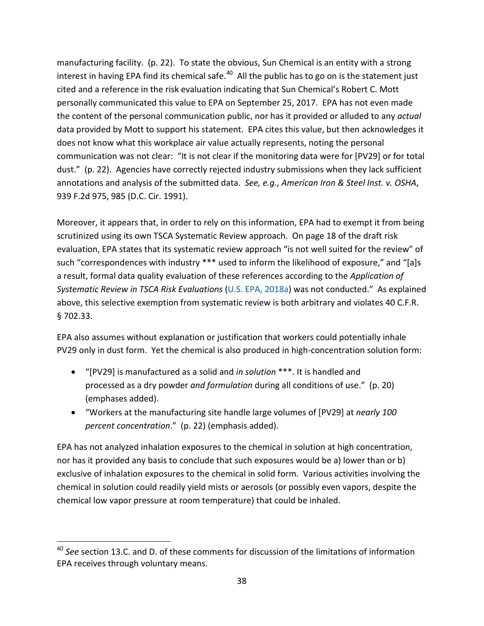manufacturing facility. (p. 22). To state the obvious, Sun Chemical is an entity with a strong interest in having EPA find its chemical safe. $40$  All the public has to go on is the statement just cited and a reference in the risk evaluation indicating that Sun Chemical's Robert C. Mott personally communicated this value to EPA on September 25, 2017. EPA has not even made the content of the personal communication public, nor has it provided or alluded to any *actual* data provided by Mott to support his statement. EPA cites this value, but then acknowledges it does not know what this workplace air value actually represents, noting the personal communication was not clear: "It is not clear if the monitoring data were for [PV29] or for total dust." (p. 22). Agencies have correctly rejected industry submissions when they lack sufficient annotations and analysis of the submitted data. *See, e.g.*, *American Iron & Steel Inst. v. OSHA*, 939 F.2d 975, 985 (D.C. Cir. 1991).

Moreover, it appears that, in order to rely on this information, EPA had to exempt it from being scrutinized using its own TSCA Systematic Review approach. On page 18 of the draft risk evaluation, EPA states that its systematic review approach "is not well suited for the review" of such "correspondences with industry \*\*\* used to inform the likelihood of exposure," and "[a]s a result, formal data quality evaluation of these references according to the *Application of Systematic Review in TSCA Risk Evaluations* (U.S. EPA, 2018a) was not conducted." As explained above, this selective exemption from systematic review is both arbitrary and violates 40 C.F.R. § 702.33.

EPA also assumes without explanation or justification that workers could potentially inhale PV29 only in dust form. Yet the chemical is also produced in high-concentration solution form:

- "[PV29] is manufactured as a solid and *in solution* \*\*\*. It is handled and processed as a dry powder *and formulation* during all conditions of use." (p. 20) (emphases added).
- "Workers at the manufacturing site handle large volumes of [PV29] at *nearly 100 percent concentration*." (p. 22) (emphasis added).

EPA has not analyzed inhalation exposures to the chemical in solution at high concentration, nor has it provided any basis to conclude that such exposures would be a) lower than or b) exclusive of inhalation exposures to the chemical in solid form. Various activities involving the chemical in solution could readily yield mists or aerosols (or possibly even vapors, despite the chemical low vapor pressure at room temperature) that could be inhaled.

<span id="page-37-0"></span> <sup>40</sup> *See* section 13.C. and D. of these comments for discussion of the limitations of information EPA receives through voluntary means.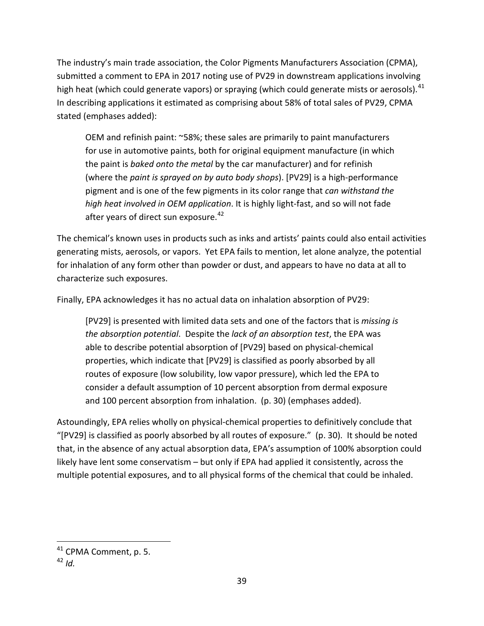The industry's main trade association, the Color Pigments Manufacturers Association (CPMA), submitted a comment to EPA in 2017 noting use of PV29 in downstream applications involving high heat (which could generate vapors) or spraying (which could generate mists or aerosols).<sup>[41](#page-38-0)</sup> In describing applications it estimated as comprising about 58% of total sales of PV29, CPMA stated (emphases added):

OEM and refinish paint: ~58%; these sales are primarily to paint manufacturers for use in automotive paints, both for original equipment manufacture (in which the paint is *baked onto the metal* by the car manufacturer) and for refinish (where the *paint is sprayed on by auto body shops*). [PV29] is a high-performance pigment and is one of the few pigments in its color range that *can withstand the high heat involved in OEM application*. It is highly light-fast, and so will not fade after years of direct sun exposure.<sup>[42](#page-38-1)</sup>

The chemical's known uses in products such as inks and artists' paints could also entail activities generating mists, aerosols, or vapors. Yet EPA fails to mention, let alone analyze, the potential for inhalation of any form other than powder or dust, and appears to have no data at all to characterize such exposures.

Finally, EPA acknowledges it has no actual data on inhalation absorption of PV29:

[PV29] is presented with limited data sets and one of the factors that is *missing is the absorption potential*. Despite the *lack of an absorption test*, the EPA was able to describe potential absorption of [PV29] based on physical-chemical properties, which indicate that [PV29] is classified as poorly absorbed by all routes of exposure (low solubility, low vapor pressure), which led the EPA to consider a default assumption of 10 percent absorption from dermal exposure and 100 percent absorption from inhalation. (p. 30) (emphases added).

Astoundingly, EPA relies wholly on physical-chemical properties to definitively conclude that "[PV29] is classified as poorly absorbed by all routes of exposure." (p. 30). It should be noted that, in the absence of any actual absorption data, EPA's assumption of 100% absorption could likely have lent some conservatism – but only if EPA had applied it consistently, across the multiple potential exposures, and to all physical forms of the chemical that could be inhaled.

<span id="page-38-0"></span><sup>&</sup>lt;sup>41</sup> CPMA Comment, p. 5.

<span id="page-38-1"></span> $42$  *Id.*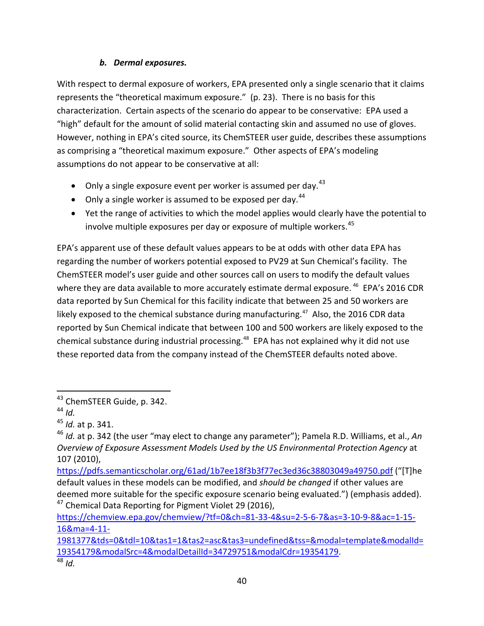### *b. Dermal exposures.*

With respect to dermal exposure of workers, EPA presented only a single scenario that it claims represents the "theoretical maximum exposure." (p. 23). There is no basis for this characterization. Certain aspects of the scenario do appear to be conservative: EPA used a "high" default for the amount of solid material contacting skin and assumed no use of gloves. However, nothing in EPA's cited source, its ChemSTEER user guide, describes these assumptions as comprising a "theoretical maximum exposure." Other aspects of EPA's modeling assumptions do not appear to be conservative at all:

- $\bullet$  Only a single exposure event per worker is assumed per day.<sup>[43](#page-39-0)</sup>
- Only a single worker is assumed to be exposed per day.<sup>[44](#page-39-1)</sup>
- Yet the range of activities to which the model applies would clearly have the potential to involve multiple exposures per day or exposure of multiple workers.<sup>[45](#page-39-2)</sup>

EPA's apparent use of these default values appears to be at odds with other data EPA has regarding the number of workers potential exposed to PV29 at Sun Chemical's facility. The ChemSTEER model's user guide and other sources call on users to modify the default values where they are data available to more accurately estimate dermal exposure. <sup>[46](#page-39-3)</sup> EPA's 2016 CDR data reported by Sun Chemical for this facility indicate that between 25 and 50 workers are likely exposed to the chemical substance during manufacturing.<sup>[47](#page-39-4)</sup> Also, the 2016 CDR data reported by Sun Chemical indicate that between 100 and 500 workers are likely exposed to the chemical substance during industrial processing. [48](#page-39-5) EPA has not explained why it did not use these reported data from the company instead of the ChemSTEER defaults noted above.

<span id="page-39-0"></span> <sup>43</sup> ChemSTEER Guide, p. 342.

<span id="page-39-1"></span><sup>44</sup> *Id.*

<span id="page-39-2"></span><sup>45</sup> *Id.* at p. 341.

<span id="page-39-3"></span><sup>46</sup> *Id.* at p. 342 (the user "may elect to change any parameter"); Pamela R.D. Williams, et al., *An Overview of Exposure Assessment Models Used by the US Environmental Protection Agency* at 107 (2010),

<https://pdfs.semanticscholar.org/61ad/1b7ee18f3b3f77ec3ed36c38803049a49750.pdf> ("[T]he default values in these models can be modified, and *should be changed* if other values are deemed more suitable for the specific exposure scenario being evaluated.") (emphasis added). <sup>47</sup> Chemical Data Reporting for Pigment Violet 29 (2016),

<span id="page-39-4"></span>[https://chemview.epa.gov/chemview/?tf=0&ch=81-33-4&su=2-5-6-7&as=3-10-9-8&ac=1-15-](https://chemview.epa.gov/chemview/?tf=0&ch=81-33-4&su=2-5-6-7&as=3-10-9-8&ac=1-15-16&ma=4-11-1981377&tds=0&tdl=10&tas1=1&tas2=asc&tas3=undefined&tss=&modal=template&modalId=19354179&modalSrc=4&modalDetailId=34729751&modalCdr=19354179) [16&ma=4-11-](https://chemview.epa.gov/chemview/?tf=0&ch=81-33-4&su=2-5-6-7&as=3-10-9-8&ac=1-15-16&ma=4-11-1981377&tds=0&tdl=10&tas1=1&tas2=asc&tas3=undefined&tss=&modal=template&modalId=19354179&modalSrc=4&modalDetailId=34729751&modalCdr=19354179)

<span id="page-39-5"></span>[<sup>1981377&</sup>amp;tds=0&tdl=10&tas1=1&tas2=asc&tas3=undefined&tss=&modal=template&modalId=](https://chemview.epa.gov/chemview/?tf=0&ch=81-33-4&su=2-5-6-7&as=3-10-9-8&ac=1-15-16&ma=4-11-1981377&tds=0&tdl=10&tas1=1&tas2=asc&tas3=undefined&tss=&modal=template&modalId=19354179&modalSrc=4&modalDetailId=34729751&modalCdr=19354179) [19354179&modalSrc=4&modalDetailId=34729751&modalCdr=19354179.](https://chemview.epa.gov/chemview/?tf=0&ch=81-33-4&su=2-5-6-7&as=3-10-9-8&ac=1-15-16&ma=4-11-1981377&tds=0&tdl=10&tas1=1&tas2=asc&tas3=undefined&tss=&modal=template&modalId=19354179&modalSrc=4&modalDetailId=34729751&modalCdr=19354179) <sup>48</sup> *Id.*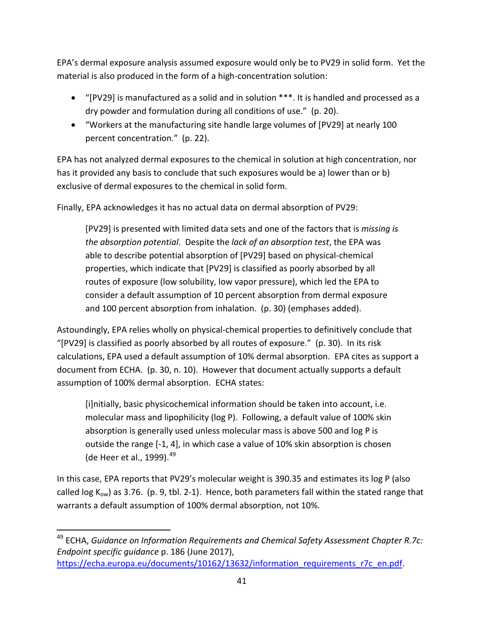EPA's dermal exposure analysis assumed exposure would only be to PV29 in solid form. Yet the material is also produced in the form of a high-concentration solution:

- "[PV29] is manufactured as a solid and in solution \*\*\*. It is handled and processed as a dry powder and formulation during all conditions of use." (p. 20).
- "Workers at the manufacturing site handle large volumes of [PV29] at nearly 100 percent concentration." (p. 22).

EPA has not analyzed dermal exposures to the chemical in solution at high concentration, nor has it provided any basis to conclude that such exposures would be a) lower than or b) exclusive of dermal exposures to the chemical in solid form.

Finally, EPA acknowledges it has no actual data on dermal absorption of PV29:

[PV29] is presented with limited data sets and one of the factors that is *missing is the absorption potential*. Despite the *lack of an absorption test*, the EPA was able to describe potential absorption of [PV29] based on physical-chemical properties, which indicate that [PV29] is classified as poorly absorbed by all routes of exposure (low solubility, low vapor pressure), which led the EPA to consider a default assumption of 10 percent absorption from dermal exposure and 100 percent absorption from inhalation. (p. 30) (emphases added).

Astoundingly, EPA relies wholly on physical-chemical properties to definitively conclude that "[PV29] is classified as poorly absorbed by all routes of exposure." (p. 30). In its risk calculations, EPA used a default assumption of 10% dermal absorption. EPA cites as support a document from ECHA. (p. 30, n. 10). However that document actually supports a default assumption of 100% dermal absorption. ECHA states:

[i]nitially, basic physicochemical information should be taken into account, i.e. molecular mass and lipophilicity (log P). Following, a default value of 100% skin absorption is generally used unless molecular mass is above 500 and log P is outside the range [-1, 4], in which case a value of 10% skin absorption is chosen (de Heer et al., 1999).  $49$ 

In this case, EPA reports that PV29's molecular weight is 390.35 and estimates its log P (also called log  $K_{ow}$ ) as 3.76. (p. 9, tbl. 2-1). Hence, both parameters fall within the stated range that warrants a default assumption of 100% dermal absorption, not 10%.

<span id="page-40-0"></span> <sup>49</sup> ECHA, *Guidance on Information Requirements and Chemical Safety Assessment Chapter R.7c: Endpoint specific guidance* p. 186 (June 2017), [https://echa.europa.eu/documents/10162/13632/information\\_requirements\\_r7c\\_en.pdf.](https://echa.europa.eu/documents/10162/13632/information_requirements_r7c_en.pdf)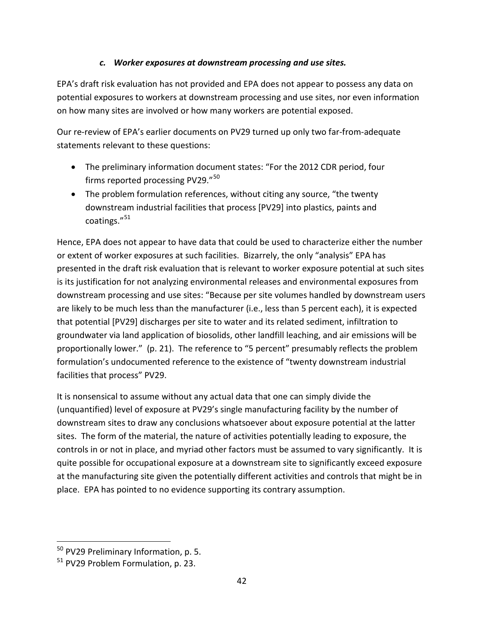#### *c. Worker exposures at downstream processing and use sites.*

EPA's draft risk evaluation has not provided and EPA does not appear to possess any data on potential exposures to workers at downstream processing and use sites, nor even information on how many sites are involved or how many workers are potential exposed.

Our re-review of EPA's earlier documents on PV29 turned up only two far-from-adequate statements relevant to these questions:

- The preliminary information document states: "For the 2012 CDR period, four firms reported processing PV29."<sup>[50](#page-41-0)</sup>
- The problem formulation references, without citing any source, "the twenty downstream industrial facilities that process [PV29] into plastics, paints and coatings."[51](#page-41-1)

Hence, EPA does not appear to have data that could be used to characterize either the number or extent of worker exposures at such facilities. Bizarrely, the only "analysis" EPA has presented in the draft risk evaluation that is relevant to worker exposure potential at such sites is its justification for not analyzing environmental releases and environmental exposures from downstream processing and use sites: "Because per site volumes handled by downstream users are likely to be much less than the manufacturer (i.e., less than 5 percent each), it is expected that potential [PV29] discharges per site to water and its related sediment, infiltration to groundwater via land application of biosolids, other landfill leaching, and air emissions will be proportionally lower." (p. 21). The reference to "5 percent" presumably reflects the problem formulation's undocumented reference to the existence of "twenty downstream industrial facilities that process" PV29.

It is nonsensical to assume without any actual data that one can simply divide the (unquantified) level of exposure at PV29's single manufacturing facility by the number of downstream sites to draw any conclusions whatsoever about exposure potential at the latter sites. The form of the material, the nature of activities potentially leading to exposure, the controls in or not in place, and myriad other factors must be assumed to vary significantly. It is quite possible for occupational exposure at a downstream site to significantly exceed exposure at the manufacturing site given the potentially different activities and controls that might be in place. EPA has pointed to no evidence supporting its contrary assumption.

<span id="page-41-0"></span> <sup>50</sup> PV29 Preliminary Information, p. 5.

<span id="page-41-1"></span><sup>&</sup>lt;sup>51</sup> PV29 Problem Formulation, p. 23.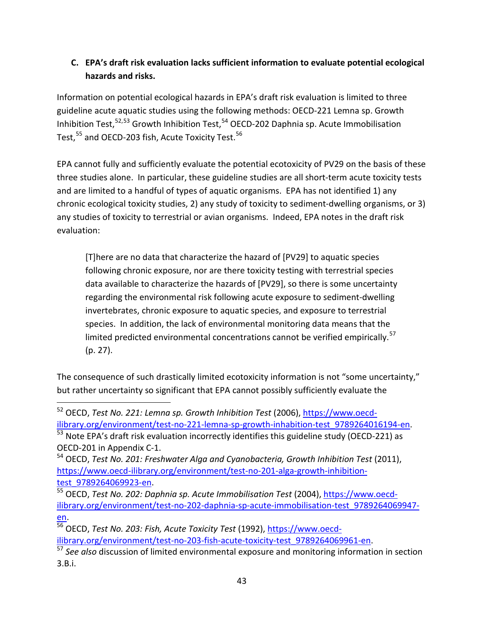## **C. EPA's draft risk evaluation lacks sufficient information to evaluate potential ecological hazards and risks.**

Information on potential ecological hazards in EPA's draft risk evaluation is limited to three guideline acute aquatic studies using the following methods: OECD-221 Lemna sp. Growth Inhibition Test,  $52,53$  $52,53$  Growth Inhibition Test,  $54$  OECD-202 Daphnia sp. Acute Immobilisation Test,<sup>[55](#page-42-3)</sup> and OECD-203 fish, Acute Toxicity Test.<sup>[56](#page-42-4)</sup>

EPA cannot fully and sufficiently evaluate the potential ecotoxicity of PV29 on the basis of these three studies alone. In particular, these guideline studies are all short-term acute toxicity tests and are limited to a handful of types of aquatic organisms. EPA has not identified 1) any chronic ecological toxicity studies, 2) any study of toxicity to sediment-dwelling organisms, or 3) any studies of toxicity to terrestrial or avian organisms. Indeed, EPA notes in the draft risk evaluation:

[T]here are no data that characterize the hazard of [PV29] to aquatic species following chronic exposure, nor are there toxicity testing with terrestrial species data available to characterize the hazards of [PV29], so there is some uncertainty regarding the environmental risk following acute exposure to sediment-dwelling invertebrates, chronic exposure to aquatic species, and exposure to terrestrial species. In addition, the lack of environmental monitoring data means that the limited predicted environmental concentrations cannot be verified empirically.<sup>[57](#page-42-5)</sup> (p. 27).

The consequence of such drastically limited ecotoxicity information is not "some uncertainty," but rather uncertainty so significant that EPA cannot possibly sufficiently evaluate the

<span id="page-42-0"></span> <sup>52</sup> OECD, *Test No. 221: Lemna sp. Growth Inhibition Test* (2006), [https://www.oecd](https://www.oecd-ilibrary.org/environment/test-no-221-lemna-sp-growth-inhabition-test_9789264016194-en)[ilibrary.org/environment/test-no-221-lemna-sp-growth-inhabition-test\\_9789264016194-en.](https://www.oecd-ilibrary.org/environment/test-no-221-lemna-sp-growth-inhabition-test_9789264016194-en)

<span id="page-42-1"></span> $\frac{53}{53}$  Note EPA's draft risk evaluation incorrectly identifies this guideline study (OECD-221) as OECD-201 in Appendix C-1.

<span id="page-42-2"></span><sup>54</sup> OECD, *Test No. 201: Freshwater Alga and Cyanobacteria, Growth Inhibition Test* (2011), [https://www.oecd-ilibrary.org/environment/test-no-201-alga-growth-inhibition](https://www.oecd-ilibrary.org/environment/test-no-201-alga-growth-inhibition-test_9789264069923-en)[test\\_9789264069923-en.](https://www.oecd-ilibrary.org/environment/test-no-201-alga-growth-inhibition-test_9789264069923-en)

<span id="page-42-3"></span><sup>55</sup> OECD, *Test No. 202: Daphnia sp. Acute Immobilisation Test* (2004), [https://www.oecd](https://www.oecd-ilibrary.org/environment/test-no-202-daphnia-sp-acute-immobilisation-test_9789264069947-en)[ilibrary.org/environment/test-no-202-daphnia-sp-acute-immobilisation-test\\_9789264069947](https://www.oecd-ilibrary.org/environment/test-no-202-daphnia-sp-acute-immobilisation-test_9789264069947-en) [en.](https://www.oecd-ilibrary.org/environment/test-no-202-daphnia-sp-acute-immobilisation-test_9789264069947-en)

<span id="page-42-4"></span><sup>56</sup> OECD, *Test No. 203: Fish, Acute Toxicity Test* (1992), [https://www.oecd](https://www.oecd-ilibrary.org/environment/test-no-203-fish-acute-toxicity-test_9789264069961-en)[ilibrary.org/environment/test-no-203-fish-acute-toxicity-test\\_9789264069961-en.](https://www.oecd-ilibrary.org/environment/test-no-203-fish-acute-toxicity-test_9789264069961-en)

<span id="page-42-5"></span><sup>57</sup> *See also* discussion of limited environmental exposure and monitoring information in section 3.B.i.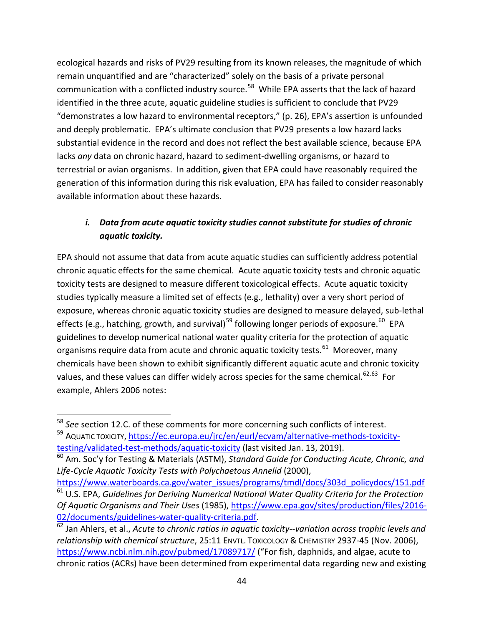ecological hazards and risks of PV29 resulting from its known releases, the magnitude of which remain unquantified and are "characterized" solely on the basis of a private personal communication with a conflicted industry source.<sup>[58](#page-43-0)</sup> While EPA asserts that the lack of hazard identified in the three acute, aquatic guideline studies is sufficient to conclude that PV29 "demonstrates a low hazard to environmental receptors," (p. 26), EPA's assertion is unfounded and deeply problematic. EPA's ultimate conclusion that PV29 presents a low hazard lacks substantial evidence in the record and does not reflect the best available science, because EPA lacks *any* data on chronic hazard, hazard to sediment-dwelling organisms, or hazard to terrestrial or avian organisms. In addition, given that EPA could have reasonably required the generation of this information during this risk evaluation, EPA has failed to consider reasonably available information about these hazards.

### *i. Data from acute aquatic toxicity studies cannot substitute for studies of chronic aquatic toxicity.*

EPA should not assume that data from acute aquatic studies can sufficiently address potential chronic aquatic effects for the same chemical. Acute aquatic toxicity tests and chronic aquatic toxicity tests are designed to measure different toxicological effects. Acute aquatic toxicity studies typically measure a limited set of effects (e.g., lethality) over a very short period of exposure, whereas chronic aquatic toxicity studies are designed to measure delayed, sub-lethal effects (e.g., hatching, growth, and survival)<sup>[59](#page-43-1)</sup> following longer periods of exposure.<sup>[60](#page-43-2)</sup> EPA guidelines to develop numerical national water quality criteria for the protection of aquatic organisms require data from acute and chronic aquatic toxicity tests.<sup>[61](#page-43-3)</sup> Moreover, many chemicals have been shown to exhibit significantly different aquatic acute and chronic toxicity values, and these values can differ widely across species for the same chemical.<sup>[62,](#page-43-4)[63](#page-43-2)</sup> For example, Ahlers 2006 notes:

<span id="page-43-1"></span><span id="page-43-0"></span> <sup>58</sup> *See* section 12.C. of these comments for more concerning such conflicts of interest. 59 AQUATIC TOXICITY[, https://ec.europa.eu/jrc/en/eurl/ecvam/alternative-methods-toxicity](https://ec.europa.eu/jrc/en/eurl/ecvam/alternative-methods-toxicity-testing/validated-test-methods/aquatic-toxicity)[testing/validated-test-methods/aquatic-toxicity](https://ec.europa.eu/jrc/en/eurl/ecvam/alternative-methods-toxicity-testing/validated-test-methods/aquatic-toxicity) (last visited Jan. 13, 2019).

<span id="page-43-2"></span><sup>60</sup> Am. Soc'y for Testing & Materials (ASTM), *Standard Guide for Conducting Acute, Chronic, and Life-Cycle Aquatic Toxicity Tests with Polychaetous Annelid* (2000),

[https://www.waterboards.ca.gov/water\\_issues/programs/tmdl/docs/303d\\_policydocs/151.pdf](https://www.waterboards.ca.gov/water_issues/programs/tmdl/docs/303d_policydocs/151.pdf)

<span id="page-43-3"></span><sup>61</sup> U.S. EPA, *Guidelines for Deriving Numerical National Water Quality Criteria for the Protection Of Aquatic Organisms and Their Uses* (1985), [https://www.epa.gov/sites/production/files/2016-](https://www.epa.gov/sites/production/files/2016-02/documents/guidelines-water-quality-criteria.pdf) [02/documents/guidelines-water-quality-criteria.pdf.](https://www.epa.gov/sites/production/files/2016-02/documents/guidelines-water-quality-criteria.pdf)

<span id="page-43-4"></span> $\frac{62}{1}$  Jan Ahlers, et al., *Acute to chronic ratios in aquatic toxicity--variation across trophic levels and relationship with chemical structure*, 25:11 ENVTL. TOXICOLOGY & CHEMISTRY 2937-45 (Nov. 2006), <https://www.ncbi.nlm.nih.gov/pubmed/17089717/> ("For fish, daphnids, and algae, acute to chronic ratios (ACRs) have been determined from experimental data regarding new and existing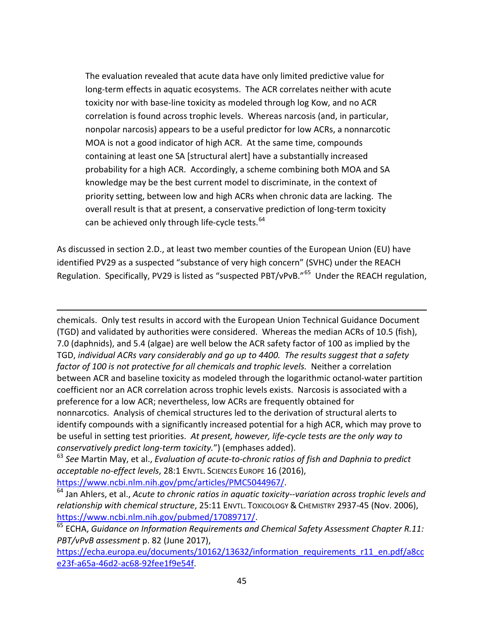The evaluation revealed that acute data have only limited predictive value for long-term effects in aquatic ecosystems. The ACR correlates neither with acute toxicity nor with base-line toxicity as modeled through log Kow, and no ACR correlation is found across trophic levels. Whereas narcosis (and, in particular, nonpolar narcosis) appears to be a useful predictor for low ACRs, a nonnarcotic MOA is not a good indicator of high ACR. At the same time, compounds containing at least one SA [structural alert] have a substantially increased probability for a high ACR. Accordingly, a scheme combining both MOA and SA knowledge may be the best current model to discriminate, in the context of priority setting, between low and high ACRs when chronic data are lacking. The overall result is that at present, a conservative prediction of long-term toxicity can be achieved only through life-cycle tests.<sup>[64](#page-44-0)</sup>

As discussed in section 2.D., at least two member counties of the European Union (EU) have identified PV29 as a suspected "substance of very high concern" (SVHC) under the REACH Regulation. Specifically, PV29 is listed as "suspected PBT/vPvB."<sup>[65](#page-44-1)</sup> Under the REACH regulation,

chemicals. Only test results in accord with the European Union Technical Guidance Document (TGD) and validated by authorities were considered. Whereas the median ACRs of 10.5 (fish), 7.0 (daphnids), and 5.4 (algae) are well below the ACR safety factor of 100 as implied by the TGD, *individual ACRs vary considerably and go up to 4400. The results suggest that a safety factor of 100 is not protective for all chemicals and trophic levels.* Neither a correlation between ACR and baseline toxicity as modeled through the logarithmic octanol-water partition coefficient nor an ACR correlation across trophic levels exists. Narcosis is associated with a preference for a low ACR; nevertheless, low ACRs are frequently obtained for nonnarcotics. Analysis of chemical structures led to the derivation of structural alerts to identify compounds with a significantly increased potential for a high ACR, which may prove to be useful in setting test priorities. *At present, however, life-cycle tests are the only way to conservatively predict long-term toxicity.*") (emphases added).

<sup>63</sup> *See* Martin May, et al., *Evaluation of acute-to-chronic ratios of fish and Daphnia to predict acceptable no-effect levels*, 28:1 ENVTL. SCIENCES EUROPE 16 (2016),

[https://www.ncbi.nlm.nih.gov/pmc/articles/PMC5044967/.](https://www.ncbi.nlm.nih.gov/pmc/articles/PMC5044967/)

 $\overline{\phantom{a}}$ 

<span id="page-44-0"></span><sup>64</sup> Jan Ahlers, et al., *Acute to chronic ratios in aquatic toxicity--variation across trophic levels and relationship with chemical structure*, 25:11 ENVTL. TOXICOLOGY & CHEMISTRY 2937-45 (Nov. 2006), [https://www.ncbi.nlm.nih.gov/pubmed/17089717/.](https://www.ncbi.nlm.nih.gov/pubmed/17089717/)

<span id="page-44-1"></span><sup>65</sup> ECHA, Guidance on Information Requirements and Chemical Safety Assessment Chapter R.11: *PBT/vPvB assessment* p. 82 (June 2017),

[https://echa.europa.eu/documents/10162/13632/information\\_requirements\\_r11\\_en.pdf/a8cc](https://echa.europa.eu/documents/10162/13632/information_requirements_r11_en.pdf/a8cce23f-a65a-46d2-ac68-92fee1f9e54f) [e23f-a65a-46d2-ac68-92fee1f9e54f.](https://echa.europa.eu/documents/10162/13632/information_requirements_r11_en.pdf/a8cce23f-a65a-46d2-ac68-92fee1f9e54f)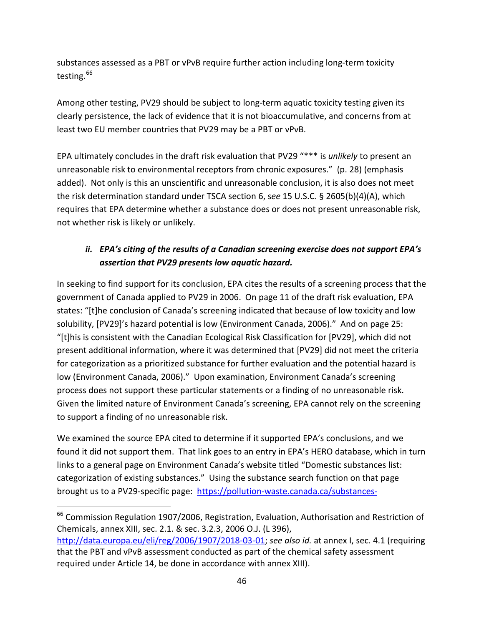substances assessed as a PBT or vPvB require further action including long-term toxicity testing.<sup>[66](#page-45-0)</sup>

Among other testing, PV29 should be subject to long-term aquatic toxicity testing given its clearly persistence, the lack of evidence that it is not bioaccumulative, and concerns from at least two EU member countries that PV29 may be a PBT or vPvB.

EPA ultimately concludes in the draft risk evaluation that PV29 "\*\*\* is *unlikely* to present an unreasonable risk to environmental receptors from chronic exposures." (p. 28) (emphasis added). Not only is this an unscientific and unreasonable conclusion, it is also does not meet the risk determination standard under TSCA section 6, s*ee* 15 U.S.C. § 2605(b)(4)(A), which requires that EPA determine whether a substance does or does not present unreasonable risk, not whether risk is likely or unlikely.

## *ii. EPA's citing of the results of a Canadian screening exercise does not support EPA's assertion that PV29 presents low aquatic hazard.*

In seeking to find support for its conclusion, EPA cites the results of a screening process that the government of Canada applied to PV29 in 2006. On page 11 of the draft risk evaluation, EPA states: "[t]he conclusion of Canada's screening indicated that because of low toxicity and low solubility, [PV29]'s hazard potential is low (Environment Canada, 2006)." And on page 25: "[t]his is consistent with the Canadian Ecological Risk Classification for [PV29], which did not present additional information, where it was determined that [PV29] did not meet the criteria for categorization as a prioritized substance for further evaluation and the potential hazard is low (Environment Canada, 2006)." Upon examination, Environment Canada's screening process does not support these particular statements or a finding of no unreasonable risk. Given the limited nature of Environment Canada's screening, EPA cannot rely on the screening to support a finding of no unreasonable risk.

We examined the source EPA cited to determine if it supported EPA's conclusions, and we found it did not support them. That link goes to an entry in EPA's HERO database, which in turn links to a general page on Environment Canada's website titled "Domestic substances list: categorization of existing substances." Using the substance search function on that page brought us to a PV29-specific page: [https://pollution-waste.canada.ca/substances-](https://pollution-waste.canada.ca/substances-search/Substance/DisplaySubstanceDetails?Id=81-33-4)

<span id="page-45-0"></span><sup>&</sup>lt;sup>66</sup> Commission Regulation 1907/2006, Registration, Evaluation, Authorisation and Restriction of Chemicals, annex XIII, sec. 2.1. & sec. 3.2.3, 2006 O.J. (L 396),

[http://data.europa.eu/eli/reg/2006/1907/2018-03-01;](http://data.europa.eu/eli/reg/2006/1907/2018-03-01) *see also id.* at annex I, sec. 4.1 (requiring that the PBT and vPvB assessment conducted as part of the chemical safety assessment required under Article 14, be done in accordance with annex XIII).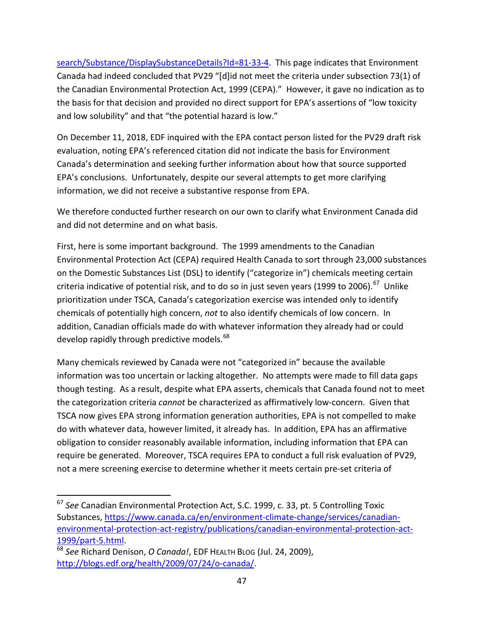[search/Substance/DisplaySubstanceDetails?Id=81-33-4.](https://pollution-waste.canada.ca/substances-search/Substance/DisplaySubstanceDetails?Id=81-33-4) This page indicates that Environment Canada had indeed concluded that PV29 "[d]id not meet the criteria under subsection 73(1) of the Canadian Environmental Protection Act, 1999 (CEPA)." However, it gave no indication as to the basis for that decision and provided no direct support for EPA's assertions of "low toxicity and low solubility" and that "the potential hazard is low."

On December 11, 2018, EDF inquired with the EPA contact person listed for the PV29 draft risk evaluation, noting EPA's referenced citation did not indicate the basis for Environment Canada's determination and seeking further information about how that source supported EPA's conclusions. Unfortunately, despite our several attempts to get more clarifying information, we did not receive a substantive response from EPA.

We therefore conducted further research on our own to clarify what Environment Canada did and did not determine and on what basis.

First, here is some important background. The 1999 amendments to the Canadian Environmental Protection Act (CEPA) required Health Canada to sort through 23,000 substances on the Domestic Substances List (DSL) to identify ("categorize in") chemicals meeting certain criteria indicative of potential risk, and to do so in just seven years (1999 to 2006).<sup>[67](#page-46-0)</sup> Unlike prioritization under TSCA, Canada's categorization exercise was intended only to identify chemicals of potentially high concern, *not* to also identify chemicals of low concern. In addition, Canadian officials made do with whatever information they already had or could develop rapidly through predictive models.<sup>[68](#page-46-1)</sup>

Many chemicals reviewed by Canada were not "categorized in" because the available information was too uncertain or lacking altogether. No attempts were made to fill data gaps though testing. As a result, despite what EPA asserts, chemicals that Canada found not to meet the categorization criteria *cannot* be characterized as affirmatively low-concern. Given that TSCA now gives EPA strong information generation authorities, EPA is not compelled to make do with whatever data, however limited, it already has. In addition, EPA has an affirmative obligation to consider reasonably available information, including information that EPA can require be generated. Moreover, TSCA requires EPA to conduct a full risk evaluation of PV29, not a mere screening exercise to determine whether it meets certain pre-set criteria of

<span id="page-46-0"></span> <sup>67</sup> *See* Canadian Environmental Protection Act, S.C. 1999, c. 33, pt. 5 Controlling Toxic Substances, [https://www.canada.ca/en/environment-climate-change/services/canadian](https://www.canada.ca/en/environment-climate-change/services/canadian-environmental-protection-act-registry/publications/canadian-environmental-protection-act-1999/part-5.html)[environmental-protection-act-registry/publications/canadian-environmental-protection-act-](https://www.canada.ca/en/environment-climate-change/services/canadian-environmental-protection-act-registry/publications/canadian-environmental-protection-act-1999/part-5.html)[1999/part-5.html.](https://www.canada.ca/en/environment-climate-change/services/canadian-environmental-protection-act-registry/publications/canadian-environmental-protection-act-1999/part-5.html)

<span id="page-46-1"></span><sup>68</sup> *See* Richard Denison, *O Canada!*, EDF HEALTH BLOG (Jul. 24, 2009), [http://blogs.edf.org/health/2009/07/24/o-canada/.](http://blogs.edf.org/health/2009/07/24/o-canada/)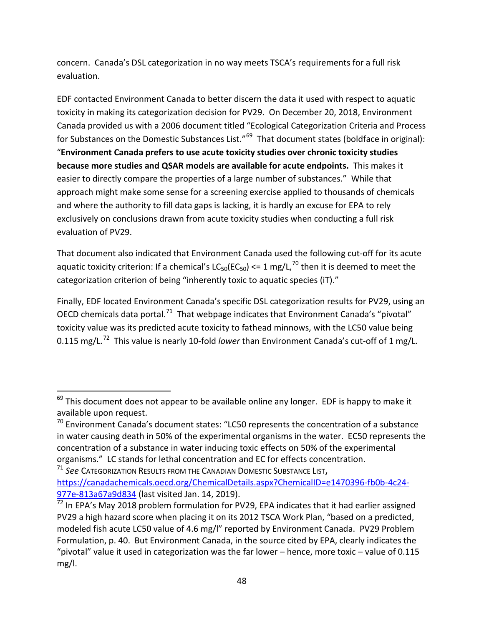concern. Canada's DSL categorization in no way meets TSCA's requirements for a full risk evaluation.

EDF contacted Environment Canada to better discern the data it used with respect to aquatic toxicity in making its categorization decision for PV29. On December 20, 2018, Environment Canada provided us with a 2006 document titled "Ecological Categorization Criteria and Process for Substances on the Domestic Substances List."<sup>[69](#page-47-0)</sup> That document states (boldface in original): "**Environment Canada prefers to use acute toxicity studies over chronic toxicity studies because more studies and QSAR models are available for acute endpoints.** This makes it easier to directly compare the properties of a large number of substances." While that approach might make some sense for a screening exercise applied to thousands of chemicals and where the authority to fill data gaps is lacking, it is hardly an excuse for EPA to rely exclusively on conclusions drawn from acute toxicity studies when conducting a full risk evaluation of PV29.

That document also indicated that Environment Canada used the following cut-off for its acute aquatic toxicity criterion: If a chemical's  $LC_{50}(EC_{50}) \le 1$  mg/L,<sup>[70](#page-47-1)</sup> then it is deemed to meet the categorization criterion of being "inherently toxic to aquatic species (iT)."

Finally, EDF located Environment Canada's specific DSL categorization results for PV29, using an OECD chemicals data portal.<sup>71</sup> That webpage indicates that Environment Canada's "pivotal" toxicity value was its predicted acute toxicity to fathead minnows, with the LC50 value being 0.115 mg/L.<sup>72</sup> This value is nearly 10-fold *lower* than Environment Canada's cut-off of 1 mg/L.

<span id="page-47-0"></span> $69$  This document does not appear to be available online any longer. EDF is happy to make it available upon request.

<span id="page-47-1"></span> $70$  Environment Canada's document states: "LC50 represents the concentration of a substance in water causing death in 50% of the experimental organisms in the water. EC50 represents the concentration of a substance in water inducing toxic effects on 50% of the experimental organisms." LC stands for lethal concentration and EC for effects concentration. <sup>71</sup> *See* CATEGORIZATION RESULTS FROM THE CANADIAN DOMESTIC SUBSTANCE LIST**,** 

<span id="page-47-2"></span>[https://canadachemicals.oecd.org/ChemicalDetails.aspx?ChemicalID=e1470396-fb0b-4c24-](https://canadachemicals.oecd.org/ChemicalDetails.aspx?ChemicalID=e1470396-fb0b-4c24-977e-813a67a9d834)

<span id="page-47-3"></span><sup>977</sup>e-813a67a9d834 (last visited Jan. 14, 2019).<br><sup>[72](https://canadachemicals.oecd.org/ChemicalDetails.aspx?ChemicalID=e1470396-fb0b-4c24-977e-813a67a9d834)</sup> In EPA's May 2018 problem formulation for PV29, EPA indicates that it had earlier assigned PV29 a high hazard score when placing it on its 2012 TSCA Work Plan, "based on a predicted, modeled fish acute LC50 value of 4.6 mg/l" reported by Environment Canada. PV29 Problem Formulation, p. 40. But Environment Canada, in the source cited by EPA, clearly indicates the "pivotal" value it used in categorization was the far lower – hence, more toxic – value of 0.115 mg/l.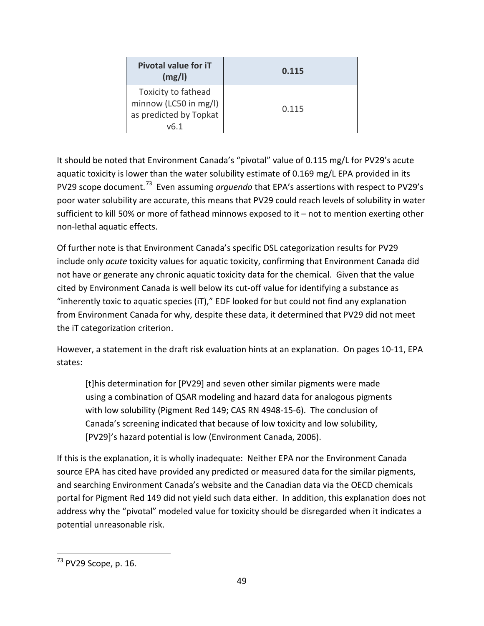| Pivotal value for iT<br>(mg/l)                                                 | 0.115 |
|--------------------------------------------------------------------------------|-------|
| Toxicity to fathead<br>minnow (LC50 in mg/l)<br>as predicted by Topkat<br>v6.1 | 0.115 |

It should be noted that Environment Canada's "pivotal" value of 0.115 mg/L for PV29's acute aquatic toxicity is lower than the water solubility estimate of 0.169 mg/L EPA provided in its PV29 scope document.[73](#page-48-0) Even assuming *arguendo* that EPA's assertions with respect to PV29's poor water solubility are accurate, this means that PV29 could reach levels of solubility in water sufficient to kill 50% or more of fathead minnows exposed to it – not to mention exerting other non-lethal aquatic effects.

Of further note is that Environment Canada's specific DSL categorization results for PV29 include only *acute* toxicity values for aquatic toxicity, confirming that Environment Canada did not have or generate any chronic aquatic toxicity data for the chemical. Given that the value cited by Environment Canada is well below its cut-off value for identifying a substance as "inherently toxic to aquatic species (iT)," EDF looked for but could not find any explanation from Environment Canada for why, despite these data, it determined that PV29 did not meet the iT categorization criterion.

However, a statement in the draft risk evaluation hints at an explanation. On pages 10-11, EPA states:

[t]his determination for [PV29] and seven other similar pigments were made using a combination of QSAR modeling and hazard data for analogous pigments with low solubility (Pigment Red 149; CAS RN 4948-15-6). The conclusion of Canada's screening indicated that because of low toxicity and low solubility, [PV29]'s hazard potential is low (Environment Canada, 2006).

If this is the explanation, it is wholly inadequate: Neither EPA nor the Environment Canada source EPA has cited have provided any predicted or measured data for the similar pigments, and searching Environment Canada's website and the Canadian data via the OECD chemicals portal for Pigment Red 149 did not yield such data either. In addition, this explanation does not address why the "pivotal" modeled value for toxicity should be disregarded when it indicates a potential unreasonable risk.

<span id="page-48-0"></span> <sup>73</sup> PV29 Scope, p. 16.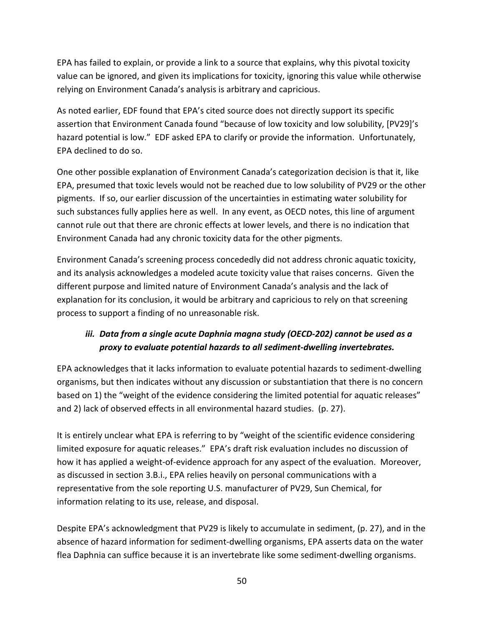EPA has failed to explain, or provide a link to a source that explains, why this pivotal toxicity value can be ignored, and given its implications for toxicity, ignoring this value while otherwise relying on Environment Canada's analysis is arbitrary and capricious.

As noted earlier, EDF found that EPA's cited source does not directly support its specific assertion that Environment Canada found "because of low toxicity and low solubility, [PV29]'s hazard potential is low." EDF asked EPA to clarify or provide the information. Unfortunately, EPA declined to do so.

One other possible explanation of Environment Canada's categorization decision is that it, like EPA, presumed that toxic levels would not be reached due to low solubility of PV29 or the other pigments. If so, our earlier discussion of the uncertainties in estimating water solubility for such substances fully applies here as well. In any event, as OECD notes, this line of argument cannot rule out that there are chronic effects at lower levels, and there is no indication that Environment Canada had any chronic toxicity data for the other pigments.

Environment Canada's screening process concededly did not address chronic aquatic toxicity, and its analysis acknowledges a modeled acute toxicity value that raises concerns. Given the different purpose and limited nature of Environment Canada's analysis and the lack of explanation for its conclusion, it would be arbitrary and capricious to rely on that screening process to support a finding of no unreasonable risk.

## *iii. Data from a single acute Daphnia magna study (OECD-202) cannot be used as a proxy to evaluate potential hazards to all sediment-dwelling invertebrates.*

EPA acknowledges that it lacks information to evaluate potential hazards to sediment-dwelling organisms, but then indicates without any discussion or substantiation that there is no concern based on 1) the "weight of the evidence considering the limited potential for aquatic releases" and 2) lack of observed effects in all environmental hazard studies. (p. 27).

It is entirely unclear what EPA is referring to by "weight of the scientific evidence considering limited exposure for aquatic releases." EPA's draft risk evaluation includes no discussion of how it has applied a weight-of-evidence approach for any aspect of the evaluation. Moreover, as discussed in section 3.B.i., EPA relies heavily on personal communications with a representative from the sole reporting U.S. manufacturer of PV29, Sun Chemical, for information relating to its use, release, and disposal.

Despite EPA's acknowledgment that PV29 is likely to accumulate in sediment, (p. 27), and in the absence of hazard information for sediment-dwelling organisms, EPA asserts data on the water flea Daphnia can suffice because it is an invertebrate like some sediment-dwelling organisms.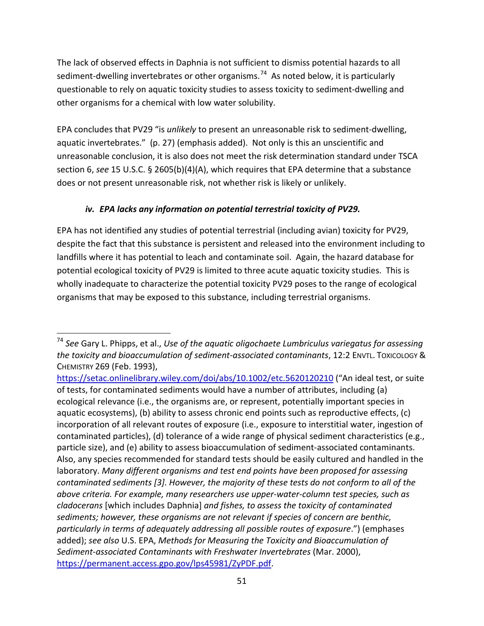The lack of observed effects in Daphnia is not sufficient to dismiss potential hazards to all sediment-dwelling invertebrates or other organisms.<sup>[74](#page-50-0)</sup> As noted below, it is particularly questionable to rely on aquatic toxicity studies to assess toxicity to sediment-dwelling and other organisms for a chemical with low water solubility.

EPA concludes that PV29 "is *unlikely* to present an unreasonable risk to sediment-dwelling, aquatic invertebrates." (p. 27) (emphasis added). Not only is this an unscientific and unreasonable conclusion, it is also does not meet the risk determination standard under TSCA section 6, *see* 15 U.S.C. § 2605(b)(4)(A), which requires that EPA determine that a substance does or not present unreasonable risk, not whether risk is likely or unlikely.

### *iv. EPA lacks any information on potential terrestrial toxicity of PV29.*

EPA has not identified any studies of potential terrestrial (including avian) toxicity for PV29, despite the fact that this substance is persistent and released into the environment including to landfills where it has potential to leach and contaminate soil. Again, the hazard database for potential ecological toxicity of PV29 is limited to three acute aquatic toxicity studies. This is wholly inadequate to characterize the potential toxicity PV29 poses to the range of ecological organisms that may be exposed to this substance, including terrestrial organisms.

<span id="page-50-0"></span> <sup>74</sup> *See* Gary L. Phipps, et al., *Use of the aquatic oligochaete Lumbriculus variegatus for assessing the toxicity and bioaccumulation of sediment-associated contaminants*, 12:2 ENVTL. TOXICOLOGY & CHEMISTRY 269 (Feb. 1993),

<https://setac.onlinelibrary.wiley.com/doi/abs/10.1002/etc.5620120210> ("An ideal test, or suite of tests, for contaminated sediments would have a number of attributes, including (a) ecological relevance (i.e., the organisms are, or represent, potentially important species in aquatic ecosystems), (b) ability to assess chronic end points such as reproductive effects, (c) incorporation of all relevant routes of exposure (i.e., exposure to interstitial water, ingestion of contaminated particles), (d) tolerance of a wide range of physical sediment characteristics (e.g., particle size), and (e) ability to assess bioaccumulation of sediment-associated contaminants. Also, any species recommended for standard tests should be easily cultured and handled in the laboratory. *Many different organisms and test end points have been proposed for assessing contaminated sediments [3]. However, the majority of these tests do not conform to all of the above criteria. For example, many researchers use upper-water-column test species, such as cladocerans* [which includes Daphnia] *and fishes, to assess the toxicity of contaminated sediments; however, these organisms are not relevant if species of concern are benthic, particularly in terms of adequately addressing all possible routes of exposure*.") (emphases added); *see also* U.S. EPA, *Methods for Measuring the Toxicity and Bioaccumulation of Sediment-associated Contaminants with Freshwater Invertebrates* (Mar. 2000), [https://permanent.access.gpo.gov/lps45981/ZyPDF.pdf.](https://permanent.access.gpo.gov/lps45981/ZyPDF.pdf)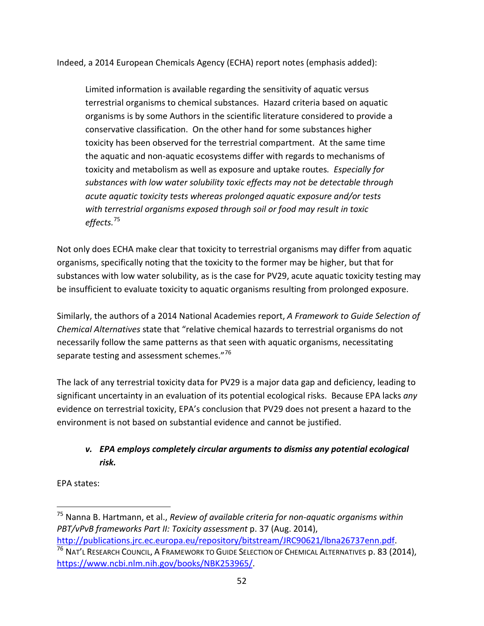Indeed, a 2014 European Chemicals Agency (ECHA) report notes (emphasis added):

Limited information is available regarding the sensitivity of aquatic versus terrestrial organisms to chemical substances. Hazard criteria based on aquatic organisms is by some Authors in the scientific literature considered to provide a conservative classification. On the other hand for some substances higher toxicity has been observed for the terrestrial compartment. At the same time the aquatic and non-aquatic ecosystems differ with regards to mechanisms of toxicity and metabolism as well as exposure and uptake routes*. Especially for substances with low water solubility toxic effects may not be detectable through acute aquatic toxicity tests whereas prolonged aquatic exposure and/or tests with terrestrial organisms exposed through soil or food may result in toxic effects.*[75](#page-51-0)

Not only does ECHA make clear that toxicity to terrestrial organisms may differ from aquatic organisms, specifically noting that the toxicity to the former may be higher, but that for substances with low water solubility, as is the case for PV29, acute aquatic toxicity testing may be insufficient to evaluate toxicity to aquatic organisms resulting from prolonged exposure.

Similarly, the authors of a 2014 National Academies report, *A Framework to Guide Selection of Chemical Alternatives* state that "relative chemical hazards to terrestrial organisms do not necessarily follow the same patterns as that seen with aquatic organisms, necessitating separate testing and assessment schemes."<sup>[76](#page-51-1)</sup>

The lack of any terrestrial toxicity data for PV29 is a major data gap and deficiency, leading to significant uncertainty in an evaluation of its potential ecological risks. Because EPA lacks *any* evidence on terrestrial toxicity, EPA's conclusion that PV29 does not present a hazard to the environment is not based on substantial evidence and cannot be justified.

## *v. EPA employs completely circular arguments to dismiss any potential ecological risk.*

EPA states:

<span id="page-51-0"></span> <sup>75</sup> Nanna B. Hartmann, et al., *Review of available criteria for non-aquatic organisms within PBT/vPvB frameworks Part II: Toxicity assessment* p. 37 (Aug. 2014), [http://publications.jrc.ec.europa.eu/repository/bitstream/JRC90621/lbna26737enn.pdf.](http://publications.jrc.ec.europa.eu/repository/bitstream/JRC90621/lbna26737enn.pdf)

<span id="page-51-1"></span><sup>&</sup>lt;sup>76</sup> NAT'L RESEARCH COUNCIL, A FRAMEWORK TO GUIDE SELECTION OF CHEMICAL ALTERNATIVES p. 83 (2014), [https://www.ncbi.nlm.nih.gov/books/NBK253965/.](https://www.ncbi.nlm.nih.gov/books/NBK253965/)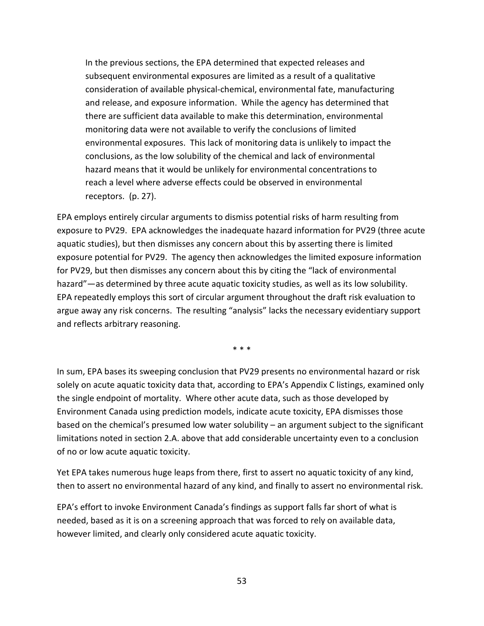In the previous sections, the EPA determined that expected releases and subsequent environmental exposures are limited as a result of a qualitative consideration of available physical-chemical, environmental fate, manufacturing and release, and exposure information. While the agency has determined that there are sufficient data available to make this determination, environmental monitoring data were not available to verify the conclusions of limited environmental exposures. This lack of monitoring data is unlikely to impact the conclusions, as the low solubility of the chemical and lack of environmental hazard means that it would be unlikely for environmental concentrations to reach a level where adverse effects could be observed in environmental receptors. (p. 27).

EPA employs entirely circular arguments to dismiss potential risks of harm resulting from exposure to PV29. EPA acknowledges the inadequate hazard information for PV29 (three acute aquatic studies), but then dismisses any concern about this by asserting there is limited exposure potential for PV29. The agency then acknowledges the limited exposure information for PV29, but then dismisses any concern about this by citing the "lack of environmental hazard"—as determined by three acute aquatic toxicity studies, as well as its low solubility. EPA repeatedly employs this sort of circular argument throughout the draft risk evaluation to argue away any risk concerns. The resulting "analysis" lacks the necessary evidentiary support and reflects arbitrary reasoning.

\* \* \*

In sum, EPA bases its sweeping conclusion that PV29 presents no environmental hazard or risk solely on acute aquatic toxicity data that, according to EPA's Appendix C listings, examined only the single endpoint of mortality. Where other acute data, such as those developed by Environment Canada using prediction models, indicate acute toxicity, EPA dismisses those based on the chemical's presumed low water solubility – an argument subject to the significant limitations noted in section 2.A. above that add considerable uncertainty even to a conclusion of no or low acute aquatic toxicity.

Yet EPA takes numerous huge leaps from there, first to assert no aquatic toxicity of any kind, then to assert no environmental hazard of any kind, and finally to assert no environmental risk.

EPA's effort to invoke Environment Canada's findings as support falls far short of what is needed, based as it is on a screening approach that was forced to rely on available data, however limited, and clearly only considered acute aquatic toxicity.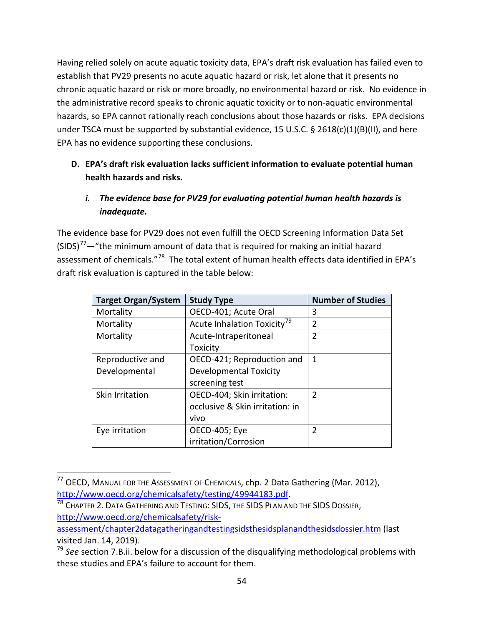Having relied solely on acute aquatic toxicity data, EPA's draft risk evaluation has failed even to establish that PV29 presents no acute aquatic hazard or risk, let alone that it presents no chronic aquatic hazard or risk or more broadly, no environmental hazard or risk. No evidence in the administrative record speaks to chronic aquatic toxicity or to non-aquatic environmental hazards, so EPA cannot rationally reach conclusions about those hazards or risks. EPA decisions under TSCA must be supported by substantial evidence, 15 U.S.C. § 2618(c)(1)(B)(II), and here EPA has no evidence supporting these conclusions.

## **D. EPA's draft risk evaluation lacks sufficient information to evaluate potential human health hazards and risks.**

## *i. The evidence base for PV29 for evaluating potential human health hazards is inadequate.*

The evidence base for PV29 does not even fulfill the OECD Screening Information Data Set  $(SIDS)<sup>77</sup>$  $(SIDS)<sup>77</sup>$  $(SIDS)<sup>77</sup>$  - "the minimum amount of data that is required for making an initial hazard assessment of chemicals."<sup>[78](#page-53-1)</sup> The total extent of human health effects data identified in EPA's draft risk evaluation is captured in the table below:

| <b>Target Organ/System</b> | <b>Study Type</b>                       | <b>Number of Studies</b> |
|----------------------------|-----------------------------------------|--------------------------|
| Mortality                  | OECD-401; Acute Oral                    | 3                        |
| Mortality                  | Acute Inhalation Toxicity <sup>79</sup> | 2                        |
| Mortality                  | Acute-Intraperitoneal                   | 2                        |
|                            | Toxicity                                |                          |
| Reproductive and           | OECD-421; Reproduction and              | 1                        |
| Developmental              | Developmental Toxicity                  |                          |
|                            | screening test                          |                          |
| Skin Irritation            | OECD-404; Skin irritation:              | $\mathcal{P}$            |
|                            | occlusive & Skin irritation: in         |                          |
|                            | vivo                                    |                          |
| Eye irritation             | OECD-405; Eye                           | $\mathfrak z$            |
|                            | irritation/Corrosion                    |                          |

<span id="page-53-0"></span><sup>&</sup>lt;sup>77</sup> OECD, MANUAL FOR THE ASSESSMENT OF CHEMICALS, chp. 2 Data Gathering (Mar. 2012), [http://www.oecd.org/chemicalsafety/testing/49944183.pdf.](http://www.oecd.org/chemicalsafety/testing/49944183.pdf)

<span id="page-53-1"></span><sup>78</sup> CHAPTER 2. DATA GATHERING AND TESTING: SIDS, THE SIDS PLAN AND THE SIDS DOSSIER, [http://www.oecd.org/chemicalsafety/risk-](http://www.oecd.org/chemicalsafety/risk-assessment/chapter2datagatheringandtestingsidsthesidsplanandthesidsdossier.htm)

[assessment/chapter2datagatheringandtestingsidsthesidsplanandthesidsdossier.htm](http://www.oecd.org/chemicalsafety/risk-assessment/chapter2datagatheringandtestingsidsthesidsplanandthesidsdossier.htm) (last visited Jan. 14, 2019).

<span id="page-53-2"></span><sup>79</sup> *See* section 7.B.ii. below for a discussion of the disqualifying methodological problems with these studies and EPA's failure to account for them.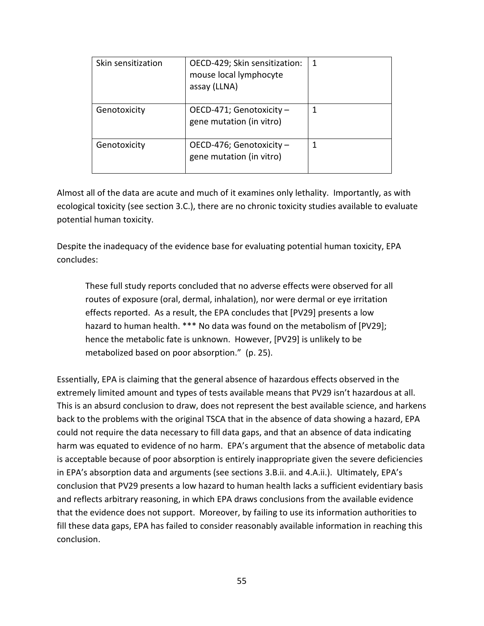| Skin sensitization | OECD-429; Skin sensitization:<br>mouse local lymphocyte<br>assay (LLNA) | 1 |
|--------------------|-------------------------------------------------------------------------|---|
| Genotoxicity       | OECD-471; Genotoxicity -<br>gene mutation (in vitro)                    |   |
| Genotoxicity       | OECD-476; Genotoxicity -<br>gene mutation (in vitro)                    |   |

Almost all of the data are acute and much of it examines only lethality. Importantly, as with ecological toxicity (see section 3.C.), there are no chronic toxicity studies available to evaluate potential human toxicity.

Despite the inadequacy of the evidence base for evaluating potential human toxicity, EPA concludes:

These full study reports concluded that no adverse effects were observed for all routes of exposure (oral, dermal, inhalation), nor were dermal or eye irritation effects reported. As a result, the EPA concludes that [PV29] presents a low hazard to human health. \*\*\* No data was found on the metabolism of [PV29]; hence the metabolic fate is unknown. However, [PV29] is unlikely to be metabolized based on poor absorption." (p. 25).

Essentially, EPA is claiming that the general absence of hazardous effects observed in the extremely limited amount and types of tests available means that PV29 isn't hazardous at all. This is an absurd conclusion to draw, does not represent the best available science, and harkens back to the problems with the original TSCA that in the absence of data showing a hazard, EPA could not require the data necessary to fill data gaps, and that an absence of data indicating harm was equated to evidence of no harm. EPA's argument that the absence of metabolic data is acceptable because of poor absorption is entirely inappropriate given the severe deficiencies in EPA's absorption data and arguments (see sections 3.B.ii. and 4.A.ii.). Ultimately, EPA's conclusion that PV29 presents a low hazard to human health lacks a sufficient evidentiary basis and reflects arbitrary reasoning, in which EPA draws conclusions from the available evidence that the evidence does not support. Moreover, by failing to use its information authorities to fill these data gaps, EPA has failed to consider reasonably available information in reaching this conclusion.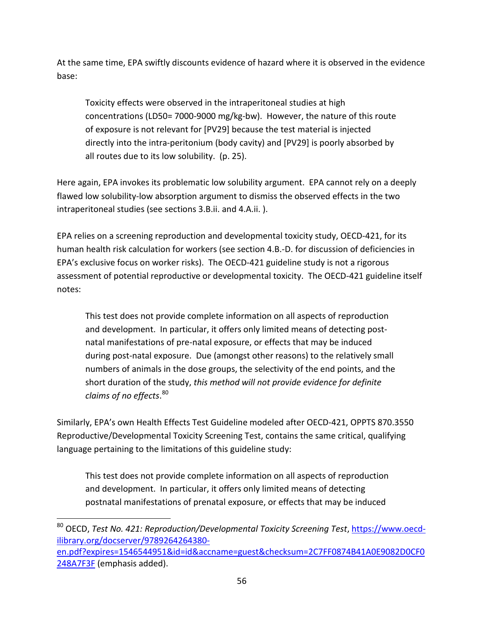At the same time, EPA swiftly discounts evidence of hazard where it is observed in the evidence base:

Toxicity effects were observed in the intraperitoneal studies at high concentrations (LD50= 7000-9000 mg/kg-bw). However, the nature of this route of exposure is not relevant for [PV29] because the test material is injected directly into the intra-peritonium (body cavity) and [PV29] is poorly absorbed by all routes due to its low solubility. (p. 25).

Here again, EPA invokes its problematic low solubility argument. EPA cannot rely on a deeply flawed low solubility-low absorption argument to dismiss the observed effects in the two intraperitoneal studies (see sections 3.B.ii. and 4.A.ii. ).

EPA relies on a screening reproduction and developmental toxicity study, OECD-421, for its human health risk calculation for workers (see section 4.B.-D. for discussion of deficiencies in EPA's exclusive focus on worker risks). The OECD-421 guideline study is not a rigorous assessment of potential reproductive or developmental toxicity. The OECD-421 guideline itself notes:

This test does not provide complete information on all aspects of reproduction and development. In particular, it offers only limited means of detecting postnatal manifestations of pre-natal exposure, or effects that may be induced during post-natal exposure. Due (amongst other reasons) to the relatively small numbers of animals in the dose groups, the selectivity of the end points, and the short duration of the study, *this method will not provide evidence for definite claims of no effects*. [80](#page-55-0)

Similarly, EPA's own Health Effects Test Guideline modeled after OECD-421, OPPTS 870.3550 Reproductive/Developmental Toxicity Screening Test, contains the same critical, qualifying language pertaining to the limitations of this guideline study:

This test does not provide complete information on all aspects of reproduction and development. In particular, it offers only limited means of detecting postnatal manifestations of prenatal exposure, or effects that may be induced

<span id="page-55-0"></span> <sup>80</sup> OECD, *Test No. 421: Reproduction/Developmental Toxicity Screening Test*, [https://www.oecd](https://www.oecd-ilibrary.org/docserver/9789264264380-en.pdf?expires=1546544951&id=id&accname=guest&checksum=2C7FF0874B41A0E9082D0CF0248A7F3F)[ilibrary.org/docserver/9789264264380](https://www.oecd-ilibrary.org/docserver/9789264264380-en.pdf?expires=1546544951&id=id&accname=guest&checksum=2C7FF0874B41A0E9082D0CF0248A7F3F) [en.pdf?expires=1546544951&id=id&accname=guest&checksum=2C7FF0874B41A0E9082D0CF0](https://www.oecd-ilibrary.org/docserver/9789264264380-en.pdf?expires=1546544951&id=id&accname=guest&checksum=2C7FF0874B41A0E9082D0CF0248A7F3F) [248A7F3F](https://www.oecd-ilibrary.org/docserver/9789264264380-en.pdf?expires=1546544951&id=id&accname=guest&checksum=2C7FF0874B41A0E9082D0CF0248A7F3F) (emphasis added).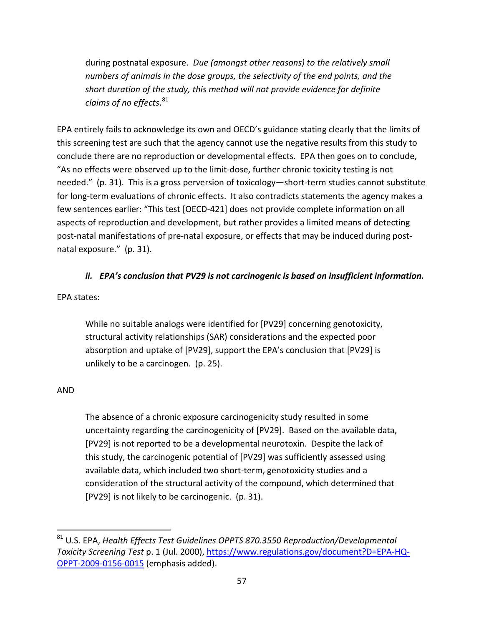during postnatal exposure. *Due (amongst other reasons) to the relatively small numbers of animals in the dose groups, the selectivity of the end points, and the short duration of the study, this method will not provide evidence for definite claims of no effects*. [81](#page-56-0)

EPA entirely fails to acknowledge its own and OECD's guidance stating clearly that the limits of this screening test are such that the agency cannot use the negative results from this study to conclude there are no reproduction or developmental effects. EPA then goes on to conclude, "As no effects were observed up to the limit-dose, further chronic toxicity testing is not needed." (p. 31). This is a gross perversion of toxicology—short-term studies cannot substitute for long-term evaluations of chronic effects. It also contradicts statements the agency makes a few sentences earlier: "This test [OECD-421] does not provide complete information on all aspects of reproduction and development, but rather provides a limited means of detecting post-natal manifestations of pre-natal exposure, or effects that may be induced during postnatal exposure." (p. 31).

#### *ii. EPA's conclusion that PV29 is not carcinogenic is based on insufficient information.*

#### EPA states:

While no suitable analogs were identified for [PV29] concerning genotoxicity, structural activity relationships (SAR) considerations and the expected poor absorption and uptake of [PV29], support the EPA's conclusion that [PV29] is unlikely to be a carcinogen. (p. 25).

#### AND

The absence of a chronic exposure carcinogenicity study resulted in some uncertainty regarding the carcinogenicity of [PV29]. Based on the available data, [PV29] is not reported to be a developmental neurotoxin. Despite the lack of this study, the carcinogenic potential of [PV29] was sufficiently assessed using available data, which included two short-term, genotoxicity studies and a consideration of the structural activity of the compound, which determined that [PV29] is not likely to be carcinogenic. (p. 31).

<span id="page-56-0"></span> <sup>81</sup> U.S. EPA, *Health Effects Test Guidelines OPPTS 870.3550 Reproduction/Developmental Toxicity Screening Test* p. 1 (Jul. 2000), [https://www.regulations.gov/document?D=EPA-HQ-](https://www.regulations.gov/document?D=EPA-HQ-OPPT-2009-0156-0015)[OPPT-2009-0156-0015](https://www.regulations.gov/document?D=EPA-HQ-OPPT-2009-0156-0015) (emphasis added).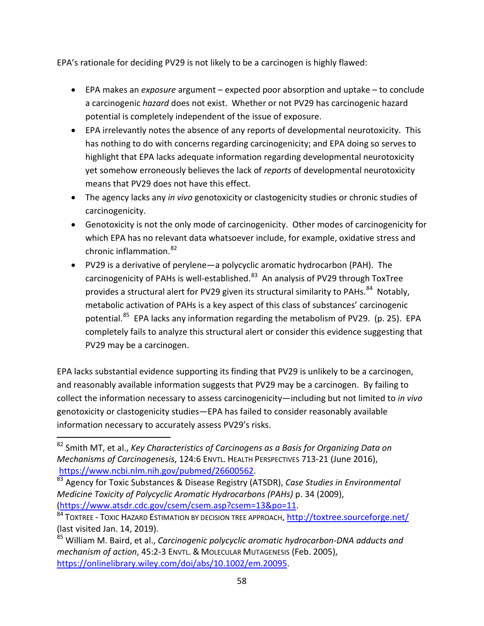EPA's rationale for deciding PV29 is not likely to be a carcinogen is highly flawed:

- EPA makes an *exposure* argument expected poor absorption and uptake to conclude a carcinogenic *hazard* does not exist. Whether or not PV29 has carcinogenic hazard potential is completely independent of the issue of exposure.
- EPA irrelevantly notes the absence of any reports of developmental neurotoxicity. This has nothing to do with concerns regarding carcinogenicity; and EPA doing so serves to highlight that EPA lacks adequate information regarding developmental neurotoxicity yet somehow erroneously believes the lack of *reports* of developmental neurotoxicity means that PV29 does not have this effect.
- The agency lacks any *in vivo* genotoxicity or clastogenicity studies or chronic studies of carcinogenicity.
- Genotoxicity is not the only mode of carcinogenicity. Other modes of carcinogenicity for which EPA has no relevant data whatsoever include, for example, oxidative stress and chronic inflammation.[82](#page-57-0)
- PV29 is a derivative of perylene—a polycyclic aromatic hydrocarbon (PAH). The carcinogenicity of PAHs is well-established. $83$  An analysis of PV29 through ToxTree provides a structural alert for PV29 given its structural similarity to PAHs. $^{84}$  $^{84}$  $^{84}$  Notably, metabolic activation of PAHs is a key aspect of this class of substances' carcinogenic potential.<sup>[85](#page-57-3)</sup> EPA lacks any information regarding the metabolism of PV29. (p. 25). EPA completely fails to analyze this structural alert or consider this evidence suggesting that PV29 may be a carcinogen.

EPA lacks substantial evidence supporting its finding that PV29 is unlikely to be a carcinogen, and reasonably available information suggests that PV29 may be a carcinogen. By failing to collect the information necessary to assess carcinogenicity—including but not limited to *in vivo* genotoxicity or clastogenicity studies—EPA has failed to consider reasonably available information necessary to accurately assess PV29's risks.

<span id="page-57-0"></span> <sup>82</sup> Smith MT, et al., *Key Characteristics of Carcinogens as a Basis for Organizing Data on Mechanisms of Carcinogenesis*, 124:6 ENVTL. HEALTH PERSPECTIVES 713-21 (June 2016), [https://www.ncbi.nlm.nih.gov/pubmed/26600562.](https://www.ncbi.nlm.nih.gov/pubmed/26600562)

<span id="page-57-1"></span><sup>83</sup> Agency for Toxic Substances & Disease Registry (ATSDR), *Case Studies in Environmental Medicine Toxicity of Polycyclic Aromatic Hydrocarbons (PAHs)* p. 34 (2009), [\(https://www.atsdr.cdc.gov/csem/csem.asp?csem=13&po=11.](https://www.atsdr.cdc.gov/csem/csem.asp?csem=13&po=11)

<span id="page-57-2"></span><sup>84</sup> TOXTREE - TOXIC HAZARD ESTIMATION BY DECISION TREE APPROACH, <http://toxtree.sourceforge.net/> (last visited Jan. 14, 2019).

<span id="page-57-3"></span><sup>85</sup> William M. Baird, et al., *Carcinogenic polycyclic aromatic hydrocarbon-DNA adducts and mechanism of action*, 45:2-3 ENVTL. & MOLECULAR MUTAGENESIS (Feb. 2005), [https://onlinelibrary.wiley.com/doi/abs/10.1002/em.20095.](https://onlinelibrary.wiley.com/doi/abs/10.1002/em.20095)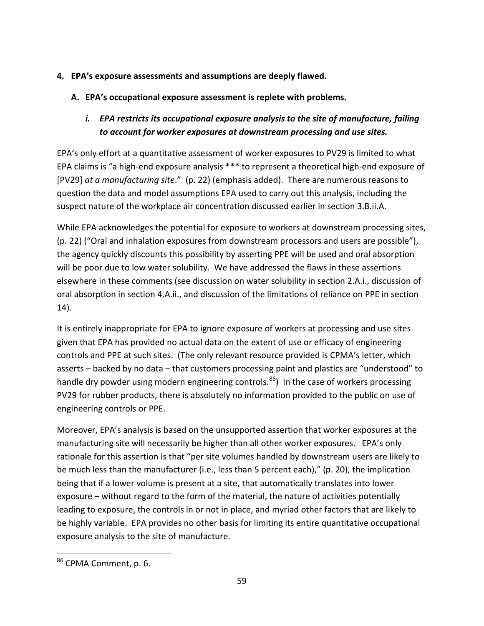- **4. EPA's exposure assessments and assumptions are deeply flawed.**
	- **A. EPA's occupational exposure assessment is replete with problems.**
		- *i. EPA restricts its occupational exposure analysis to the site of manufacture, failing to account for worker exposures at downstream processing and use sites.*

EPA's only effort at a quantitative assessment of worker exposures to PV29 is limited to what EPA claims is "a high-end exposure analysis \*\*\* to represent a theoretical high-end exposure of [PV29] *at a manufacturing site*." (p. 22) (emphasis added). There are numerous reasons to question the data and model assumptions EPA used to carry out this analysis, including the suspect nature of the workplace air concentration discussed earlier in section 3.B.ii.A.

While EPA acknowledges the potential for exposure to workers at downstream processing sites, (p. 22) ("Oral and inhalation exposures from downstream processors and users are possible"), the agency quickly discounts this possibility by asserting PPE will be used and oral absorption will be poor due to low water solubility. We have addressed the flaws in these assertions elsewhere in these comments (see discussion on water solubility in section 2.A.i., discussion of oral absorption in section 4.A.ii., and discussion of the limitations of reliance on PPE in section 14).

It is entirely inappropriate for EPA to ignore exposure of workers at processing and use sites given that EPA has provided no actual data on the extent of use or efficacy of engineering controls and PPE at such sites. (The only relevant resource provided is CPMA's letter, which asserts – backed by no data – that customers processing paint and plastics are "understood" to handle dry powder using modern engineering controls.<sup>86</sup>) In the case of workers processing PV29 for rubber products, there is absolutely no information provided to the public on use of engineering controls or PPE.

Moreover, EPA's analysis is based on the unsupported assertion that worker exposures at the manufacturing site will necessarily be higher than all other worker exposures. EPA's only rationale for this assertion is that "per site volumes handled by downstream users are likely to be much less than the manufacturer (i.e., less than 5 percent each)," (p. 20), the implication being that if a lower volume is present at a site, that automatically translates into lower exposure – without regard to the form of the material, the nature of activities potentially leading to exposure, the controls in or not in place, and myriad other factors that are likely to be highly variable. EPA provides no other basis for limiting its entire quantitative occupational exposure analysis to the site of manufacture.

<span id="page-58-0"></span> <sup>86</sup> CPMA Comment, p. 6.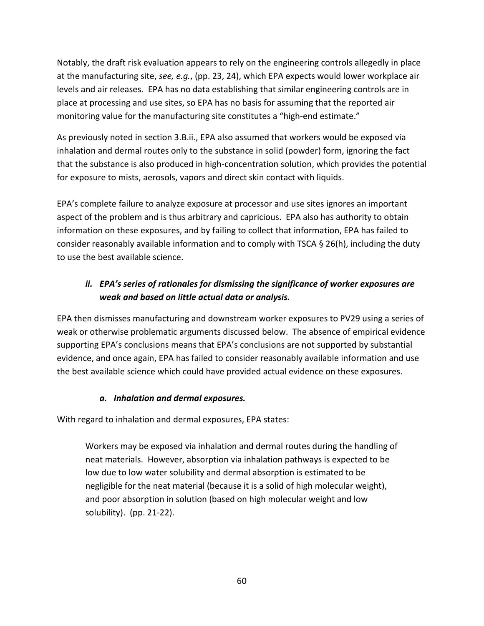Notably, the draft risk evaluation appears to rely on the engineering controls allegedly in place at the manufacturing site, *see, e.g.*, (pp. 23, 24), which EPA expects would lower workplace air levels and air releases. EPA has no data establishing that similar engineering controls are in place at processing and use sites, so EPA has no basis for assuming that the reported air monitoring value for the manufacturing site constitutes a "high-end estimate."

As previously noted in section 3.B.ii., EPA also assumed that workers would be exposed via inhalation and dermal routes only to the substance in solid (powder) form, ignoring the fact that the substance is also produced in high-concentration solution, which provides the potential for exposure to mists, aerosols, vapors and direct skin contact with liquids.

EPA's complete failure to analyze exposure at processor and use sites ignores an important aspect of the problem and is thus arbitrary and capricious. EPA also has authority to obtain information on these exposures, and by failing to collect that information, EPA has failed to consider reasonably available information and to comply with TSCA § 26(h), including the duty to use the best available science.

## *ii. EPA's series of rationales for dismissing the significance of worker exposures are weak and based on little actual data or analysis.*

EPA then dismisses manufacturing and downstream worker exposures to PV29 using a series of weak or otherwise problematic arguments discussed below. The absence of empirical evidence supporting EPA's conclusions means that EPA's conclusions are not supported by substantial evidence, and once again, EPA has failed to consider reasonably available information and use the best available science which could have provided actual evidence on these exposures.

### *a. Inhalation and dermal exposures.*

With regard to inhalation and dermal exposures, EPA states:

Workers may be exposed via inhalation and dermal routes during the handling of neat materials. However, absorption via inhalation pathways is expected to be low due to low water solubility and dermal absorption is estimated to be negligible for the neat material (because it is a solid of high molecular weight), and poor absorption in solution (based on high molecular weight and low solubility). (pp. 21-22).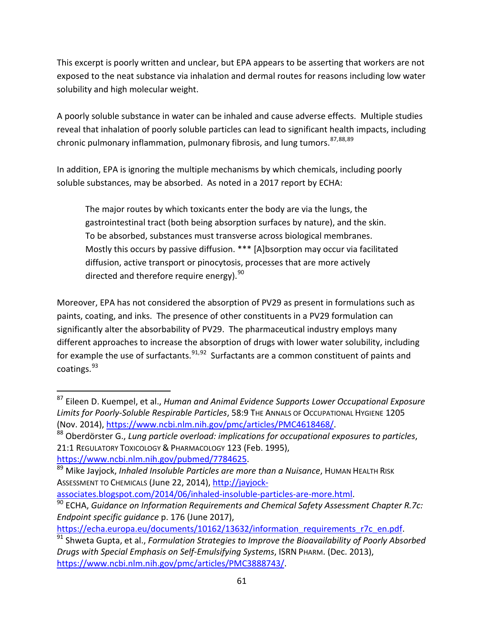This excerpt is poorly written and unclear, but EPA appears to be asserting that workers are not exposed to the neat substance via inhalation and dermal routes for reasons including low water solubility and high molecular weight.

A poorly soluble substance in water can be inhaled and cause adverse effects. Multiple studies reveal that inhalation of poorly soluble particles can lead to significant health impacts, including chronic pulmonary inflammation, pulmonary fibrosis, and lung tumors. [87](#page-60-0),[88,](#page-60-1)[89](#page-60-2)

In addition, EPA is ignoring the multiple mechanisms by which chemicals, including poorly soluble substances, may be absorbed. As noted in a 2017 report by ECHA:

The major routes by which toxicants enter the body are via the lungs, the gastrointestinal tract (both being absorption surfaces by nature), and the skin. To be absorbed, substances must transverse across biological membranes. Mostly this occurs by passive diffusion. \*\*\* [A]bsorption may occur via facilitated diffusion, active transport or pinocytosis, processes that are more actively directed and therefore require energy).<sup>[90](#page-60-3)</sup>

Moreover, EPA has not considered the absorption of PV29 as present in formulations such as paints, coating, and inks. The presence of other constituents in a PV29 formulation can significantly alter the absorbability of PV29. The pharmaceutical industry employs many different approaches to increase the absorption of drugs with lower water solubility, including for example the use of surfactants. $91,92$  $91,92$  Surfactants are a common constituent of paints and coatings. [93](#page-60-6)

<span id="page-60-5"></span>[https://echa.europa.eu/documents/10162/13632/information\\_requirements\\_r7c\\_en.pdf.](https://echa.europa.eu/documents/10162/13632/information_requirements_r7c_en.pdf)

<span id="page-60-0"></span> <sup>87</sup> Eileen D. Kuempel, et al., *Human and Animal Evidence Supports Lower Occupational Exposure Limits for Poorly-Soluble Respirable Particles*, 58:9 THE ANNALS OF OCCUPATIONAL HYGIENE 1205 (Nov. 2014), [https://www.ncbi.nlm.nih.gov/pmc/articles/PMC4618468/.](https://www.ncbi.nlm.nih.gov/pmc/articles/PMC4618468/)

<span id="page-60-1"></span><sup>88</sup> Oberdörster G., *Lung particle overload: implications for occupational exposures to particles*, 21:1 REGULATORY TOXICOLOGY & PHARMACOLOGY 123 (Feb. 1995),

<span id="page-60-2"></span>[https://www.ncbi.nlm.nih.gov/pubmed/7784625.](https://www.ncbi.nlm.nih.gov/pubmed/7784625)<br><sup>[89](https://www.ncbi.nlm.nih.gov/pubmed/7784625)</sup> Mike Jayjock, *Inhaled Insoluble Particles are more than a Nuisance*, HUMAN HEALTH RISK ASSESSMENT TO CHEMICALS (June 22, 2014), [http://jayjock-](http://jayjock-associates.blogspot.com/2014/06/inhaled-insoluble-particles-are-more.html)

<span id="page-60-3"></span>[associates.blogspot.com/2014/06/inhaled-insoluble-particles-are-more.html.](http://jayjock-associates.blogspot.com/2014/06/inhaled-insoluble-particles-are-more.html)<br><sup>[90](http://jayjock-associates.blogspot.com/2014/06/inhaled-insoluble-particles-are-more.html)</sup> ECHA, *Guidance on Information Requirements and Chemical Safety Assessment Chapter R.7c: Endpoint specific guidance* p. 176 (June 2017),

<span id="page-60-6"></span><span id="page-60-4"></span><sup>91</sup> Shweta Gupta, et al., *Formulation Strategies to Improve the Bioavailability of Poorly Absorbed Drugs with Special Emphasis on Self-Emulsifying Systems*, ISRN PHARM. (Dec. 2013), [https://www.ncbi.nlm.nih.gov/pmc/articles/PMC3888743/.](https://www.ncbi.nlm.nih.gov/pmc/articles/PMC3888743/)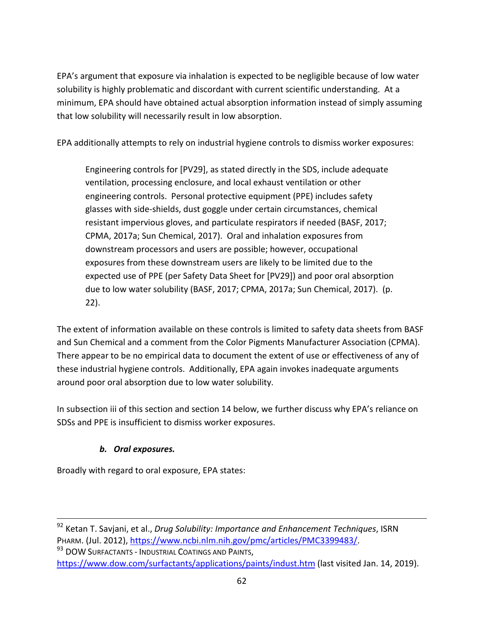EPA's argument that exposure via inhalation is expected to be negligible because of low water solubility is highly problematic and discordant with current scientific understanding. At a minimum, EPA should have obtained actual absorption information instead of simply assuming that low solubility will necessarily result in low absorption.

EPA additionally attempts to rely on industrial hygiene controls to dismiss worker exposures:

Engineering controls for [PV29], as stated directly in the SDS, include adequate ventilation, processing enclosure, and local exhaust ventilation or other engineering controls. Personal protective equipment (PPE) includes safety glasses with side-shields, dust goggle under certain circumstances, chemical resistant impervious gloves, and particulate respirators if needed (BASF, 2017; CPMA, 2017a; Sun Chemical, 2017). Oral and inhalation exposures from downstream processors and users are possible; however, occupational exposures from these downstream users are likely to be limited due to the expected use of PPE (per Safety Data Sheet for [PV29]) and poor oral absorption due to low water solubility (BASF, 2017; CPMA, 2017a; Sun Chemical, 2017). (p. 22).

The extent of information available on these controls is limited to safety data sheets from BASF and Sun Chemical and a comment from the Color Pigments Manufacturer Association (CPMA). There appear to be no empirical data to document the extent of use or effectiveness of any of these industrial hygiene controls. Additionally, EPA again invokes inadequate arguments around poor oral absorption due to low water solubility.

In subsection iii of this section and section 14 below, we further discuss why EPA's reliance on SDSs and PPE is insufficient to dismiss worker exposures.

## *b. Oral exposures.*

Broadly with regard to oral exposure, EPA states:

<sup>93</sup> DOW SURFACTANTS - INDUSTRIAL COATINGS AND PAINTS, <https://www.dow.com/surfactants/applications/paints/indust.htm> (last visited Jan. 14, 2019).

 <sup>92</sup> Ketan T. Savjani, et al., *Drug Solubility: Importance and Enhancement Techniques*, ISRN PHARM. (Jul. 2012), [https://www.ncbi.nlm.nih.gov/pmc/articles/PMC3399483/.](https://www.ncbi.nlm.nih.gov/pmc/articles/PMC3399483/)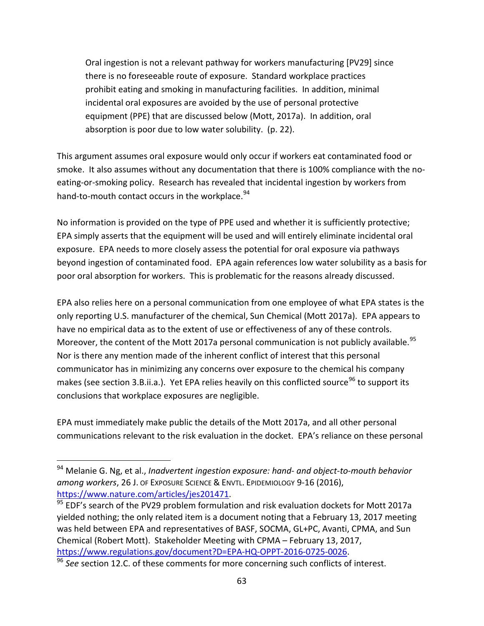Oral ingestion is not a relevant pathway for workers manufacturing [PV29] since there is no foreseeable route of exposure. Standard workplace practices prohibit eating and smoking in manufacturing facilities. In addition, minimal incidental oral exposures are avoided by the use of personal protective equipment (PPE) that are discussed below (Mott, 2017a). In addition, oral absorption is poor due to low water solubility. (p. 22).

This argument assumes oral exposure would only occur if workers eat contaminated food or smoke. It also assumes without any documentation that there is 100% compliance with the noeating-or-smoking policy. Research has revealed that incidental ingestion by workers from hand-to-mouth contact occurs in the workplace.<sup>[94](#page-62-0)</sup>

No information is provided on the type of PPE used and whether it is sufficiently protective; EPA simply asserts that the equipment will be used and will entirely eliminate incidental oral exposure. EPA needs to more closely assess the potential for oral exposure via pathways beyond ingestion of contaminated food. EPA again references low water solubility as a basis for poor oral absorption for workers. This is problematic for the reasons already discussed.

EPA also relies here on a personal communication from one employee of what EPA states is the only reporting U.S. manufacturer of the chemical, Sun Chemical (Mott 2017a). EPA appears to have no empirical data as to the extent of use or effectiveness of any of these controls. Moreover, the content of the Mott 2017a personal communication is not publicly available.<sup>[95](#page-62-1)</sup> Nor is there any mention made of the inherent conflict of interest that this personal communicator has in minimizing any concerns over exposure to the chemical his company makes (see section 3.B.ii.a.). Yet EPA relies heavily on this conflicted source<sup>[96](#page-62-2)</sup> to support its conclusions that workplace exposures are negligible.

EPA must immediately make public the details of the Mott 2017a, and all other personal communications relevant to the risk evaluation in the docket. EPA's reliance on these personal

<span id="page-62-0"></span> <sup>94</sup> Melanie G. Ng, et al., *Inadvertent ingestion exposure: hand- and object-to-mouth behavior among workers*, 26 J. OF EXPOSURE SCIENCE & ENVTL. EPIDEMIOLOGY 9-16 (2016), [https://www.nature.com/articles/jes201471.](https://www.nature.com/articles/jes201471)

<span id="page-62-1"></span><sup>&</sup>lt;sup>95</sup> EDF's search of the PV29 problem formulation and risk evaluation dockets for Mott 2017a yielded nothing; the only related item is a document noting that a February 13, 2017 meeting was held between EPA and representatives of BASF, SOCMA, GL+PC, Avanti, CPMA, and Sun Chemical (Robert Mott). Stakeholder Meeting with CPMA – February 13, 2017, [https://www.regulations.gov/document?D=EPA-HQ-OPPT-2016-0725-0026.](https://www.regulations.gov/document?D=EPA-HQ-OPPT-2016-0725-0026) 96 *See* section 12.C. of these comments for more concerning such conflicts of interest.

<span id="page-62-2"></span>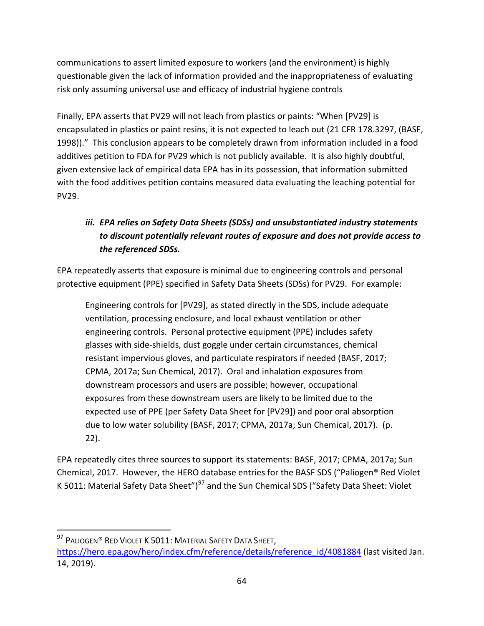communications to assert limited exposure to workers (and the environment) is highly questionable given the lack of information provided and the inappropriateness of evaluating risk only assuming universal use and efficacy of industrial hygiene controls

Finally, EPA asserts that PV29 will not leach from plastics or paints: "When [PV29] is encapsulated in plastics or paint resins, it is not expected to leach out (21 CFR 178.3297, (BASF, 1998))." This conclusion appears to be completely drawn from information included in a food additives petition to FDA for PV29 which is not publicly available. It is also highly doubtful, given extensive lack of empirical data EPA has in its possession, that information submitted with the food additives petition contains measured data evaluating the leaching potential for PV29.

# *iii. EPA relies on Safety Data Sheets (SDSs) and unsubstantiated industry statements to discount potentially relevant routes of exposure and does not provide access to the referenced SDSs.*

EPA repeatedly asserts that exposure is minimal due to engineering controls and personal protective equipment (PPE) specified in Safety Data Sheets (SDSs) for PV29. For example:

Engineering controls for [PV29], as stated directly in the SDS, include adequate ventilation, processing enclosure, and local exhaust ventilation or other engineering controls. Personal protective equipment (PPE) includes safety glasses with side-shields, dust goggle under certain circumstances, chemical resistant impervious gloves, and particulate respirators if needed (BASF, 2017; CPMA, 2017a; Sun Chemical, 2017). Oral and inhalation exposures from downstream processors and users are possible; however, occupational exposures from these downstream users are likely to be limited due to the expected use of PPE (per Safety Data Sheet for [PV29]) and poor oral absorption due to low water solubility (BASF, 2017; CPMA, 2017a; Sun Chemical, 2017). (p. 22).

EPA repeatedly cites three sources to support its statements: BASF, 2017; CPMA, 2017a; Sun Chemical, 2017. However, the HERO database entries for the BASF SDS ("Paliogen® Red Violet K 5011: Material Safety Data Sheet")<sup>[97](#page-63-0)</sup> and the Sun Chemical SDS ("Safety Data Sheet: Violet

<span id="page-63-0"></span><sup>97</sup> PALIOGEN® RED VIOLET K 5011: MATERIAL SAFETY DATA SHEET, [https://hero.epa.gov/hero/index.cfm/reference/details/reference\\_id/4081884](https://hero.epa.gov/hero/index.cfm/reference/details/reference_id/4081884) (last visited Jan. 14, 2019).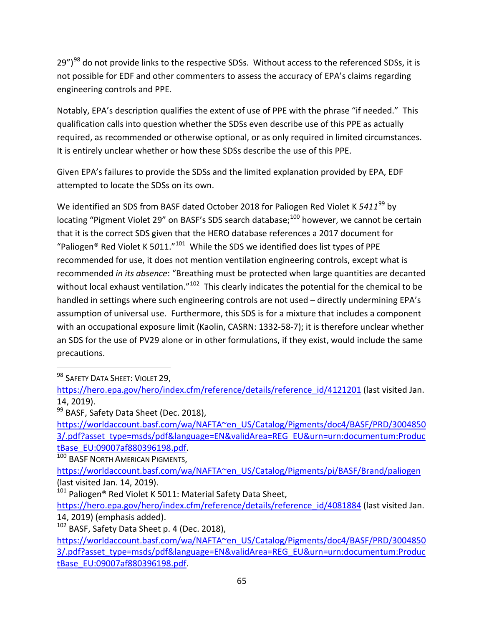29")<sup>[98](#page-64-0)</sup> do not provide links to the respective SDSs. Without access to the referenced SDSs, it is not possible for EDF and other commenters to assess the accuracy of EPA's claims regarding engineering controls and PPE.

Notably, EPA's description qualifies the extent of use of PPE with the phrase "if needed." This qualification calls into question whether the SDSs even describe use of this PPE as actually required, as recommended or otherwise optional, or as only required in limited circumstances. It is entirely unclear whether or how these SDSs describe the use of this PPE.

Given EPA's failures to provide the SDSs and the limited explanation provided by EPA, EDF attempted to locate the SDSs on its own.

We identified an SDS from BASF dated October 2018 for Paliogen Red Violet K 5411<sup>[99](#page-64-1)</sup> by locating "Pigment Violet 29" on BASF's SDS search database;<sup>[100](#page-64-2)</sup> however, we cannot be certain that it is the correct SDS given that the HERO database references a 2017 document for "Paliogen® Red Violet K 5*0*11."[101](#page-64-3) While the SDS we identified does list types of PPE recommended for use, it does not mention ventilation engineering controls, except what is recommended *in its absence*: "Breathing must be protected when large quantities are decanted without local exhaust ventilation."<sup>102</sup> This clearly indicates the potential for the chemical to be handled in settings where such engineering controls are not used – directly undermining EPA's assumption of universal use. Furthermore, this SDS is for a mixture that includes a component with an occupational exposure limit (Kaolin, CASRN: 1332-58-7); it is therefore unclear whether an SDS for the use of PV29 alone or in other formulations, if they exist, would include the same precautions.

<span id="page-64-0"></span>98 SAFETY DATA SHEET: VIOLET 29,

<span id="page-64-2"></span>100 BASF NORTH AMERICAN PIGMENTS,

[https://hero.epa.gov/hero/index.cfm/reference/details/reference\\_id/4121201](https://hero.epa.gov/hero/index.cfm/reference/details/reference_id/4121201) (last visited Jan. 14, 2019).

<span id="page-64-1"></span><sup>&</sup>lt;sup>99</sup> BASF, Safety Data Sheet (Dec. 2018),

[https://worldaccount.basf.com/wa/NAFTA~en\\_US/Catalog/Pigments/doc4/BASF/PRD/3004850](https://worldaccount.basf.com/wa/NAFTA~en_US/Catalog/Pigments/doc4/BASF/PRD/30048503/.pdf?asset_type=msds/pdf&language=EN&validArea=REG_EU&urn=urn:documentum:ProductBase_EU:09007af880396198.pdf) [3/.pdf?asset\\_type=msds/pdf&language=EN&validArea=REG\\_EU&urn=urn:documentum:Produc](https://worldaccount.basf.com/wa/NAFTA~en_US/Catalog/Pigments/doc4/BASF/PRD/30048503/.pdf?asset_type=msds/pdf&language=EN&validArea=REG_EU&urn=urn:documentum:ProductBase_EU:09007af880396198.pdf) [tBase\\_EU:09007af880396198.pdf.](https://worldaccount.basf.com/wa/NAFTA~en_US/Catalog/Pigments/doc4/BASF/PRD/30048503/.pdf?asset_type=msds/pdf&language=EN&validArea=REG_EU&urn=urn:documentum:ProductBase_EU:09007af880396198.pdf)

[https://worldaccount.basf.com/wa/NAFTA~en\\_US/Catalog/Pigments/pi/BASF/Brand/paliogen](https://worldaccount.basf.com/wa/NAFTA~en_US/Catalog/Pigments/pi/BASF/Brand/paliogen) (last visited Jan. 14, 2019).

<span id="page-64-3"></span><sup>101</sup> Paliogen® Red Violet K 5011: Material Safety Data Sheet,

[https://hero.epa.gov/hero/index.cfm/reference/details/reference\\_id/4081884](https://hero.epa.gov/hero/index.cfm/reference/details/reference_id/4081884) (last visited Jan. 14, 2019) (emphasis added).

<span id="page-64-4"></span> $102$  BASF, Safety Data Sheet p. 4 (Dec. 2018),

[https://worldaccount.basf.com/wa/NAFTA~en\\_US/Catalog/Pigments/doc4/BASF/PRD/3004850](https://worldaccount.basf.com/wa/NAFTA~en_US/Catalog/Pigments/doc4/BASF/PRD/30048503/.pdf?asset_type=msds/pdf&language=EN&validArea=REG_EU&urn=urn:documentum:ProductBase_EU:09007af880396198.pdf) [3/.pdf?asset\\_type=msds/pdf&language=EN&validArea=REG\\_EU&urn=urn:documentum:Produc](https://worldaccount.basf.com/wa/NAFTA~en_US/Catalog/Pigments/doc4/BASF/PRD/30048503/.pdf?asset_type=msds/pdf&language=EN&validArea=REG_EU&urn=urn:documentum:ProductBase_EU:09007af880396198.pdf) [tBase\\_EU:09007af880396198.pdf.](https://worldaccount.basf.com/wa/NAFTA~en_US/Catalog/Pigments/doc4/BASF/PRD/30048503/.pdf?asset_type=msds/pdf&language=EN&validArea=REG_EU&urn=urn:documentum:ProductBase_EU:09007af880396198.pdf)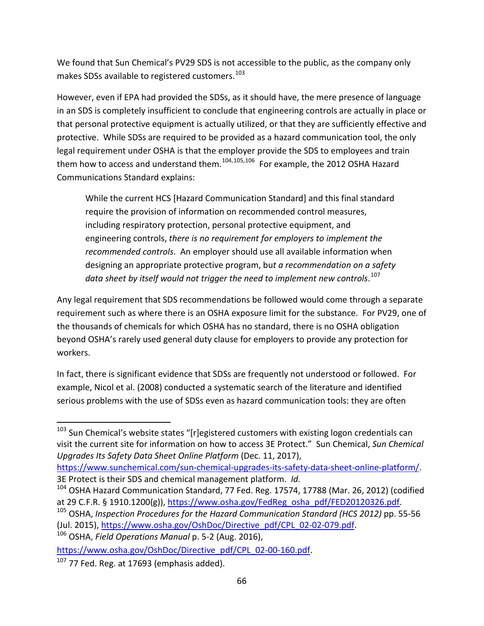We found that Sun Chemical's PV29 SDS is not accessible to the public, as the company only makes SDSs available to registered customers. $^{103}$  $^{103}$  $^{103}$ 

However, even if EPA had provided the SDSs, as it should have, the mere presence of language in an SDS is completely insufficient to conclude that engineering controls are actually in place or that personal protective equipment is actually utilized, or that they are sufficiently effective and protective. While SDSs are required to be provided as a hazard communication tool, the only legal requirement under OSHA is that the employer provide the SDS to employees and train them how to access and understand them. $104,105,106$  $104,105,106$  $104,105,106$  $104,105,106$  For example, the 2012 OSHA Hazard Communications Standard explains:

While the current HCS [Hazard Communication Standard] and this final standard require the provision of information on recommended control measures, including respiratory protection, personal protective equipment, and engineering controls, *there is no requirement for employers to implement the recommended controls*. An employer should use all available information when designing an appropriate protective program, bu*t a recommendation on a safety data sheet by itself would not trigger the need to implement new controls*. [107](#page-65-4)

Any legal requirement that SDS recommendations be followed would come through a separate requirement such as where there is an OSHA exposure limit for the substance. For PV29, one of the thousands of chemicals for which OSHA has no standard, there is no OSHA obligation beyond OSHA's rarely used general duty clause for employers to provide any protection for workers.

In fact, there is significant evidence that SDSs are frequently not understood or followed. For example, Nicol et al. (2008) conducted a systematic search of the literature and identified serious problems with the use of SDSs even as hazard communication tools: they are often

<span id="page-65-3"></span>

[https://www.osha.gov/OshDoc/Directive\\_pdf/CPL\\_02-00-160.pdf.](https://protect-us.mimecast.com/s/CyFFCERPpgh3Ep67upLVQE?domain=osha.gov)

<span id="page-65-0"></span><sup>&</sup>lt;sup>103</sup> Sun Chemical's website states "[r]egistered customers with existing logon credentials can visit the current site for information on how to access 3E Protect." Sun Chemical, *Sun Chemical Upgrades Its Safety Data Sheet Online Platform* (Dec. 11, 2017),

[https://www.sunchemical.com/sun-chemical-upgrades-its-safety-data-sheet-online-platform/.](https://www.sunchemical.com/sun-chemical-upgrades-its-safety-data-sheet-online-platform/) 3E Protect is their SDS and chemical management platform. *Id.*

<span id="page-65-1"></span><sup>&</sup>lt;sup>104</sup> OSHA Hazard Communication Standard, 77 Fed. Reg. 17574, 17788 (Mar. 26, 2012) (codified at 29 C.F.R. § 1910.1200(g)), [https://www.osha.gov/FedReg\\_osha\\_pdf/FED20120326.pdf.](https://www.osha.gov/FedReg_osha_pdf/FED20120326.pdf)

<span id="page-65-2"></span><sup>105</sup> OSHA, *Inspection Procedures for the Hazard Communication Standard (HCS 2012)* pp. 55-56 (Jul. 2015), [https://www.osha.gov/OshDoc/Directive\\_pdf/CPL\\_02-02-079.pdf.](https://protect-us.mimecast.com/s/T2bMCDk0oOs543O9c5gIJ1?domain=osha.gov) 106 OSHA, *Field Operations Manual* p. 5-2 (Aug. 2016),

<span id="page-65-4"></span> $107$  77 Fed. Reg. at 17693 (emphasis added).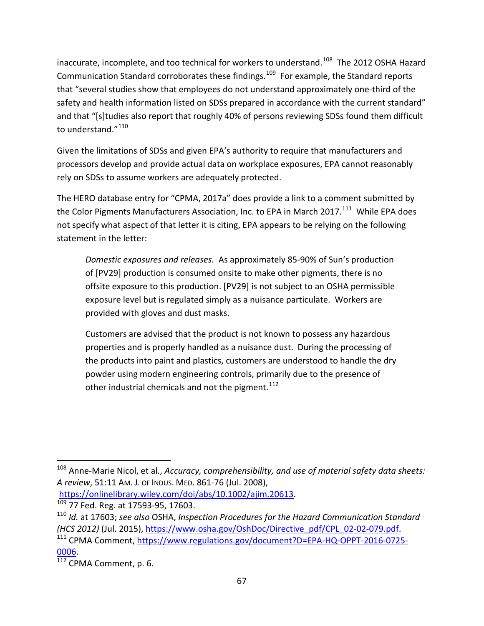inaccurate, incomplete, and too technical for workers to understand.<sup>108</sup> The 2012 OSHA Hazard Communication Standard corroborates these findings.<sup>[109](#page-66-1)</sup> For example, the Standard reports that "several studies show that employees do not understand approximately one-third of the safety and health information listed on SDSs prepared in accordance with the current standard" and that "[s]tudies also report that roughly 40% of persons reviewing SDSs found them difficult to understand." <sup>[110](#page-66-2)</sup>

Given the limitations of SDSs and given EPA's authority to require that manufacturers and processors develop and provide actual data on workplace exposures, EPA cannot reasonably rely on SDSs to assume workers are adequately protected.

The HERO database entry for "CPMA, 2017a" does provide a link to a comment submitted by the Color Pigments Manufacturers Association, Inc. to EPA in March 2017.<sup>[111](#page-66-3)</sup> While EPA does not specify what aspect of that letter it is citing, EPA appears to be relying on the following statement in the letter:

*Domestic exposures and releases.* As approximately 85-90% of Sun's production of [PV29] production is consumed onsite to make other pigments, there is no offsite exposure to this production. [PV29] is not subject to an OSHA permissible exposure level but is regulated simply as a nuisance particulate. Workers are provided with gloves and dust masks.

Customers are advised that the product is not known to possess any hazardous properties and is properly handled as a nuisance dust. During the processing of the products into paint and plastics, customers are understood to handle the dry powder using modern engineering controls, primarily due to the presence of other industrial chemicals and not the pigment.  $112$ 

<span id="page-66-0"></span> <sup>108</sup> Anne-Marie Nicol, et al., *Accuracy, comprehensibility, and use of material safety data sheets: A review*, 51:11 AM. J. OF INDUS. MED. 861-76 (Jul. 2008),

[https://onlinelibrary.wiley.com/doi/abs/10.1002/ajim.20613.](https://onlinelibrary.wiley.com/doi/abs/10.1002/ajim.20613)

<span id="page-66-1"></span> $109$  77 Fed. Reg. at 17593-95, 17603.

<span id="page-66-2"></span><sup>110</sup> *Id.* at 17603; *see also* OSHA, *Inspection Procedures for the Hazard Communication Standard (HCS 2012)* (Jul. 2015), [https://www.osha.gov/OshDoc/Directive\\_pdf/CPL\\_02-02-079.pdf.](https://protect-us.mimecast.com/s/T2bMCDk0oOs543O9c5gIJ1?domain=osha.gov) 111 CPMA Comment, [https://www.regulations.gov/document?D=EPA-HQ-OPPT-2016-0725-](https://www.regulations.gov/document?D=EPA-HQ-OPPT-2016-0725-0006)

<span id="page-66-3"></span>[<sup>0006.</sup>](https://www.regulations.gov/document?D=EPA-HQ-OPPT-2016-0725-0006)

<span id="page-66-4"></span> $\overline{112}$  CPMA Comment, p. 6.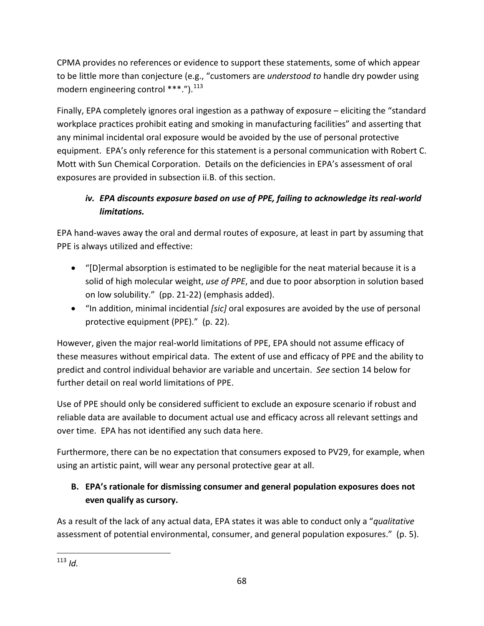CPMA provides no references or evidence to support these statements, some of which appear to be little more than conjecture (e.g., "customers are *understood to* handle dry powder using modern engineering control  $***$ .").<sup>[113](#page-67-0)</sup>

Finally, EPA completely ignores oral ingestion as a pathway of exposure – eliciting the "standard workplace practices prohibit eating and smoking in manufacturing facilities" and asserting that any minimal incidental oral exposure would be avoided by the use of personal protective equipment. EPA's only reference for this statement is a personal communication with Robert C. Mott with Sun Chemical Corporation. Details on the deficiencies in EPA's assessment of oral exposures are provided in subsection ii.B. of this section.

# *iv. EPA discounts exposure based on use of PPE, failing to acknowledge its real-world limitations.*

EPA hand-waves away the oral and dermal routes of exposure, at least in part by assuming that PPE is always utilized and effective:

- "[D]ermal absorption is estimated to be negligible for the neat material because it is a solid of high molecular weight, *use of PPE*, and due to poor absorption in solution based on low solubility." (pp. 21-22) (emphasis added).
- "In addition, minimal incidential *[sic]* oral exposures are avoided by the use of personal protective equipment (PPE)." (p. 22).

However, given the major real-world limitations of PPE, EPA should not assume efficacy of these measures without empirical data. The extent of use and efficacy of PPE and the ability to predict and control individual behavior are variable and uncertain. *See* section 14 below for further detail on real world limitations of PPE.

Use of PPE should only be considered sufficient to exclude an exposure scenario if robust and reliable data are available to document actual use and efficacy across all relevant settings and over time. EPA has not identified any such data here.

Furthermore, there can be no expectation that consumers exposed to PV29, for example, when using an artistic paint, will wear any personal protective gear at all.

# **B. EPA's rationale for dismissing consumer and general population exposures does not even qualify as cursory.**

As a result of the lack of any actual data, EPA states it was able to conduct only a "*qualitative* assessment of potential environmental, consumer, and general population exposures." (p. 5).

<span id="page-67-0"></span> <sup>113</sup> *Id.*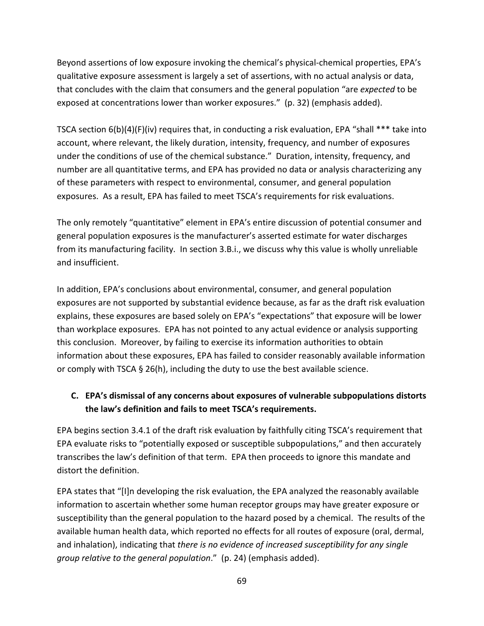Beyond assertions of low exposure invoking the chemical's physical-chemical properties, EPA's qualitative exposure assessment is largely a set of assertions, with no actual analysis or data, that concludes with the claim that consumers and the general population "are *expected* to be exposed at concentrations lower than worker exposures." (p. 32) (emphasis added).

TSCA section 6(b)(4)(F)(iv) requires that, in conducting a risk evaluation, EPA "shall \*\*\* take into account, where relevant, the likely duration, intensity, frequency, and number of exposures under the conditions of use of the chemical substance." Duration, intensity, frequency, and number are all quantitative terms, and EPA has provided no data or analysis characterizing any of these parameters with respect to environmental, consumer, and general population exposures. As a result, EPA has failed to meet TSCA's requirements for risk evaluations.

The only remotely "quantitative" element in EPA's entire discussion of potential consumer and general population exposures is the manufacturer's asserted estimate for water discharges from its manufacturing facility. In section 3.B.i., we discuss why this value is wholly unreliable and insufficient.

In addition, EPA's conclusions about environmental, consumer, and general population exposures are not supported by substantial evidence because, as far as the draft risk evaluation explains, these exposures are based solely on EPA's "expectations" that exposure will be lower than workplace exposures. EPA has not pointed to any actual evidence or analysis supporting this conclusion. Moreover, by failing to exercise its information authorities to obtain information about these exposures, EPA has failed to consider reasonably available information or comply with TSCA § 26(h), including the duty to use the best available science.

## **C. EPA's dismissal of any concerns about exposures of vulnerable subpopulations distorts the law's definition and fails to meet TSCA's requirements.**

EPA begins section 3.4.1 of the draft risk evaluation by faithfully citing TSCA's requirement that EPA evaluate risks to "potentially exposed or susceptible subpopulations," and then accurately transcribes the law's definition of that term. EPA then proceeds to ignore this mandate and distort the definition.

EPA states that "[I]n developing the risk evaluation, the EPA analyzed the reasonably available information to ascertain whether some human receptor groups may have greater exposure or susceptibility than the general population to the hazard posed by a chemical. The results of the available human health data, which reported no effects for all routes of exposure (oral, dermal, and inhalation), indicating that *there is no evidence of increased susceptibility for any single group relative to the general population*." (p. 24) (emphasis added).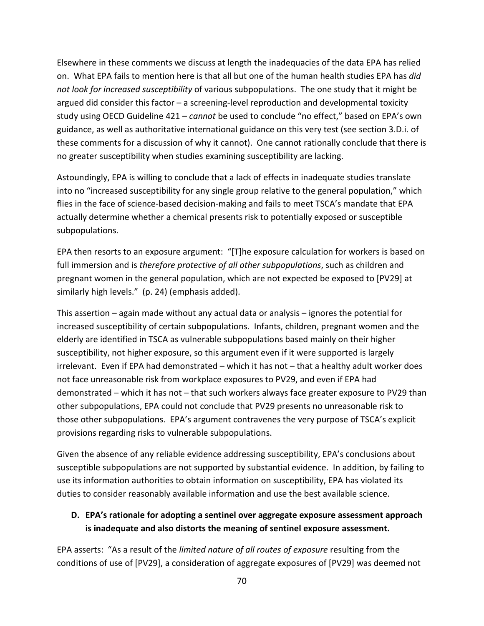Elsewhere in these comments we discuss at length the inadequacies of the data EPA has relied on. What EPA fails to mention here is that all but one of the human health studies EPA has *did not look for increased susceptibility* of various subpopulations. The one study that it might be argued did consider this factor – a screening-level reproduction and developmental toxicity study using OECD Guideline 421 – *cannot* be used to conclude "no effect," based on EPA's own guidance, as well as authoritative international guidance on this very test (see section 3.D.i. of these comments for a discussion of why it cannot). One cannot rationally conclude that there is no greater susceptibility when studies examining susceptibility are lacking.

Astoundingly, EPA is willing to conclude that a lack of effects in inadequate studies translate into no "increased susceptibility for any single group relative to the general population," which flies in the face of science-based decision-making and fails to meet TSCA's mandate that EPA actually determine whether a chemical presents risk to potentially exposed or susceptible subpopulations.

EPA then resorts to an exposure argument: "[T]he exposure calculation for workers is based on full immersion and is *therefore protective of all other subpopulations*, such as children and pregnant women in the general population, which are not expected be exposed to [PV29] at similarly high levels." (p. 24) (emphasis added).

This assertion – again made without any actual data or analysis – ignores the potential for increased susceptibility of certain subpopulations. Infants, children, pregnant women and the elderly are identified in TSCA as vulnerable subpopulations based mainly on their higher susceptibility, not higher exposure, so this argument even if it were supported is largely irrelevant. Even if EPA had demonstrated – which it has not – that a healthy adult worker does not face unreasonable risk from workplace exposures to PV29, and even if EPA had demonstrated – which it has not – that such workers always face greater exposure to PV29 than other subpopulations, EPA could not conclude that PV29 presents no unreasonable risk to those other subpopulations. EPA's argument contravenes the very purpose of TSCA's explicit provisions regarding risks to vulnerable subpopulations.

Given the absence of any reliable evidence addressing susceptibility, EPA's conclusions about susceptible subpopulations are not supported by substantial evidence. In addition, by failing to use its information authorities to obtain information on susceptibility, EPA has violated its duties to consider reasonably available information and use the best available science.

## **D. EPA's rationale for adopting a sentinel over aggregate exposure assessment approach is inadequate and also distorts the meaning of sentinel exposure assessment.**

EPA asserts: "As a result of the *limited nature of all routes of exposure* resulting from the conditions of use of [PV29], a consideration of aggregate exposures of [PV29] was deemed not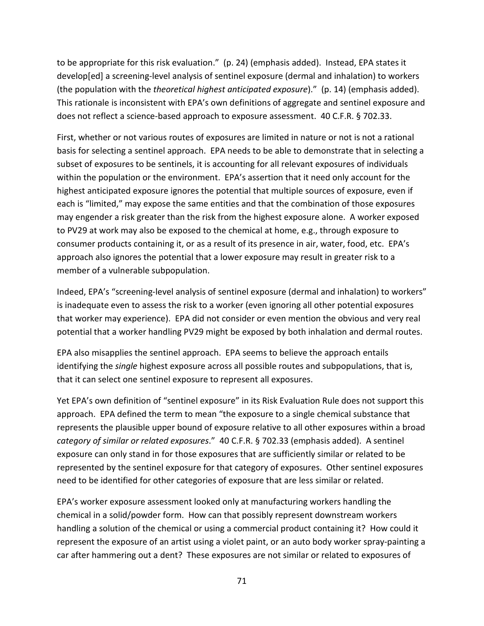to be appropriate for this risk evaluation." (p. 24) (emphasis added). Instead, EPA states it develop[ed] a screening-level analysis of sentinel exposure (dermal and inhalation) to workers (the population with the *theoretical highest anticipated exposure*)." (p. 14) (emphasis added). This rationale is inconsistent with EPA's own definitions of aggregate and sentinel exposure and does not reflect a science-based approach to exposure assessment. 40 C.F.R. § 702.33.

First, whether or not various routes of exposures are limited in nature or not is not a rational basis for selecting a sentinel approach. EPA needs to be able to demonstrate that in selecting a subset of exposures to be sentinels, it is accounting for all relevant exposures of individuals within the population or the environment. EPA's assertion that it need only account for the highest anticipated exposure ignores the potential that multiple sources of exposure, even if each is "limited," may expose the same entities and that the combination of those exposures may engender a risk greater than the risk from the highest exposure alone. A worker exposed to PV29 at work may also be exposed to the chemical at home, e.g., through exposure to consumer products containing it, or as a result of its presence in air, water, food, etc. EPA's approach also ignores the potential that a lower exposure may result in greater risk to a member of a vulnerable subpopulation.

Indeed, EPA's "screening-level analysis of sentinel exposure (dermal and inhalation) to workers" is inadequate even to assess the risk to a worker (even ignoring all other potential exposures that worker may experience). EPA did not consider or even mention the obvious and very real potential that a worker handling PV29 might be exposed by both inhalation and dermal routes.

EPA also misapplies the sentinel approach. EPA seems to believe the approach entails identifying the *single* highest exposure across all possible routes and subpopulations, that is, that it can select one sentinel exposure to represent all exposures.

Yet EPA's own definition of "sentinel exposure" in its Risk Evaluation Rule does not support this approach. EPA defined the term to mean "the exposure to a single chemical substance that represents the plausible upper bound of exposure relative to all other exposures within a broad *category of similar or related exposures*." 40 C.F.R. § 702.33 (emphasis added). A sentinel exposure can only stand in for those exposures that are sufficiently similar or related to be represented by the sentinel exposure for that category of exposures. Other sentinel exposures need to be identified for other categories of exposure that are less similar or related.

EPA's worker exposure assessment looked only at manufacturing workers handling the chemical in a solid/powder form. How can that possibly represent downstream workers handling a solution of the chemical or using a commercial product containing it? How could it represent the exposure of an artist using a violet paint, or an auto body worker spray-painting a car after hammering out a dent? These exposures are not similar or related to exposures of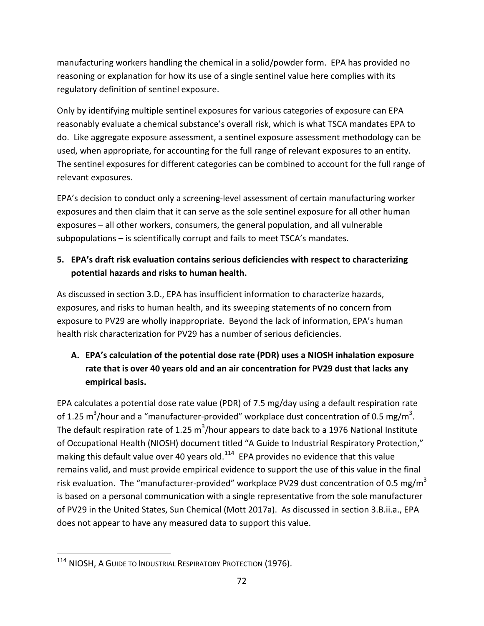manufacturing workers handling the chemical in a solid/powder form. EPA has provided no reasoning or explanation for how its use of a single sentinel value here complies with its regulatory definition of sentinel exposure.

Only by identifying multiple sentinel exposures for various categories of exposure can EPA reasonably evaluate a chemical substance's overall risk, which is what TSCA mandates EPA to do. Like aggregate exposure assessment, a sentinel exposure assessment methodology can be used, when appropriate, for accounting for the full range of relevant exposures to an entity. The sentinel exposures for different categories can be combined to account for the full range of relevant exposures.

EPA's decision to conduct only a screening-level assessment of certain manufacturing worker exposures and then claim that it can serve as the sole sentinel exposure for all other human exposures – all other workers, consumers, the general population, and all vulnerable subpopulations – is scientifically corrupt and fails to meet TSCA's mandates.

## **5. EPA's draft risk evaluation contains serious deficiencies with respect to characterizing potential hazards and risks to human health.**

As discussed in section 3.D., EPA has insufficient information to characterize hazards, exposures, and risks to human health, and its sweeping statements of no concern from exposure to PV29 are wholly inappropriate. Beyond the lack of information, EPA's human health risk characterization for PV29 has a number of serious deficiencies.

# **A. EPA's calculation of the potential dose rate (PDR) uses a NIOSH inhalation exposure rate that is over 40 years old and an air concentration for PV29 dust that lacks any empirical basis.**

EPA calculates a potential dose rate value (PDR) of 7.5 mg/day using a default respiration rate of 1.25 m<sup>3</sup>/hour and a "manufacturer-provided" workplace dust concentration of 0.5 mg/m<sup>3</sup>. The default respiration rate of 1.25 m<sup>3</sup>/hour appears to date back to a 1976 National Institute of Occupational Health (NIOSH) document titled "A Guide to Industrial Respiratory Protection," making this default value over 40 years old. $114$  EPA provides no evidence that this value remains valid, and must provide empirical evidence to support the use of this value in the final risk evaluation. The "manufacturer-provided" workplace PV29 dust concentration of 0.5 mg/m<sup>3</sup> is based on a personal communication with a single representative from the sole manufacturer of PV29 in the United States, Sun Chemical (Mott 2017a). As discussed in section 3.B.ii.a., EPA does not appear to have any measured data to support this value.

<span id="page-71-0"></span><sup>114</sup> NIOSH, A GUIDE TO INDUSTRIAL RESPIRATORY PROTECTION (1976).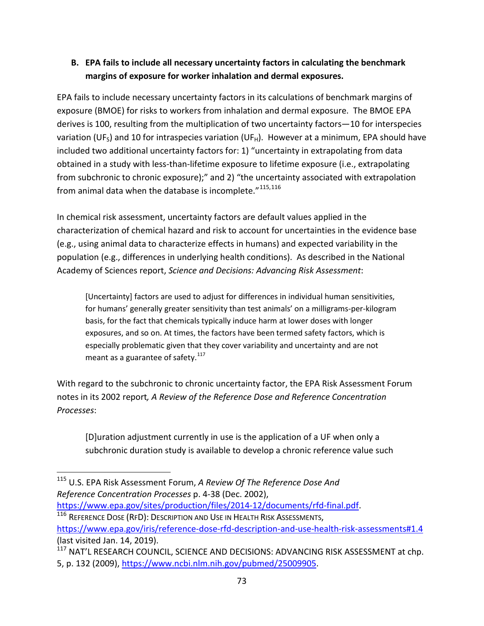# **B. EPA fails to include all necessary uncertainty factors in calculating the benchmark margins of exposure for worker inhalation and dermal exposures.**

EPA fails to include necessary uncertainty factors in its calculations of benchmark margins of exposure (BMOE) for risks to workers from inhalation and dermal exposure. The BMOE EPA derives is 100, resulting from the multiplication of two uncertainty factors—10 for interspecies variation (UF<sub>S</sub>) and 10 for intraspecies variation (UF<sub>H</sub>). However at a minimum, EPA should have included two additional uncertainty factors for: 1) "uncertainty in extrapolating from data obtained in a study with less-than-lifetime exposure to lifetime exposure (i.e., extrapolating from subchronic to chronic exposure);" and 2) "the uncertainty associated with extrapolation from animal data when the database is incomplete."<sup>[115,](#page-72-0)[116](#page-72-1)</sup>

In chemical risk assessment, uncertainty factors are default values applied in the characterization of chemical hazard and risk to account for uncertainties in the evidence base (e.g., using animal data to characterize effects in humans) and expected variability in the population (e.g., differences in underlying health conditions). As described in the National Academy of Sciences report, *Science and Decisions: Advancing Risk Assessment*:

[Uncertainty] factors are used to adjust for differences in individual human sensitivities, for humans' generally greater sensitivity than test animals' on a milligrams-per-kilogram basis, for the fact that chemicals typically induce harm at lower doses with longer exposures, and so on. At times, the factors have been termed safety factors, which is especially problematic given that they cover variability and uncertainty and are not meant as a guarantee of safety. $117$ 

With regard to the subchronic to chronic uncertainty factor, the EPA Risk Assessment Forum notes in its 2002 report*, A Review of the Reference Dose and Reference Concentration Processes*:

[D]uration adjustment currently in use is the application of a UF when only a subchronic duration study is available to develop a chronic reference value such

<span id="page-72-1"></span><sup>116</sup> REFERENCE DOSE (RFD): DESCRIPTION AND USE IN HEALTH RISK ASSESSMENTS, <https://www.epa.gov/iris/reference-dose-rfd-description-and-use-health-risk-assessments#1.4> (last visited Jan. 14, 2019).

<span id="page-72-0"></span> <sup>115</sup> U.S. EPA Risk Assessment Forum, *A Review Of The Reference Dose And Reference Concentration Processes* p. 4-38 (Dec. 2002), [https://www.epa.gov/sites/production/files/2014-12/documents/rfd-final.pdf.](https://www.epa.gov/sites/production/files/2014-12/documents/rfd-final.pdf)

<span id="page-72-2"></span><sup>&</sup>lt;sup>117</sup> NAT'L RESEARCH COUNCIL, SCIENCE AND DECISIONS: ADVANCING RISK ASSESSMENT at chp. 5, p. 132 (2009), [https://www.ncbi.nlm.nih.gov/pubmed/25009905.](https://www.ncbi.nlm.nih.gov/pubmed/25009905)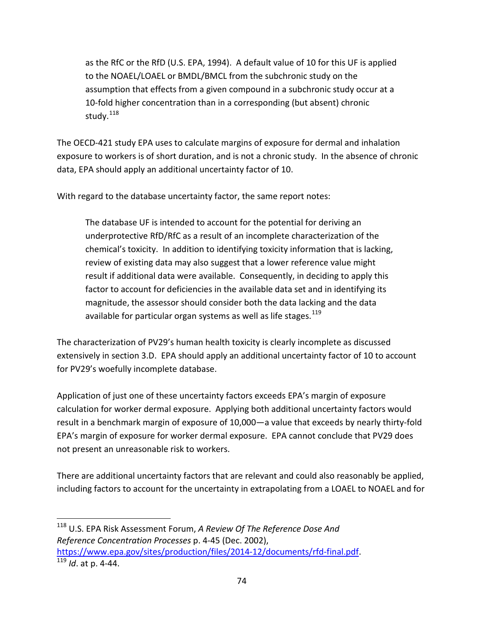as the RfC or the RfD (U.S. EPA, 1994). A default value of 10 for this UF is applied to the NOAEL/LOAEL or BMDL/BMCL from the subchronic study on the assumption that effects from a given compound in a subchronic study occur at a 10-fold higher concentration than in a corresponding (but absent) chronic study.<sup>[118](#page-73-0)</sup>

The OECD-421 study EPA uses to calculate margins of exposure for dermal and inhalation exposure to workers is of short duration, and is not a chronic study. In the absence of chronic data, EPA should apply an additional uncertainty factor of 10.

With regard to the database uncertainty factor, the same report notes:

The database UF is intended to account for the potential for deriving an underprotective RfD/RfC as a result of an incomplete characterization of the chemical's toxicity. In addition to identifying toxicity information that is lacking, review of existing data may also suggest that a lower reference value might result if additional data were available. Consequently, in deciding to apply this factor to account for deficiencies in the available data set and in identifying its magnitude, the assessor should consider both the data lacking and the data available for particular organ systems as well as life stages.<sup>[119](#page-73-1)</sup>

The characterization of PV29's human health toxicity is clearly incomplete as discussed extensively in section 3.D. EPA should apply an additional uncertainty factor of 10 to account for PV29's woefully incomplete database.

Application of just one of these uncertainty factors exceeds EPA's margin of exposure calculation for worker dermal exposure. Applying both additional uncertainty factors would result in a benchmark margin of exposure of 10,000—a value that exceeds by nearly thirty-fold EPA's margin of exposure for worker dermal exposure. EPA cannot conclude that PV29 does not present an unreasonable risk to workers.

There are additional uncertainty factors that are relevant and could also reasonably be applied, including factors to account for the uncertainty in extrapolating from a LOAEL to NOAEL and for

<span id="page-73-1"></span><span id="page-73-0"></span> 118 U.S. EPA Risk Assessment Forum, *A Review Of The Reference Dose And Reference Concentration Processes* p. 4-45 (Dec. 2002), [https://www.epa.gov/sites/production/files/2014-12/documents/rfd-final.pdf.](https://www.epa.gov/sites/production/files/2014-12/documents/rfd-final.pdf) <sup>119</sup> *Id*. at p. 4-44.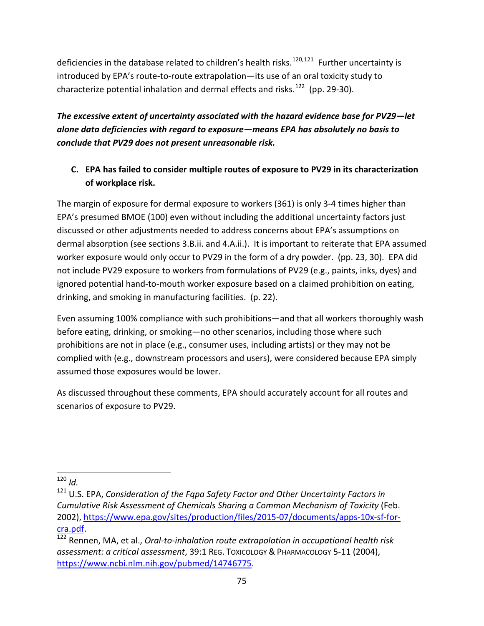deficiencies in the database related to children's health risks.<sup>[120](#page-74-0),[121](#page-74-1)</sup> Further uncertainty is introduced by EPA's route-to-route extrapolation—its use of an oral toxicity study to characterize potential inhalation and dermal effects and risks.<sup>[122](#page-74-2)</sup> (pp. 29-30).

*The excessive extent of uncertainty associated with the hazard evidence base for PV29—let alone data deficiencies with regard to exposure—means EPA has absolutely no basis to conclude that PV29 does not present unreasonable risk.*

# **C. EPA has failed to consider multiple routes of exposure to PV29 in its characterization of workplace risk.**

The margin of exposure for dermal exposure to workers (361) is only 3-4 times higher than EPA's presumed BMOE (100) even without including the additional uncertainty factors just discussed or other adjustments needed to address concerns about EPA's assumptions on dermal absorption (see sections 3.B.ii. and 4.A.ii.). It is important to reiterate that EPA assumed worker exposure would only occur to PV29 in the form of a dry powder. (pp. 23, 30). EPA did not include PV29 exposure to workers from formulations of PV29 (e.g., paints, inks, dyes) and ignored potential hand-to-mouth worker exposure based on a claimed prohibition on eating, drinking, and smoking in manufacturing facilities. (p. 22).

Even assuming 100% compliance with such prohibitions—and that all workers thoroughly wash before eating, drinking, or smoking—no other scenarios, including those where such prohibitions are not in place (e.g., consumer uses, including artists) or they may not be complied with (e.g., downstream processors and users), were considered because EPA simply assumed those exposures would be lower.

As discussed throughout these comments, EPA should accurately account for all routes and scenarios of exposure to PV29.

<span id="page-74-0"></span> $120$  *Id.* 

<span id="page-74-1"></span><sup>121</sup> U.S. EPA, *Consideration of the Fqpa Safety Factor and Other Uncertainty Factors in Cumulative Risk Assessment of Chemicals Sharing a Common Mechanism of Toxicity* (Feb. 2002)[, https://www.epa.gov/sites/production/files/2015-07/documents/apps-10x-sf-for-](https://www.epa.gov/sites/production/files/2015-07/documents/apps-10x-sf-for-cra.pdf)

<span id="page-74-2"></span>[cra.pdf.](https://www.epa.gov/sites/production/files/2015-07/documents/apps-10x-sf-for-cra.pdf) [122](https://www.epa.gov/sites/production/files/2015-07/documents/apps-10x-sf-for-cra.pdf) Rennen, MA, et al., *Oral-to-inhalation route extrapolation in occupational health risk assessment: a critical assessment*, 39:1 REG. TOXICOLOGY & PHARMACOLOGY 5-11 (2004), [https://www.ncbi.nlm.nih.gov/pubmed/14746775.](https://www.ncbi.nlm.nih.gov/pubmed/14746775)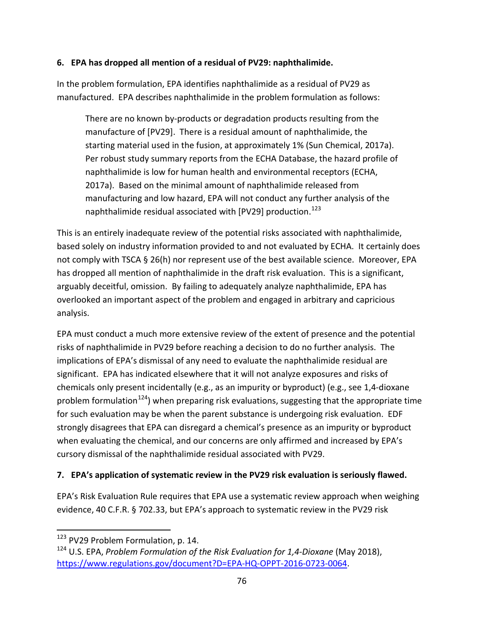#### **6. EPA has dropped all mention of a residual of PV29: naphthalimide.**

In the problem formulation, EPA identifies naphthalimide as a residual of PV29 as manufactured. EPA describes naphthalimide in the problem formulation as follows:

There are no known by-products or degradation products resulting from the manufacture of [PV29]. There is a residual amount of naphthalimide, the starting material used in the fusion, at approximately 1% (Sun Chemical, 2017a). Per robust study summary reports from the ECHA Database, the hazard profile of naphthalimide is low for human health and environmental receptors (ECHA, 2017a). Based on the minimal amount of naphthalimide released from manufacturing and low hazard, EPA will not conduct any further analysis of the naphthalimide residual associated with [PV29] production.<sup>[123](#page-75-0)</sup>

This is an entirely inadequate review of the potential risks associated with naphthalimide, based solely on industry information provided to and not evaluated by ECHA. It certainly does not comply with TSCA § 26(h) nor represent use of the best available science. Moreover, EPA has dropped all mention of naphthalimide in the draft risk evaluation. This is a significant, arguably deceitful, omission. By failing to adequately analyze naphthalimide, EPA has overlooked an important aspect of the problem and engaged in arbitrary and capricious analysis.

EPA must conduct a much more extensive review of the extent of presence and the potential risks of naphthalimide in PV29 before reaching a decision to do no further analysis. The implications of EPA's dismissal of any need to evaluate the naphthalimide residual are significant. EPA has indicated elsewhere that it will not analyze exposures and risks of chemicals only present incidentally (e.g., as an impurity or byproduct) (e.g., see 1,4-dioxane problem formulation<sup>124</sup>) when preparing risk evaluations, suggesting that the appropriate time for such evaluation may be when the parent substance is undergoing risk evaluation. EDF strongly disagrees that EPA can disregard a chemical's presence as an impurity or byproduct when evaluating the chemical, and our concerns are only affirmed and increased by EPA's cursory dismissal of the naphthalimide residual associated with PV29.

#### **7. EPA's application of systematic review in the PV29 risk evaluation is seriously flawed.**

EPA's Risk Evaluation Rule requires that EPA use a systematic review approach when weighing evidence, 40 C.F.R. § 702.33, but EPA's approach to systematic review in the PV29 risk

<span id="page-75-0"></span><sup>&</sup>lt;sup>123</sup> PV29 Problem Formulation, p. 14.

<span id="page-75-1"></span><sup>124</sup> U.S. EPA, *Problem Formulation of the Risk Evaluation for 1,4-Dioxane* (May 2018), [https://www.regulations.gov/document?D=EPA-HQ-OPPT-2016-0723-0064.](https://www.regulations.gov/document?D=EPA-HQ-OPPT-2016-0723-0064)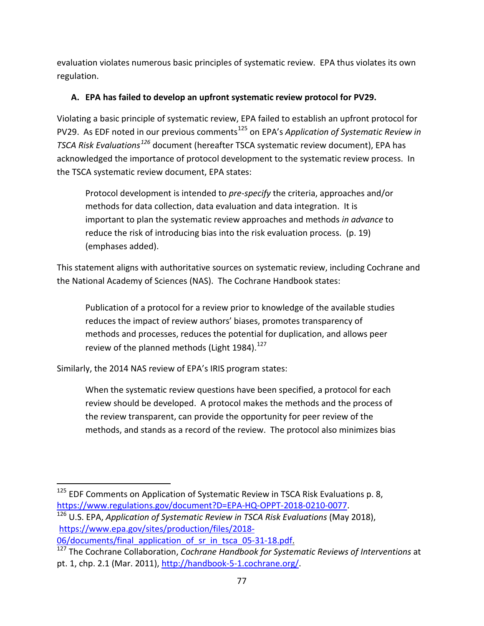evaluation violates numerous basic principles of systematic review. EPA thus violates its own regulation.

#### **A. EPA has failed to develop an upfront systematic review protocol for PV29.**

Violating a basic principle of systematic review, EPA failed to establish an upfront protocol for PV29. As EDF noted in our previous comments<sup>[125](#page-76-0)</sup> on EPA's *Application of Systematic Review in TSCA Risk Evaluations[126](#page-76-1)* document (hereafter TSCA systematic review document), EPA has acknowledged the importance of protocol development to the systematic review process. In the TSCA systematic review document, EPA states:

Protocol development is intended to *pre-specify* the criteria, approaches and/or methods for data collection, data evaluation and data integration. It is important to plan the systematic review approaches and methods *in advance* to reduce the risk of introducing bias into the risk evaluation process. (p. 19) (emphases added).

This statement aligns with authoritative sources on systematic review, including Cochrane and the National Academy of Sciences (NAS). The Cochrane Handbook states:

Publication of a protocol for a review prior to knowledge of the available studies reduces the impact of review authors' biases, promotes transparency of methods and processes, reduces the potential for duplication, and allows peer review of the planned methods (Light 1984).<sup>[127](#page-76-2)</sup>

Similarly, the 2014 NAS review of EPA's IRIS program states:

When the systematic review questions have been specified, a protocol for each review should be developed. A protocol makes the methods and the process of the review transparent, can provide the opportunity for peer review of the methods, and stands as a record of the review. The protocol also minimizes bias

<span id="page-76-0"></span><sup>&</sup>lt;sup>125</sup> EDF Comments on Application of Systematic Review in TSCA Risk Evaluations p. 8, [https://www.regulations.gov/document?D=EPA-HQ-OPPT-2018-0210-0077.](https://www.regulations.gov/document?D=EPA-HQ-OPPT-2018-0210-0077)

<span id="page-76-1"></span><sup>126</sup> U.S. EPA, *Application of Systematic Review in TSCA Risk Evaluations* (May 2018), [https://www.epa.gov/sites/production/files/2018-](https://www.epa.gov/sites/production/files/2018-06/documents/final_application_of_sr_in_tsca_05-31-18.pdf) [06/documents/final\\_application\\_of\\_sr\\_in\\_tsca\\_05-31-18.pdf.](https://www.epa.gov/sites/production/files/2018-06/documents/final_application_of_sr_in_tsca_05-31-18.pdf)

<span id="page-76-2"></span><sup>127</sup> The Cochrane Collaboration, *Cochrane Handbook for Systematic Reviews of Interventions* at pt. 1, chp. 2.1 (Mar. 2011), [http://handbook-5-1.cochrane.org/.](http://handbook-5-1.cochrane.org/)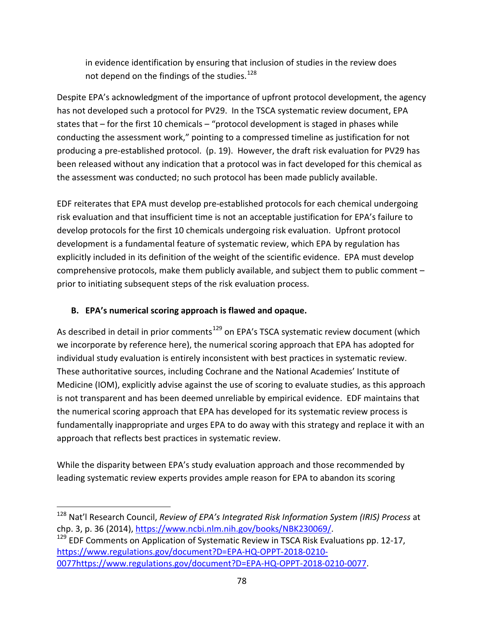in evidence identification by ensuring that inclusion of studies in the review does not depend on the findings of the studies.<sup>128</sup>

Despite EPA's acknowledgment of the importance of upfront protocol development, the agency has not developed such a protocol for PV29. In the TSCA systematic review document, EPA states that – for the first 10 chemicals – "protocol development is staged in phases while conducting the assessment work," pointing to a compressed timeline as justification for not producing a pre-established protocol. (p. 19). However, the draft risk evaluation for PV29 has been released without any indication that a protocol was in fact developed for this chemical as the assessment was conducted; no such protocol has been made publicly available.

EDF reiterates that EPA must develop pre-established protocols for each chemical undergoing risk evaluation and that insufficient time is not an acceptable justification for EPA's failure to develop protocols for the first 10 chemicals undergoing risk evaluation. Upfront protocol development is a fundamental feature of systematic review, which EPA by regulation has explicitly included in its definition of the weight of the scientific evidence. EPA must develop comprehensive protocols, make them publicly available, and subject them to public comment – prior to initiating subsequent steps of the risk evaluation process.

## **B. EPA's numerical scoring approach is flawed and opaque.**

As described in detail in prior comments<sup>[129](#page-77-1)</sup> on EPA's TSCA systematic review document (which we incorporate by reference here), the numerical scoring approach that EPA has adopted for individual study evaluation is entirely inconsistent with best practices in systematic review. These authoritative sources, including Cochrane and the National Academies' Institute of Medicine (IOM), explicitly advise against the use of scoring to evaluate studies, as this approach is not transparent and has been deemed unreliable by empirical evidence. EDF maintains that the numerical scoring approach that EPA has developed for its systematic review process is fundamentally inappropriate and urges EPA to do away with this strategy and replace it with an approach that reflects best practices in systematic review.

While the disparity between EPA's study evaluation approach and those recommended by leading systematic review experts provides ample reason for EPA to abandon its scoring

<span id="page-77-0"></span> <sup>128</sup> Nat'l Research Council, *Review of EPA's Integrated Risk Information System (IRIS) Process* at chp. 3, p. 36 (2014), [https://www.ncbi.nlm.nih.gov/books/NBK230069/.](https://www.ncbi.nlm.nih.gov/books/NBK230069/)<br><sup>129</sup> EDF Comments on Application of Systematic Review in TSCA Risk Evaluations pp. 12-17,

<span id="page-77-1"></span>[https://www.regulations.gov/document?D=EPA-HQ-OPPT-2018-0210-](https://www.regulations.gov/document?D=EPA-HQ-OPPT-2018-0210-0077) [0077https://www.regulations.gov/document?D=EPA-HQ-OPPT-2018-0210-0077.](https://www.regulations.gov/document?D=EPA-HQ-OPPT-2018-0210-0077)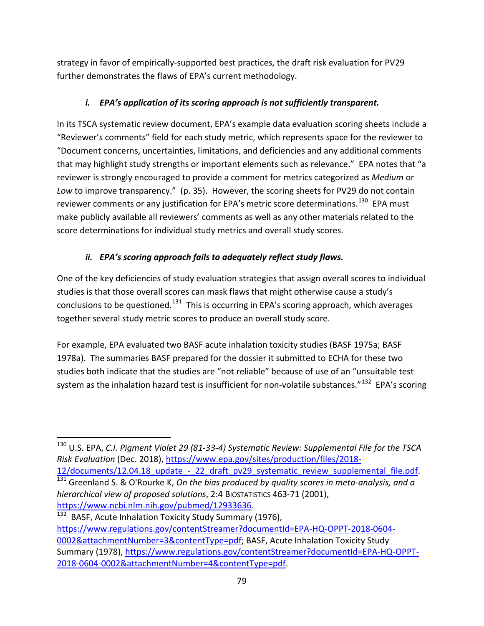strategy in favor of empirically-supported best practices, the draft risk evaluation for PV29 further demonstrates the flaws of EPA's current methodology.

# *i. EPA's application of its scoring approach is not sufficiently transparent.*

In its TSCA systematic review document, EPA's example data evaluation scoring sheets include a "Reviewer's comments" field for each study metric, which represents space for the reviewer to "Document concerns, uncertainties, limitations, and deficiencies and any additional comments that may highlight study strengths or important elements such as relevance." EPA notes that "a reviewer is strongly encouraged to provide a comment for metrics categorized as *Medium* or *Low* to improve transparency." (p. 35). However, the scoring sheets for PV29 do not contain reviewer comments or any justification for EPA's metric score determinations.<sup>[130](#page-78-0)</sup> EPA must make publicly available all reviewers' comments as well as any other materials related to the score determinations for individual study metrics and overall study scores.

# *ii. EPA's scoring approach fails to adequately reflect study flaws.*

One of the key deficiencies of study evaluation strategies that assign overall scores to individual studies is that those overall scores can mask flaws that might otherwise cause a study's conclusions to be questioned.<sup>[131](#page-78-1)</sup> This is occurring in EPA's scoring approach, which averages together several study metric scores to produce an overall study score.

For example, EPA evaluated two BASF acute inhalation toxicity studies (BASF 1975a; BASF 1978a). The summaries BASF prepared for the dossier it submitted to ECHA for these two studies both indicate that the studies are "not reliable" because of use of an "unsuitable test system as the inhalation hazard test is insufficient for non-volatile substances."<sup>[132](#page-78-2)</sup> EPA's scoring

[https://www.ncbi.nlm.nih.gov/pubmed/12933636.](https://www.ncbi.nlm.nih.gov/pubmed/12933636)<br><sup>[132](https://www.ncbi.nlm.nih.gov/pubmed/12933636)</sup> BASF, Acute Inhalation Toxicity Study Summary (1976),

<span id="page-78-0"></span> <sup>130</sup> U.S. EPA, *C.I. Pigment Violet 29 (81-33-4) Systematic Review: Supplemental File for the TSCA Risk Evaluation* (Dec. 2018), [https://www.epa.gov/sites/production/files/2018-](https://www.epa.gov/sites/production/files/2018-12/documents/12.04.18_update_-_22_draft_pv29_systematic_review_supplemental_file.pdf)

<span id="page-78-1"></span>[<sup>12/</sup>documents/12.04.18\\_update\\_-\\_22\\_draft\\_pv29\\_systematic\\_review\\_supplemental\\_file.pdf.](https://www.epa.gov/sites/production/files/2018-12/documents/12.04.18_update_-_22_draft_pv29_systematic_review_supplemental_file.pdf) [131](https://www.epa.gov/sites/production/files/2018-12/documents/12.04.18_update_-_22_draft_pv29_systematic_review_supplemental_file.pdf) Greenland S. & O'Rourke K, *On the bias produced by quality scores in meta-analysis, and a hierarchical view of proposed solutions*, 2:4 BIOSTATISTICS 463-71 (2001),

<span id="page-78-2"></span>[https://www.regulations.gov/contentStreamer?documentId=EPA-HQ-OPPT-2018-0604-](https://www.regulations.gov/contentStreamer?documentId=EPA-HQ-OPPT-2018-0604-0002&attachmentNumber=3&contentType=pdf) [0002&attachmentNumber=3&contentType=pdf;](https://www.regulations.gov/contentStreamer?documentId=EPA-HQ-OPPT-2018-0604-0002&attachmentNumber=3&contentType=pdf) BASF, Acute Inhalation Toxicity Study Summary (1978), [https://www.regulations.gov/contentStreamer?documentId=EPA-HQ-OPPT-](https://www.regulations.gov/contentStreamer?documentId=EPA-HQ-OPPT-2018-0604-0002&attachmentNumber=4&contentType=pdf)[2018-0604-0002&attachmentNumber=4&contentType=pdf.](https://www.regulations.gov/contentStreamer?documentId=EPA-HQ-OPPT-2018-0604-0002&attachmentNumber=4&contentType=pdf)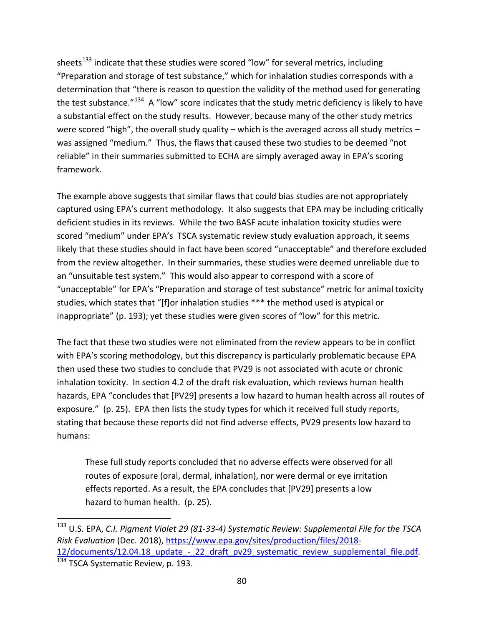sheets<sup>[133](#page-79-0)</sup> indicate that these studies were scored "low" for several metrics, including "Preparation and storage of test substance," which for inhalation studies corresponds with a determination that "there is reason to question the validity of the method used for generating the test substance."<sup>[134](#page-79-1)</sup> A "low" score indicates that the study metric deficiency is likely to have a substantial effect on the study results. However, because many of the other study metrics were scored "high", the overall study quality – which is the averaged across all study metrics – was assigned "medium." Thus, the flaws that caused these two studies to be deemed "not reliable" in their summaries submitted to ECHA are simply averaged away in EPA's scoring framework.

The example above suggests that similar flaws that could bias studies are not appropriately captured using EPA's current methodology. It also suggests that EPA may be including critically deficient studies in its reviews. While the two BASF acute inhalation toxicity studies were scored "medium" under EPA's TSCA systematic review study evaluation approach, it seems likely that these studies should in fact have been scored "unacceptable" and therefore excluded from the review altogether. In their summaries, these studies were deemed unreliable due to an "unsuitable test system." This would also appear to correspond with a score of "unacceptable" for EPA's "Preparation and storage of test substance" metric for animal toxicity studies, which states that "[f]or inhalation studies \*\*\* the method used is atypical or inappropriate" (p. 193); yet these studies were given scores of "low" for this metric.

The fact that these two studies were not eliminated from the review appears to be in conflict with EPA's scoring methodology, but this discrepancy is particularly problematic because EPA then used these two studies to conclude that PV29 is not associated with acute or chronic inhalation toxicity. In section 4.2 of the draft risk evaluation, which reviews human health hazards, EPA "concludes that [PV29] presents a low hazard to human health across all routes of exposure." (p. 25). EPA then lists the study types for which it received full study reports, stating that because these reports did not find adverse effects, PV29 presents low hazard to humans:

These full study reports concluded that no adverse effects were observed for all routes of exposure (oral, dermal, inhalation), nor were dermal or eye irritation effects reported. As a result, the EPA concludes that [PV29] presents a low hazard to human health. (p. 25).

<span id="page-79-1"></span><span id="page-79-0"></span> <sup>133</sup> U.S. EPA, *C.I. Pigment Violet 29 (81-33-4) Systematic Review: Supplemental File for the TSCA Risk Evaluation* (Dec. 2018), [https://www.epa.gov/sites/production/files/2018-](https://www.epa.gov/sites/production/files/2018-12/documents/12.04.18_update_-_22_draft_pv29_systematic_review_supplemental_file.pdf) 12/documents/12.04.18\_update - 22\_draft\_pv29\_systematic\_review\_supplemental\_file.pdf.<br><sup>134</sup> TSCA Systematic Review, p. 193.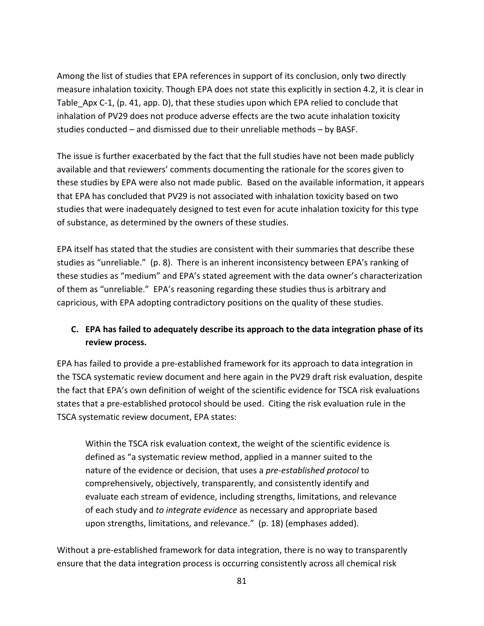Among the list of studies that EPA references in support of its conclusion, only two directly measure inhalation toxicity. Though EPA does not state this explicitly in section 4.2, it is clear in Table\_Apx C-1, (p. 41, app. D), that these studies upon which EPA relied to conclude that inhalation of PV29 does not produce adverse effects are the two acute inhalation toxicity studies conducted – and dismissed due to their unreliable methods – by BASF.

The issue is further exacerbated by the fact that the full studies have not been made publicly available and that reviewers' comments documenting the rationale for the scores given to these studies by EPA were also not made public. Based on the available information, it appears that EPA has concluded that PV29 is not associated with inhalation toxicity based on two studies that were inadequately designed to test even for acute inhalation toxicity for this type of substance, as determined by the owners of these studies.

EPA itself has stated that the studies are consistent with their summaries that describe these studies as "unreliable." (p. 8). There is an inherent inconsistency between EPA's ranking of these studies as "medium" and EPA's stated agreement with the data owner's characterization of them as "unreliable." EPA's reasoning regarding these studies thus is arbitrary and capricious, with EPA adopting contradictory positions on the quality of these studies.

# **C. EPA has failed to adequately describe its approach to the data integration phase of its review process.**

EPA has failed to provide a pre-established framework for its approach to data integration in the TSCA systematic review document and here again in the PV29 draft risk evaluation, despite the fact that EPA's own definition of weight of the scientific evidence for TSCA risk evaluations states that a pre-established protocol should be used. Citing the risk evaluation rule in the TSCA systematic review document, EPA states:

Within the TSCA risk evaluation context, the weight of the scientific evidence is defined as "a systematic review method, applied in a manner suited to the nature of the evidence or decision, that uses a *pre-established protocol* to comprehensively, objectively, transparently, and consistently identify and evaluate each stream of evidence, including strengths, limitations, and relevance of each study and *to integrate evidence* as necessary and appropriate based upon strengths, limitations, and relevance." (p. 18) (emphases added).

Without a pre-established framework for data integration, there is no way to transparently ensure that the data integration process is occurring consistently across all chemical risk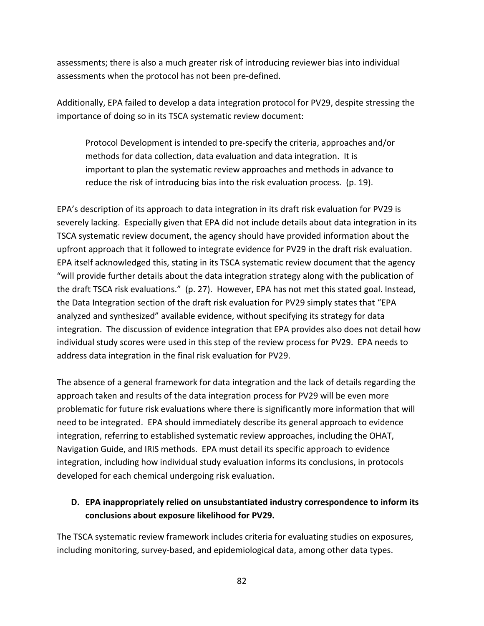assessments; there is also a much greater risk of introducing reviewer bias into individual assessments when the protocol has not been pre-defined.

Additionally, EPA failed to develop a data integration protocol for PV29, despite stressing the importance of doing so in its TSCA systematic review document:

Protocol Development is intended to pre-specify the criteria, approaches and/or methods for data collection, data evaluation and data integration. It is important to plan the systematic review approaches and methods in advance to reduce the risk of introducing bias into the risk evaluation process. (p. 19).

EPA's description of its approach to data integration in its draft risk evaluation for PV29 is severely lacking. Especially given that EPA did not include details about data integration in its TSCA systematic review document, the agency should have provided information about the upfront approach that it followed to integrate evidence for PV29 in the draft risk evaluation. EPA itself acknowledged this, stating in its TSCA systematic review document that the agency "will provide further details about the data integration strategy along with the publication of the draft TSCA risk evaluations." (p. 27). However, EPA has not met this stated goal. Instead, the Data Integration section of the draft risk evaluation for PV29 simply states that "EPA analyzed and synthesized" available evidence, without specifying its strategy for data integration. The discussion of evidence integration that EPA provides also does not detail how individual study scores were used in this step of the review process for PV29. EPA needs to address data integration in the final risk evaluation for PV29.

The absence of a general framework for data integration and the lack of details regarding the approach taken and results of the data integration process for PV29 will be even more problematic for future risk evaluations where there is significantly more information that will need to be integrated. EPA should immediately describe its general approach to evidence integration, referring to established systematic review approaches, including the OHAT, Navigation Guide, and IRIS methods. EPA must detail its specific approach to evidence integration, including how individual study evaluation informs its conclusions, in protocols developed for each chemical undergoing risk evaluation.

# **D. EPA inappropriately relied on unsubstantiated industry correspondence to inform its conclusions about exposure likelihood for PV29.**

The TSCA systematic review framework includes criteria for evaluating studies on exposures, including monitoring, survey-based, and epidemiological data, among other data types.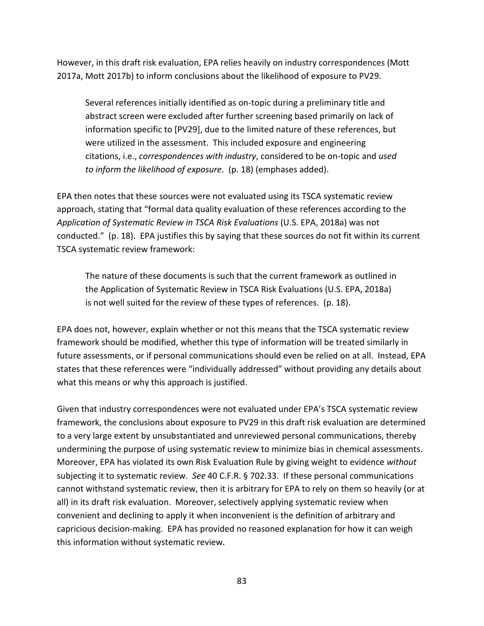However, in this draft risk evaluation, EPA relies heavily on industry correspondences (Mott 2017a, Mott 2017b) to inform conclusions about the likelihood of exposure to PV29.

Several references initially identified as on-topic during a preliminary title and abstract screen were excluded after further screening based primarily on lack of information specific to [PV29], due to the limited nature of these references, but were utilized in the assessment. This included exposure and engineering citations, i.e., *correspondences with industry*, considered to be on-topic and *used to inform the likelihood of exposure*. (p. 18) (emphases added).

EPA then notes that these sources were not evaluated using its TSCA systematic review approach, stating that "formal data quality evaluation of these references according to the *Application of Systematic Review in TSCA Risk Evaluations* (U.S. EPA, 2018a) was not conducted." (p. 18). EPA justifies this by saying that these sources do not fit within its current TSCA systematic review framework:

The nature of these documents is such that the current framework as outlined in the Application of Systematic Review in TSCA Risk Evaluations (U.S. EPA, 2018a) is not well suited for the review of these types of references. (p. 18).

EPA does not, however, explain whether or not this means that the TSCA systematic review framework should be modified, whether this type of information will be treated similarly in future assessments, or if personal communications should even be relied on at all. Instead, EPA states that these references were "individually addressed" without providing any details about what this means or why this approach is justified.

Given that industry correspondences were not evaluated under EPA's TSCA systematic review framework, the conclusions about exposure to PV29 in this draft risk evaluation are determined to a very large extent by unsubstantiated and unreviewed personal communications, thereby undermining the purpose of using systematic review to minimize bias in chemical assessments. Moreover, EPA has violated its own Risk Evaluation Rule by giving weight to evidence *without* subjecting it to systematic review. *See* 40 C.F.R. § 702.33. If these personal communications cannot withstand systematic review, then it is arbitrary for EPA to rely on them so heavily (or at all) in its draft risk evaluation. Moreover, selectively applying systematic review when convenient and declining to apply it when inconvenient is the definition of arbitrary and capricious decision-making. EPA has provided no reasoned explanation for how it can weigh this information without systematic review.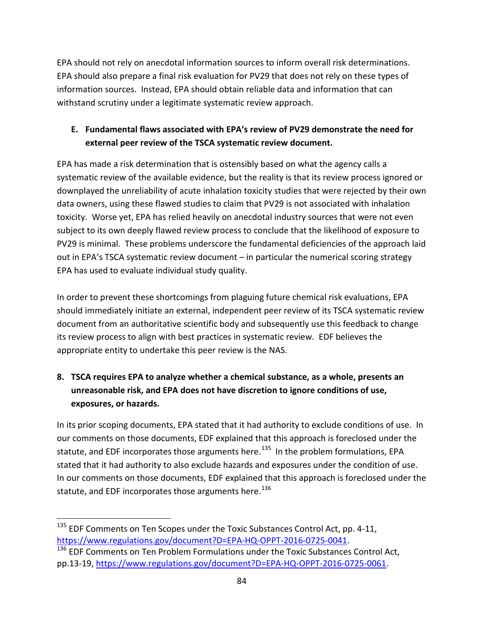EPA should not rely on anecdotal information sources to inform overall risk determinations. EPA should also prepare a final risk evaluation for PV29 that does not rely on these types of information sources. Instead, EPA should obtain reliable data and information that can withstand scrutiny under a legitimate systematic review approach.

# **E. Fundamental flaws associated with EPA's review of PV29 demonstrate the need for external peer review of the TSCA systematic review document.**

EPA has made a risk determination that is ostensibly based on what the agency calls a systematic review of the available evidence, but the reality is that its review process ignored or downplayed the unreliability of acute inhalation toxicity studies that were rejected by their own data owners, using these flawed studies to claim that PV29 is not associated with inhalation toxicity. Worse yet, EPA has relied heavily on anecdotal industry sources that were not even subject to its own deeply flawed review process to conclude that the likelihood of exposure to PV29 is minimal. These problems underscore the fundamental deficiencies of the approach laid out in EPA's TSCA systematic review document – in particular the numerical scoring strategy EPA has used to evaluate individual study quality.

In order to prevent these shortcomings from plaguing future chemical risk evaluations, EPA should immediately initiate an external, independent peer review of its TSCA systematic review document from an authoritative scientific body and subsequently use this feedback to change its review process to align with best practices in systematic review. EDF believes the appropriate entity to undertake this peer review is the NAS.

# **8. TSCA requires EPA to analyze whether a chemical substance, as a whole, presents an unreasonable risk, and EPA does not have discretion to ignore conditions of use, exposures, or hazards.**

In its prior scoping documents, EPA stated that it had authority to exclude conditions of use. In our comments on those documents, EDF explained that this approach is foreclosed under the statute, and EDF incorporates those arguments here.<sup>[135](#page-83-0)</sup> In the problem formulations, EPA stated that it had authority to also exclude hazards and exposures under the condition of use. In our comments on those documents, EDF explained that this approach is foreclosed under the statute, and EDF incorporates those arguments here.<sup>[136](#page-83-1)</sup>

<span id="page-83-0"></span><sup>&</sup>lt;sup>135</sup> EDF Comments on Ten Scopes under the Toxic Substances Control Act, pp. 4-11, [https://www.regulations.gov/document?D=EPA-HQ-OPPT-2016-0725-0041.](https://www.regulations.gov/document?D=EPA-HQ-OPPT-2016-0725-0041)

<span id="page-83-1"></span><sup>&</sup>lt;sup>136</sup> EDF Comments on Ten Problem Formulations under the Toxic Substances Control Act, pp.13-19, [https://www.regulations.gov/document?D=EPA-HQ-OPPT-2016-0725-0061.](https://www.regulations.gov/document?D=EPA-HQ-OPPT-2016-0725-0061)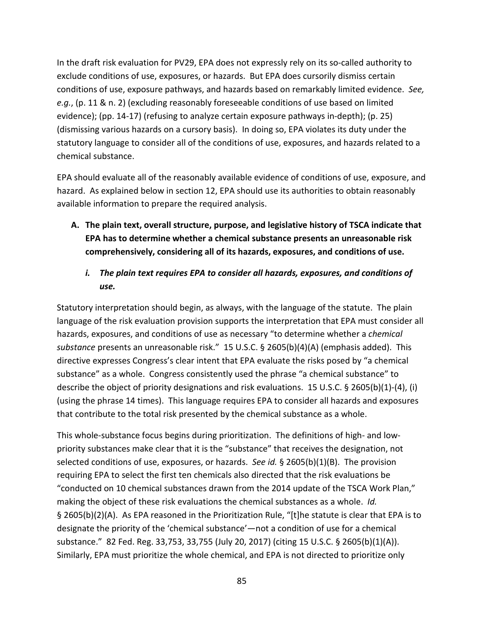In the draft risk evaluation for PV29, EPA does not expressly rely on its so-called authority to exclude conditions of use, exposures, or hazards. But EPA does cursorily dismiss certain conditions of use, exposure pathways, and hazards based on remarkably limited evidence. *See, e.g.*, (p. 11 & n. 2) (excluding reasonably foreseeable conditions of use based on limited evidence); (pp. 14-17) (refusing to analyze certain exposure pathways in-depth); (p. 25) (dismissing various hazards on a cursory basis). In doing so, EPA violates its duty under the statutory language to consider all of the conditions of use, exposures, and hazards related to a chemical substance.

EPA should evaluate all of the reasonably available evidence of conditions of use, exposure, and hazard. As explained below in section 12, EPA should use its authorities to obtain reasonably available information to prepare the required analysis.

- **A. The plain text, overall structure, purpose, and legislative history of TSCA indicate that EPA has to determine whether a chemical substance presents an unreasonable risk comprehensively, considering all of its hazards, exposures, and conditions of use.**
	- *i. The plain text requires EPA to consider all hazards, exposures, and conditions of use.*

Statutory interpretation should begin, as always, with the language of the statute. The plain language of the risk evaluation provision supports the interpretation that EPA must consider all hazards, exposures, and conditions of use as necessary "to determine whether a *chemical substance* presents an unreasonable risk." 15 U.S.C. § 2605(b)(4)(A) (emphasis added). This directive expresses Congress's clear intent that EPA evaluate the risks posed by "a chemical substance" as a whole. Congress consistently used the phrase "a chemical substance" to describe the object of priority designations and risk evaluations. 15 U.S.C. § 2605(b)(1)-(4), (i) (using the phrase 14 times). This language requires EPA to consider all hazards and exposures that contribute to the total risk presented by the chemical substance as a whole.

This whole-substance focus begins during prioritization. The definitions of high- and lowpriority substances make clear that it is the "substance" that receives the designation, not selected conditions of use, exposures, or hazards. *See id.* § 2605(b)(1)(B). The provision requiring EPA to select the first ten chemicals also directed that the risk evaluations be "conducted on 10 chemical substances drawn from the 2014 update of the TSCA Work Plan," making the object of these risk evaluations the chemical substances as a whole. *Id.* § 2605(b)(2)(A). As EPA reasoned in the Prioritization Rule, "[t]he statute is clear that EPA is to designate the priority of the 'chemical substance'—not a condition of use for a chemical substance." 82 Fed. Reg. 33,753, 33,755 (July 20, 2017) (citing 15 U.S.C. § 2605(b)(1)(A)). Similarly, EPA must prioritize the whole chemical, and EPA is not directed to prioritize only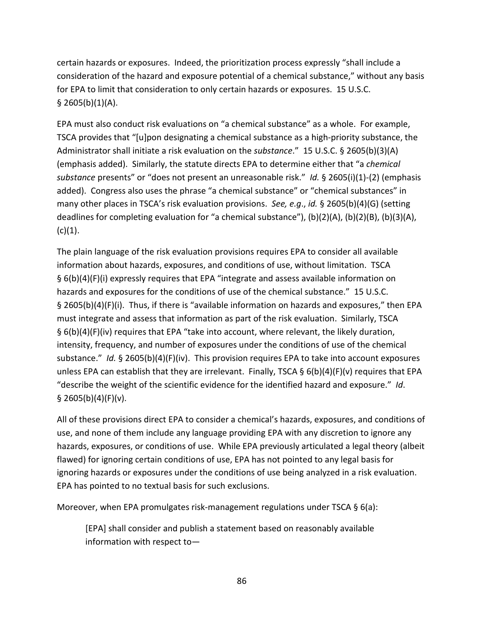certain hazards or exposures. Indeed, the prioritization process expressly "shall include a consideration of the hazard and exposure potential of a chemical substance," without any basis for EPA to limit that consideration to only certain hazards or exposures. 15 U.S.C.  $§$  2605(b)(1)(A).

EPA must also conduct risk evaluations on "a chemical substance" as a whole. For example, TSCA provides that "[u]pon designating a chemical substance as a high-priority substance, the Administrator shall initiate a risk evaluation on the *substance*." 15 U.S.C. § 2605(b)(3)(A) (emphasis added). Similarly, the statute directs EPA to determine either that "a *chemical substance* presents" or "does not present an unreasonable risk." *Id.* § 2605(i)(1)-(2) (emphasis added). Congress also uses the phrase "a chemical substance" or "chemical substances" in many other places in TSCA's risk evaluation provisions. *See, e.g*., *id.* § 2605(b)(4)(G) (setting deadlines for completing evaluation for "a chemical substance"), (b)(2)(A), (b)(2)(B), (b)(3)(A),  $(c)(1).$ 

The plain language of the risk evaluation provisions requires EPA to consider all available information about hazards, exposures, and conditions of use, without limitation. TSCA § 6(b)(4)(F)(i) expressly requires that EPA "integrate and assess available information on hazards and exposures for the conditions of use of the chemical substance." 15 U.S.C. § 2605(b)(4)(F)(i). Thus, if there is "available information on hazards and exposures," then EPA must integrate and assess that information as part of the risk evaluation. Similarly, TSCA § 6(b)(4)(F)(iv) requires that EPA "take into account, where relevant, the likely duration, intensity, frequency, and number of exposures under the conditions of use of the chemical substance." *Id.* § 2605(b)(4)(F)(iv). This provision requires EPA to take into account exposures unless EPA can establish that they are irrelevant. Finally, TSCA § 6(b)(4)(F)(v) requires that EPA "describe the weight of the scientific evidence for the identified hazard and exposure." *Id*.  $§$  2605(b)(4)(F)(v).

All of these provisions direct EPA to consider a chemical's hazards, exposures, and conditions of use, and none of them include any language providing EPA with any discretion to ignore any hazards, exposures, or conditions of use. While EPA previously articulated a legal theory (albeit flawed) for ignoring certain conditions of use, EPA has not pointed to any legal basis for ignoring hazards or exposures under the conditions of use being analyzed in a risk evaluation. EPA has pointed to no textual basis for such exclusions.

Moreover, when EPA promulgates risk-management regulations under TSCA § 6(a):

[EPA] shall consider and publish a statement based on reasonably available information with respect to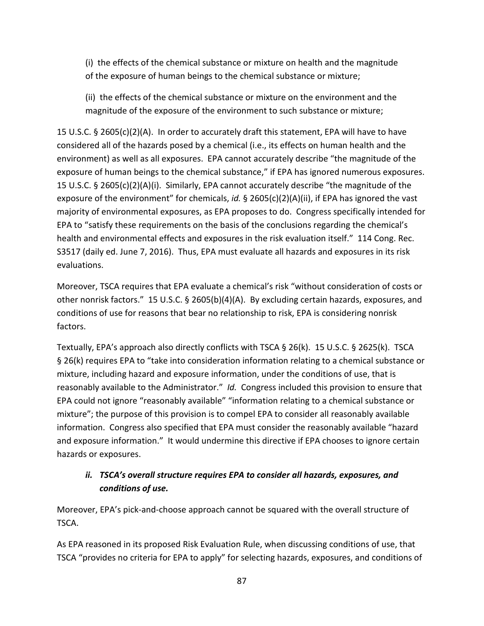(i) the effects of the chemical substance or mixture on health and the magnitude of the exposure of human beings to the chemical substance or mixture;

(ii) the effects of the chemical substance or mixture on the environment and the magnitude of the exposure of the environment to such substance or mixture;

15 U.S.C. § 2605(c)(2)(A). In order to accurately draft this statement, EPA will have to have considered all of the hazards posed by a chemical (i.e., its effects on human health and the environment) as well as all exposures. EPA cannot accurately describe "the magnitude of the exposure of human beings to the chemical substance," if EPA has ignored numerous exposures. 15 U.S.C. § 2605(c)(2)(A)(i). Similarly, EPA cannot accurately describe "the magnitude of the exposure of the environment" for chemicals, *id.* § 2605(c)(2)(A)(ii), if EPA has ignored the vast majority of environmental exposures, as EPA proposes to do. Congress specifically intended for EPA to "satisfy these requirements on the basis of the conclusions regarding the chemical's health and environmental effects and exposures in the risk evaluation itself." 114 Cong. Rec. S3517 (daily ed. June 7, 2016). Thus, EPA must evaluate all hazards and exposures in its risk evaluations.

Moreover, TSCA requires that EPA evaluate a chemical's risk "without consideration of costs or other nonrisk factors." 15 U.S.C. § 2605(b)(4)(A). By excluding certain hazards, exposures, and conditions of use for reasons that bear no relationship to risk, EPA is considering nonrisk factors.

Textually, EPA's approach also directly conflicts with TSCA § 26(k). 15 U.S.C. § 2625(k). TSCA § 26(k) requires EPA to "take into consideration information relating to a chemical substance or mixture, including hazard and exposure information, under the conditions of use, that is reasonably available to the Administrator." *Id.* Congress included this provision to ensure that EPA could not ignore "reasonably available" "information relating to a chemical substance or mixture"; the purpose of this provision is to compel EPA to consider all reasonably available information. Congress also specified that EPA must consider the reasonably available "hazard and exposure information." It would undermine this directive if EPA chooses to ignore certain hazards or exposures.

# *ii. TSCA's overall structure requires EPA to consider all hazards, exposures, and conditions of use.*

Moreover, EPA's pick-and-choose approach cannot be squared with the overall structure of TSCA.

As EPA reasoned in its proposed Risk Evaluation Rule, when discussing conditions of use, that TSCA "provides no criteria for EPA to apply" for selecting hazards, exposures, and conditions of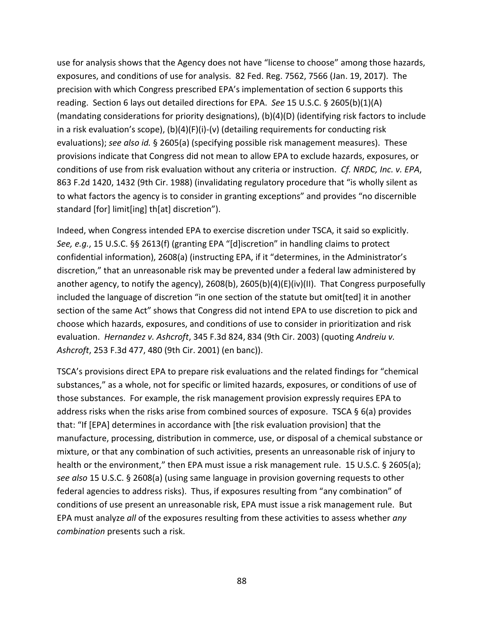use for analysis shows that the Agency does not have "license to choose" among those hazards, exposures, and conditions of use for analysis. 82 Fed. Reg. 7562, 7566 (Jan. 19, 2017). The precision with which Congress prescribed EPA's implementation of section 6 supports this reading. Section 6 lays out detailed directions for EPA. *See* 15 U.S.C. § 2605(b)(1)(A) (mandating considerations for priority designations), (b)(4)(D) (identifying risk factors to include in a risk evaluation's scope), (b)(4)(F)(i)-(v) (detailing requirements for conducting risk evaluations); *see also id.* § 2605(a) (specifying possible risk management measures). These provisions indicate that Congress did not mean to allow EPA to exclude hazards, exposures, or conditions of use from risk evaluation without any criteria or instruction. *Cf. NRDC, Inc. v. EPA*, 863 F.2d 1420, 1432 (9th Cir. 1988) (invalidating regulatory procedure that "is wholly silent as to what factors the agency is to consider in granting exceptions" and provides "no discernible standard [for] limit[ing] th[at] discretion").

Indeed, when Congress intended EPA to exercise discretion under TSCA, it said so explicitly. *See, e.g.*, 15 U.S.C. §§ 2613(f) (granting EPA "[d]iscretion" in handling claims to protect confidential information), 2608(a) (instructing EPA, if it "determines, in the Administrator's discretion," that an unreasonable risk may be prevented under a federal law administered by another agency, to notify the agency),  $2608(b)$ ,  $2605(b)(4)(E)(iv)(II)$ . That Congress purposefully included the language of discretion "in one section of the statute but omit[ted] it in another section of the same Act" shows that Congress did not intend EPA to use discretion to pick and choose which hazards, exposures, and conditions of use to consider in prioritization and risk evaluation. *Hernandez v. Ashcroft*, 345 F.3d 824, 834 (9th Cir. 2003) (quoting *Andreiu v. Ashcroft*, 253 F.3d 477, 480 (9th Cir. 2001) (en banc)).

TSCA's provisions direct EPA to prepare risk evaluations and the related findings for "chemical substances," as a whole, not for specific or limited hazards, exposures, or conditions of use of those substances. For example, the risk management provision expressly requires EPA to address risks when the risks arise from combined sources of exposure. TSCA § 6(a) provides that: "If [EPA] determines in accordance with [the risk evaluation provision] that the manufacture, processing, distribution in commerce, use, or disposal of a chemical substance or mixture, or that any combination of such activities, presents an unreasonable risk of injury to health or the environment," then EPA must issue a risk management rule. 15 U.S.C. § 2605(a); *see also* 15 U.S.C. § 2608(a) (using same language in provision governing requests to other federal agencies to address risks). Thus, if exposures resulting from "any combination" of conditions of use present an unreasonable risk, EPA must issue a risk management rule. But EPA must analyze *all* of the exposures resulting from these activities to assess whether *any combination* presents such a risk.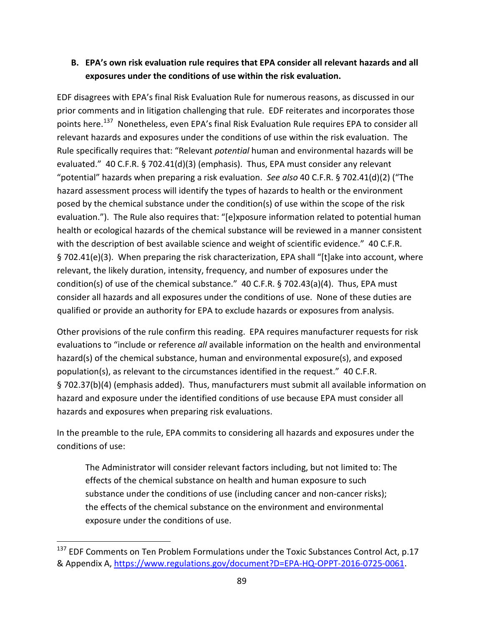## **B. EPA's own risk evaluation rule requires that EPA consider all relevant hazards and all exposures under the conditions of use within the risk evaluation.**

EDF disagrees with EPA's final Risk Evaluation Rule for numerous reasons, as discussed in our prior comments and in litigation challenging that rule. EDF reiterates and incorporates those points here.[137](#page-88-0) Nonetheless, even EPA's final Risk Evaluation Rule requires EPA to consider all relevant hazards and exposures under the conditions of use within the risk evaluation. The Rule specifically requires that: "Relevant *potential* human and environmental hazards will be evaluated." 40 C.F.R. § 702.41(d)(3) (emphasis). Thus, EPA must consider any relevant "potential" hazards when preparing a risk evaluation. *See also* 40 C.F.R. § 702.41(d)(2) ("The hazard assessment process will identify the types of hazards to health or the environment posed by the chemical substance under the condition(s) of use within the scope of the risk evaluation."). The Rule also requires that: "[e]xposure information related to potential human health or ecological hazards of the chemical substance will be reviewed in a manner consistent with the description of best available science and weight of scientific evidence." 40 C.F.R. § 702.41(e)(3). When preparing the risk characterization, EPA shall "[t]ake into account, where relevant, the likely duration, intensity, frequency, and number of exposures under the condition(s) of use of the chemical substance." 40 C.F.R. § 702.43(a)(4). Thus, EPA must consider all hazards and all exposures under the conditions of use. None of these duties are qualified or provide an authority for EPA to exclude hazards or exposures from analysis.

Other provisions of the rule confirm this reading. EPA requires manufacturer requests for risk evaluations to "include or reference *all* available information on the health and environmental hazard(s) of the chemical substance, human and environmental exposure(s), and exposed population(s), as relevant to the circumstances identified in the request." 40 C.F.R. § 702.37(b)(4) (emphasis added). Thus, manufacturers must submit all available information on hazard and exposure under the identified conditions of use because EPA must consider all hazards and exposures when preparing risk evaluations.

In the preamble to the rule, EPA commits to considering all hazards and exposures under the conditions of use:

The Administrator will consider relevant factors including, but not limited to: The effects of the chemical substance on health and human exposure to such substance under the conditions of use (including cancer and non-cancer risks); the effects of the chemical substance on the environment and environmental exposure under the conditions of use.

<span id="page-88-0"></span><sup>&</sup>lt;sup>137</sup> EDF Comments on Ten Problem Formulations under the Toxic Substances Control Act, p.17 & Appendix A, [https://www.regulations.gov/document?D=EPA-HQ-OPPT-2016-0725-0061.](https://www.regulations.gov/document?D=EPA-HQ-OPPT-2016-0725-0061)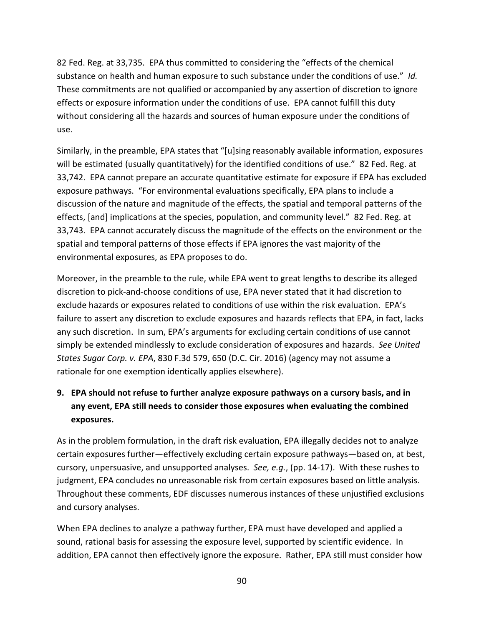82 Fed. Reg. at 33,735. EPA thus committed to considering the "effects of the chemical substance on health and human exposure to such substance under the conditions of use." *Id.* These commitments are not qualified or accompanied by any assertion of discretion to ignore effects or exposure information under the conditions of use. EPA cannot fulfill this duty without considering all the hazards and sources of human exposure under the conditions of use.

Similarly, in the preamble, EPA states that "[u]sing reasonably available information, exposures will be estimated (usually quantitatively) for the identified conditions of use." 82 Fed. Reg. at 33,742. EPA cannot prepare an accurate quantitative estimate for exposure if EPA has excluded exposure pathways. "For environmental evaluations specifically, EPA plans to include a discussion of the nature and magnitude of the effects, the spatial and temporal patterns of the effects, [and] implications at the species, population, and community level." 82 Fed. Reg. at 33,743. EPA cannot accurately discuss the magnitude of the effects on the environment or the spatial and temporal patterns of those effects if EPA ignores the vast majority of the environmental exposures, as EPA proposes to do.

Moreover, in the preamble to the rule, while EPA went to great lengths to describe its alleged discretion to pick-and-choose conditions of use, EPA never stated that it had discretion to exclude hazards or exposures related to conditions of use within the risk evaluation. EPA's failure to assert any discretion to exclude exposures and hazards reflects that EPA, in fact, lacks any such discretion. In sum, EPA's arguments for excluding certain conditions of use cannot simply be extended mindlessly to exclude consideration of exposures and hazards. *See United States Sugar Corp. v. EPA*, 830 F.3d 579, 650 (D.C. Cir. 2016) (agency may not assume a rationale for one exemption identically applies elsewhere).

# **9. EPA should not refuse to further analyze exposure pathways on a cursory basis, and in any event, EPA still needs to consider those exposures when evaluating the combined exposures.**

As in the problem formulation, in the draft risk evaluation, EPA illegally decides not to analyze certain exposures further—effectively excluding certain exposure pathways—based on, at best, cursory, unpersuasive, and unsupported analyses. *See, e.g.*, (pp. 14-17). With these rushes to judgment, EPA concludes no unreasonable risk from certain exposures based on little analysis. Throughout these comments, EDF discusses numerous instances of these unjustified exclusions and cursory analyses.

When EPA declines to analyze a pathway further, EPA must have developed and applied a sound, rational basis for assessing the exposure level, supported by scientific evidence. In addition, EPA cannot then effectively ignore the exposure. Rather, EPA still must consider how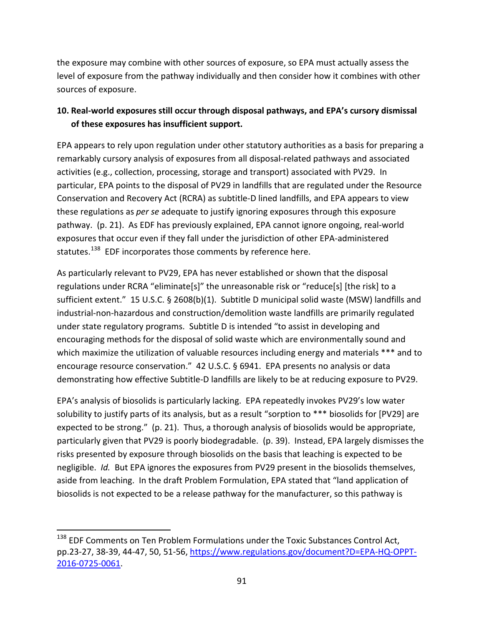the exposure may combine with other sources of exposure, so EPA must actually assess the level of exposure from the pathway individually and then consider how it combines with other sources of exposure.

# **10. Real-world exposures still occur through disposal pathways, and EPA's cursory dismissal of these exposures has insufficient support.**

EPA appears to rely upon regulation under other statutory authorities as a basis for preparing a remarkably cursory analysis of exposures from all disposal-related pathways and associated activities (e.g., collection, processing, storage and transport) associated with PV29. In particular, EPA points to the disposal of PV29 in landfills that are regulated under the Resource Conservation and Recovery Act (RCRA) as subtitle-D lined landfills, and EPA appears to view these regulations as *per se* adequate to justify ignoring exposures through this exposure pathway. (p. 21). As EDF has previously explained, EPA cannot ignore ongoing, real-world exposures that occur even if they fall under the jurisdiction of other EPA-administered statutes.<sup>[138](#page-90-0)</sup> EDF incorporates those comments by reference here.

As particularly relevant to PV29, EPA has never established or shown that the disposal regulations under RCRA "eliminate[s]" the unreasonable risk or "reduce[s] [the risk] to a sufficient extent." 15 U.S.C. § 2608(b)(1). Subtitle D municipal solid waste (MSW) landfills and industrial-non-hazardous and construction/demolition waste landfills are primarily regulated under state regulatory programs. Subtitle D is intended "to assist in developing and encouraging methods for the disposal of solid waste which are environmentally sound and which maximize the utilization of valuable resources including energy and materials \*\*\* and to encourage resource conservation." 42 U.S.C. § 6941. EPA presents no analysis or data demonstrating how effective Subtitle-D landfills are likely to be at reducing exposure to PV29.

EPA's analysis of biosolids is particularly lacking. EPA repeatedly invokes PV29's low water solubility to justify parts of its analysis, but as a result "sorption to \*\*\* biosolids for [PV29] are expected to be strong." (p. 21). Thus, a thorough analysis of biosolids would be appropriate, particularly given that PV29 is poorly biodegradable. (p. 39). Instead, EPA largely dismisses the risks presented by exposure through biosolids on the basis that leaching is expected to be negligible. *Id.* But EPA ignores the exposures from PV29 present in the biosolids themselves, aside from leaching. In the draft Problem Formulation, EPA stated that "land application of biosolids is not expected to be a release pathway for the manufacturer, so this pathway is

<span id="page-90-0"></span><sup>&</sup>lt;sup>138</sup> EDF Comments on Ten Problem Formulations under the Toxic Substances Control Act, pp.23-27, 38-39, 44-47, 50, 51-56, [https://www.regulations.gov/document?D=EPA-HQ-OPPT-](https://www.regulations.gov/document?D=EPA-HQ-OPPT-2016-0725-0061)[2016-0725-0061.](https://www.regulations.gov/document?D=EPA-HQ-OPPT-2016-0725-0061)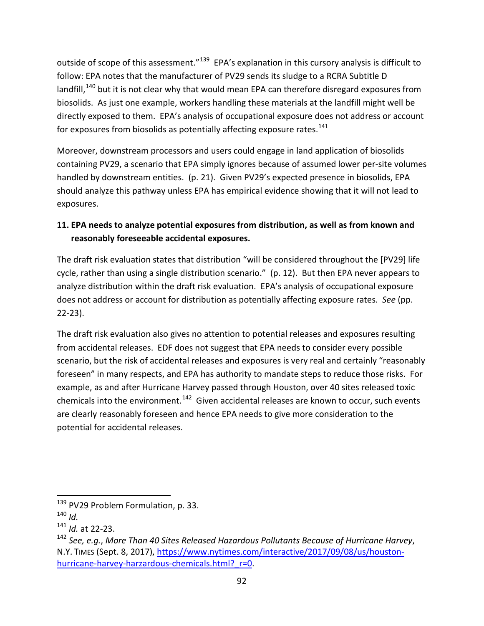outside of scope of this assessment."<sup>[139](#page-91-0)</sup> EPA's explanation in this cursory analysis is difficult to follow: EPA notes that the manufacturer of PV29 sends its sludge to a RCRA Subtitle D landfill, $140$  but it is not clear why that would mean EPA can therefore disregard exposures from biosolids. As just one example, workers handling these materials at the landfill might well be directly exposed to them. EPA's analysis of occupational exposure does not address or account for exposures from biosolids as potentially affecting exposure rates.<sup>[141](#page-91-2)</sup>

Moreover, downstream processors and users could engage in land application of biosolids containing PV29, a scenario that EPA simply ignores because of assumed lower per-site volumes handled by downstream entities. (p. 21). Given PV29's expected presence in biosolids, EPA should analyze this pathway unless EPA has empirical evidence showing that it will not lead to exposures.

# **11. EPA needs to analyze potential exposures from distribution, as well as from known and reasonably foreseeable accidental exposures.**

The draft risk evaluation states that distribution "will be considered throughout the [PV29] life cycle, rather than using a single distribution scenario." (p. 12). But then EPA never appears to analyze distribution within the draft risk evaluation. EPA's analysis of occupational exposure does not address or account for distribution as potentially affecting exposure rates. *See* (pp. 22-23).

The draft risk evaluation also gives no attention to potential releases and exposures resulting from accidental releases. EDF does not suggest that EPA needs to consider every possible scenario, but the risk of accidental releases and exposures is very real and certainly "reasonably foreseen" in many respects, and EPA has authority to mandate steps to reduce those risks. For example, as and after Hurricane Harvey passed through Houston, over 40 sites released toxic chemicals into the environment.<sup>142</sup> Given accidental releases are known to occur, such events are clearly reasonably foreseen and hence EPA needs to give more consideration to the potential for accidental releases.

<sup>&</sup>lt;sup>139</sup> PV29 Problem Formulation, p. 33.

<span id="page-91-1"></span><span id="page-91-0"></span><sup>140</sup> *Id.*

<span id="page-91-2"></span><sup>141</sup> *Id.* at 22-23.

<span id="page-91-3"></span><sup>142</sup> *See, e.g.*, *More Than 40 Sites Released Hazardous Pollutants Because of Hurricane Harvey*, N.Y. TIMES (Sept. 8, 2017), [https://www.nytimes.com/interactive/2017/09/08/us/houston](https://www.nytimes.com/interactive/2017/09/08/us/houston-hurricane-harvey-harzardous-chemicals.html?_r=0)hurricane-harvey-harzardous-chemicals.html? r=0.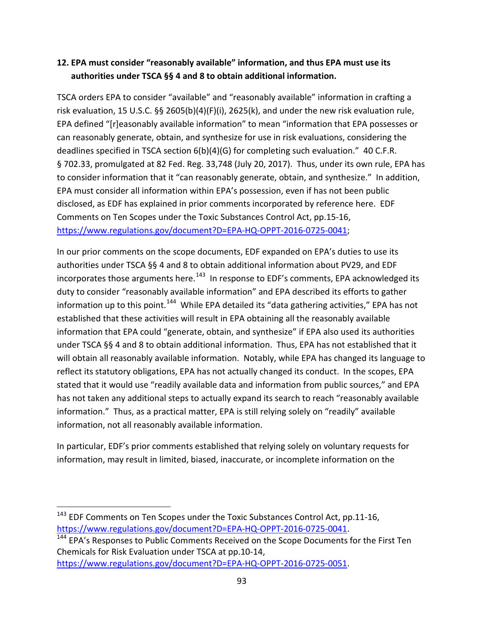## **12. EPA must consider "reasonably available" information, and thus EPA must use its authorities under TSCA §§ 4 and 8 to obtain additional information.**

TSCA orders EPA to consider "available" and "reasonably available" information in crafting a risk evaluation, 15 U.S.C. §§ 2605(b)(4)(F)(i), 2625(k), and under the new risk evaluation rule, EPA defined "[r]easonably available information" to mean "information that EPA possesses or can reasonably generate, obtain, and synthesize for use in risk evaluations, considering the deadlines specified in TSCA section  $6(b)(4)(G)$  for completing such evaluation." 40 C.F.R. § 702.33, promulgated at 82 Fed. Reg. 33,748 (July 20, 2017). Thus, under its own rule, EPA has to consider information that it "can reasonably generate, obtain, and synthesize." In addition, EPA must consider all information within EPA's possession, even if has not been public disclosed, as EDF has explained in prior comments incorporated by reference here. EDF Comments on Ten Scopes under the Toxic Substances Control Act, pp.15-16, [https://www.regulations.gov/document?D=EPA-HQ-OPPT-2016-0725-0041;](https://www.regulations.gov/document?D=EPA-HQ-OPPT-2016-0725-0041)

In our prior comments on the scope documents, EDF expanded on EPA's duties to use its authorities under TSCA §§ 4 and 8 to obtain additional information about PV29, and EDF incorporates those arguments here. $143$  In response to EDF's comments, EPA acknowledged its duty to consider "reasonably available information" and EPA described its efforts to gather information up to this point.<sup>144</sup> While EPA detailed its "data gathering activities," EPA has not established that these activities will result in EPA obtaining all the reasonably available information that EPA could "generate, obtain, and synthesize" if EPA also used its authorities under TSCA §§ 4 and 8 to obtain additional information. Thus, EPA has not established that it will obtain all reasonably available information. Notably, while EPA has changed its language to reflect its statutory obligations, EPA has not actually changed its conduct. In the scopes, EPA stated that it would use "readily available data and information from public sources," and EPA has not taken any additional steps to actually expand its search to reach "reasonably available information." Thus, as a practical matter, EPA is still relying solely on "readily" available information, not all reasonably available information.

In particular, EDF's prior comments established that relying solely on voluntary requests for information, may result in limited, biased, inaccurate, or incomplete information on the

<span id="page-92-0"></span><sup>&</sup>lt;sup>143</sup> EDF Comments on Ten Scopes under the Toxic Substances Control Act, pp.11-16, [https://www.regulations.gov/document?D=EPA-HQ-OPPT-2016-0725-0041.](https://www.regulations.gov/document?D=EPA-HQ-OPPT-2016-0725-0041)<br><sup>[144](https://www.regulations.gov/document?D=EPA-HQ-OPPT-2016-0725-0041)</sup> EPA's Responses to Public Comments Received on the Scope Documents for the First Ten

<span id="page-92-1"></span>Chemicals for Risk Evaluation under TSCA at pp.10-14, [https://www.regulations.gov/document?D=EPA-HQ-OPPT-2016-0725-0051.](https://www.regulations.gov/document?D=EPA-HQ-OPPT-2016-0725-0051)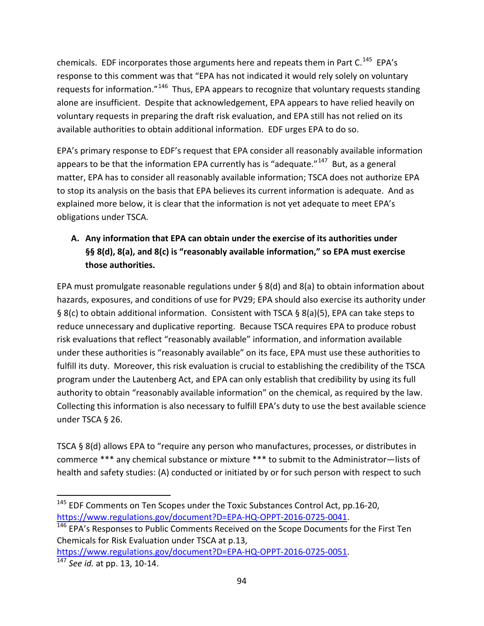chemicals. EDF incorporates those arguments here and repeats them in Part C.<sup>[145](#page-93-0)</sup> EPA's response to this comment was that "EPA has not indicated it would rely solely on voluntary requests for information."<sup>146</sup> Thus, EPA appears to recognize that voluntary requests standing alone are insufficient. Despite that acknowledgement, EPA appears to have relied heavily on voluntary requests in preparing the draft risk evaluation, and EPA still has not relied on its available authorities to obtain additional information. EDF urges EPA to do so.

EPA's primary response to EDF's request that EPA consider all reasonably available information appears to be that the information EPA currently has is "adequate." $147$  But, as a general matter, EPA has to consider all reasonably available information; TSCA does not authorize EPA to stop its analysis on the basis that EPA believes its current information is adequate. And as explained more below, it is clear that the information is not yet adequate to meet EPA's obligations under TSCA.

# **A. Any information that EPA can obtain under the exercise of its authorities under §§ 8(d), 8(a), and 8(c) is "reasonably available information," so EPA must exercise those authorities.**

EPA must promulgate reasonable regulations under § 8(d) and 8(a) to obtain information about hazards, exposures, and conditions of use for PV29; EPA should also exercise its authority under § 8(c) to obtain additional information. Consistent with TSCA § 8(a)(5), EPA can take steps to reduce unnecessary and duplicative reporting. Because TSCA requires EPA to produce robust risk evaluations that reflect "reasonably available" information, and information available under these authorities is "reasonably available" on its face, EPA must use these authorities to fulfill its duty. Moreover, this risk evaluation is crucial to establishing the credibility of the TSCA program under the Lautenberg Act, and EPA can only establish that credibility by using its full authority to obtain "reasonably available information" on the chemical, as required by the law. Collecting this information is also necessary to fulfill EPA's duty to use the best available science under TSCA § 26.

TSCA § 8(d) allows EPA to "require any person who manufactures, processes, or distributes in commerce \*\*\* any chemical substance or mixture \*\*\* to submit to the Administrator—lists of health and safety studies: (A) conducted or initiated by or for such person with respect to such

<span id="page-93-0"></span><sup>&</sup>lt;sup>145</sup> EDF Comments on Ten Scopes under the Toxic Substances Control Act, pp.16-20, [https://www.regulations.gov/document?D=EPA-HQ-OPPT-2016-0725-0041.](https://www.regulations.gov/document?D=EPA-HQ-OPPT-2016-0725-0041)<br><sup>146</sup> EPA's Responses to Public Comments Received on the Scope Documents for the First Ten

<span id="page-93-1"></span>Chemicals for Risk Evaluation under TSCA at p.13,

<span id="page-93-2"></span>[https://www.regulations.gov/document?D=EPA-HQ-OPPT-2016-0725-0051.](https://www.regulations.gov/document?D=EPA-HQ-OPPT-2016-0725-0051) 147 *See id.* at pp. 13, 10-14.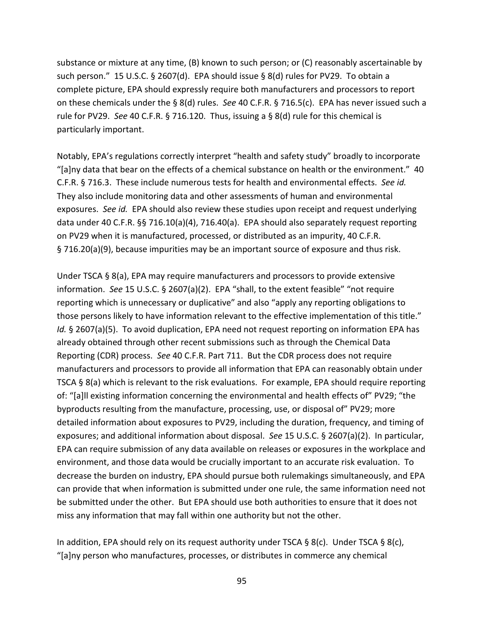substance or mixture at any time, (B) known to such person; or (C) reasonably ascertainable by such person." 15 U.S.C. § 2607(d). EPA should issue § 8(d) rules for PV29. To obtain a complete picture, EPA should expressly require both manufacturers and processors to report on these chemicals under the § 8(d) rules. *See* 40 C.F.R. § 716.5(c). EPA has never issued such a rule for PV29. *See* 40 C.F.R. § 716.120. Thus, issuing a § 8(d) rule for this chemical is particularly important.

Notably, EPA's regulations correctly interpret "health and safety study" broadly to incorporate "[a]ny data that bear on the effects of a chemical substance on health or the environment." 40 C.F.R. § 716.3. These include numerous tests for health and environmental effects. *See id.* They also include monitoring data and other assessments of human and environmental exposures. *See id.* EPA should also review these studies upon receipt and request underlying data under 40 C.F.R. §§ 716.10(a)(4), 716.40(a). EPA should also separately request reporting on PV29 when it is manufactured, processed, or distributed as an impurity, 40 C.F.R. § 716.20(a)(9), because impurities may be an important source of exposure and thus risk.

Under TSCA § 8(a), EPA may require manufacturers and processors to provide extensive information. *See* 15 U.S.C. § 2607(a)(2). EPA "shall, to the extent feasible" "not require reporting which is unnecessary or duplicative" and also "apply any reporting obligations to those persons likely to have information relevant to the effective implementation of this title." *Id.* § 2607(a)(5). To avoid duplication, EPA need not request reporting on information EPA has already obtained through other recent submissions such as through the Chemical Data Reporting (CDR) process. *See* 40 C.F.R. Part 711. But the CDR process does not require manufacturers and processors to provide all information that EPA can reasonably obtain under TSCA § 8(a) which is relevant to the risk evaluations. For example, EPA should require reporting of: "[a]ll existing information concerning the environmental and health effects of" PV29; "the byproducts resulting from the manufacture, processing, use, or disposal of" PV29; more detailed information about exposures to PV29, including the duration, frequency, and timing of exposures; and additional information about disposal. *See* 15 U.S.C. § 2607(a)(2). In particular, EPA can require submission of any data available on releases or exposures in the workplace and environment, and those data would be crucially important to an accurate risk evaluation. To decrease the burden on industry, EPA should pursue both rulemakings simultaneously, and EPA can provide that when information is submitted under one rule, the same information need not be submitted under the other. But EPA should use both authorities to ensure that it does not miss any information that may fall within one authority but not the other.

In addition, EPA should rely on its request authority under TSCA  $\S 8(c)$ . Under TSCA  $\S 8(c)$ , "[a]ny person who manufactures, processes, or distributes in commerce any chemical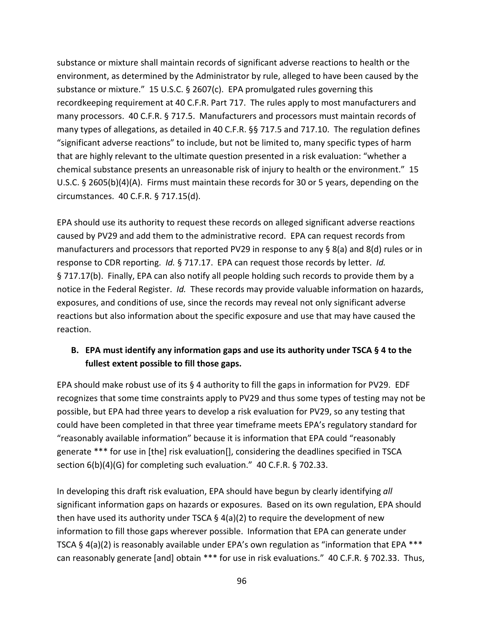substance or mixture shall maintain records of significant adverse reactions to health or the environment, as determined by the Administrator by rule, alleged to have been caused by the substance or mixture." 15 U.S.C.  $\S$  2607(c). EPA promulgated rules governing this recordkeeping requirement at 40 C.F.R. Part 717. The rules apply to most manufacturers and many processors. 40 C.F.R. § 717.5. Manufacturers and processors must maintain records of many types of allegations, as detailed in 40 C.F.R. §§ 717.5 and 717.10. The regulation defines "significant adverse reactions" to include, but not be limited to, many specific types of harm that are highly relevant to the ultimate question presented in a risk evaluation: "whether a chemical substance presents an unreasonable risk of injury to health or the environment." 15 U.S.C. § 2605(b)(4)(A). Firms must maintain these records for 30 or 5 years, depending on the circumstances. 40 C.F.R. § 717.15(d).

EPA should use its authority to request these records on alleged significant adverse reactions caused by PV29 and add them to the administrative record. EPA can request records from manufacturers and processors that reported PV29 in response to any § 8(a) and 8(d) rules or in response to CDR reporting. *Id.* § 717.17. EPA can request those records by letter. *Id.* § 717.17(b). Finally, EPA can also notify all people holding such records to provide them by a notice in the Federal Register. *Id.* These records may provide valuable information on hazards, exposures, and conditions of use, since the records may reveal not only significant adverse reactions but also information about the specific exposure and use that may have caused the reaction.

#### **B. EPA must identify any information gaps and use its authority under TSCA § 4 to the fullest extent possible to fill those gaps.**

EPA should make robust use of its  $\S$  4 authority to fill the gaps in information for PV29. EDF recognizes that some time constraints apply to PV29 and thus some types of testing may not be possible, but EPA had three years to develop a risk evaluation for PV29, so any testing that could have been completed in that three year timeframe meets EPA's regulatory standard for "reasonably available information" because it is information that EPA could "reasonably generate \*\*\* for use in [the] risk evaluation[], considering the deadlines specified in TSCA section 6(b)(4)(G) for completing such evaluation." 40 C.F.R. § 702.33.

In developing this draft risk evaluation, EPA should have begun by clearly identifying *all* significant information gaps on hazards or exposures. Based on its own regulation, EPA should then have used its authority under TSCA  $\S$  4(a)(2) to require the development of new information to fill those gaps wherever possible. Information that EPA can generate under TSCA § 4(a)(2) is reasonably available under EPA's own regulation as "information that EPA \*\*\* can reasonably generate [and] obtain \*\*\* for use in risk evaluations." 40 C.F.R. § 702.33. Thus,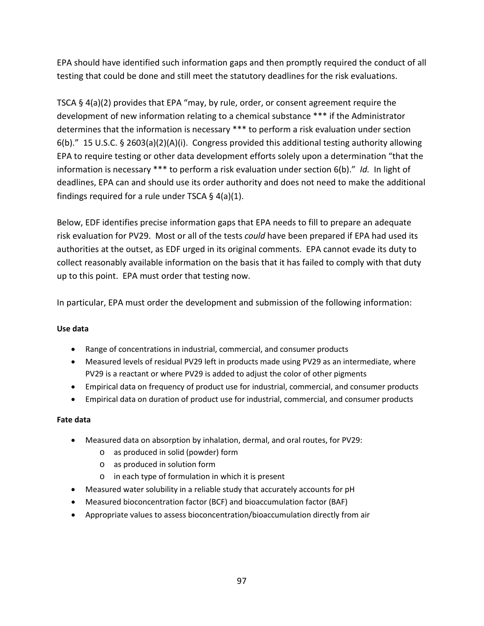EPA should have identified such information gaps and then promptly required the conduct of all testing that could be done and still meet the statutory deadlines for the risk evaluations.

TSCA § 4(a)(2) provides that EPA "may, by rule, order, or consent agreement require the development of new information relating to a chemical substance \*\*\* if the Administrator determines that the information is necessary \*\*\* to perform a risk evaluation under section 6(b)." 15 U.S.C. § 2603(a)(2)(A)(i). Congress provided this additional testing authority allowing EPA to require testing or other data development efforts solely upon a determination "that the information is necessary \*\*\* to perform a risk evaluation under section 6(b)." *Id.* In light of deadlines, EPA can and should use its order authority and does not need to make the additional findings required for a rule under TSCA § 4(a)(1).

Below, EDF identifies precise information gaps that EPA needs to fill to prepare an adequate risk evaluation for PV29. Most or all of the tests *could* have been prepared if EPA had used its authorities at the outset, as EDF urged in its original comments. EPA cannot evade its duty to collect reasonably available information on the basis that it has failed to comply with that duty up to this point. EPA must order that testing now.

In particular, EPA must order the development and submission of the following information:

#### **Use data**

- Range of concentrations in industrial, commercial, and consumer products
- Measured levels of residual PV29 left in products made using PV29 as an intermediate, where PV29 is a reactant or where PV29 is added to adjust the color of other pigments
- Empirical data on frequency of product use for industrial, commercial, and consumer products
- Empirical data on duration of product use for industrial, commercial, and consumer products

#### **Fate data**

- Measured data on absorption by inhalation, dermal, and oral routes, for PV29:
	- o as produced in solid (powder) form
	- o as produced in solution form
	- o in each type of formulation in which it is present
- Measured water solubility in a reliable study that accurately accounts for pH
- Measured bioconcentration factor (BCF) and bioaccumulation factor (BAF)
- Appropriate values to assess bioconcentration/bioaccumulation directly from air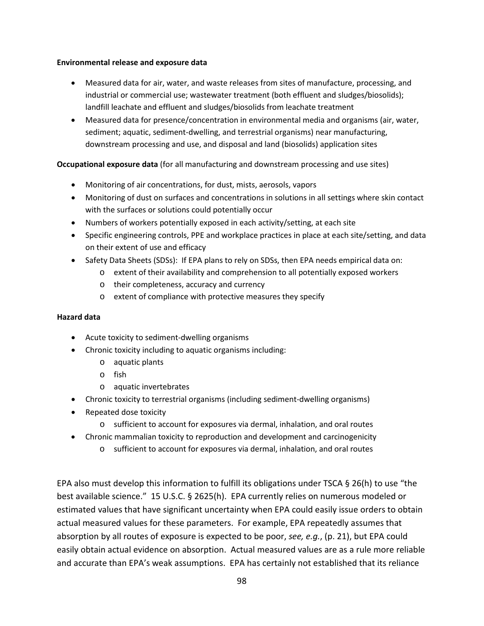#### **Environmental release and exposure data**

- Measured data for air, water, and waste releases from sites of manufacture, processing, and industrial or commercial use; wastewater treatment (both effluent and sludges/biosolids); landfill leachate and effluent and sludges/biosolids from leachate treatment
- Measured data for presence/concentration in environmental media and organisms (air, water, sediment; aquatic, sediment-dwelling, and terrestrial organisms) near manufacturing, downstream processing and use, and disposal and land (biosolids) application sites

#### **Occupational exposure data** (for all manufacturing and downstream processing and use sites)

- Monitoring of air concentrations, for dust, mists, aerosols, vapors
- Monitoring of dust on surfaces and concentrations in solutions in all settings where skin contact with the surfaces or solutions could potentially occur
- Numbers of workers potentially exposed in each activity/setting, at each site
- Specific engineering controls, PPE and workplace practices in place at each site/setting, and data on their extent of use and efficacy
- Safety Data Sheets (SDSs): If EPA plans to rely on SDSs, then EPA needs empirical data on:
	- o extent of their availability and comprehension to all potentially exposed workers
		- o their completeness, accuracy and currency
		- o extent of compliance with protective measures they specify

#### **Hazard data**

- Acute toxicity to sediment-dwelling organisms
- Chronic toxicity including to aquatic organisms including:
	- o aquatic plants
	- o fish
	- o aquatic invertebrates
- Chronic toxicity to terrestrial organisms (including sediment-dwelling organisms)
- Repeated dose toxicity
	- o sufficient to account for exposures via dermal, inhalation, and oral routes
- Chronic mammalian toxicity to reproduction and development and carcinogenicity
	- o sufficient to account for exposures via dermal, inhalation, and oral routes

EPA also must develop this information to fulfill its obligations under TSCA § 26(h) to use "the best available science." 15 U.S.C. § 2625(h). EPA currently relies on numerous modeled or estimated values that have significant uncertainty when EPA could easily issue orders to obtain actual measured values for these parameters. For example, EPA repeatedly assumes that absorption by all routes of exposure is expected to be poor, *see, e.g.*, (p. 21), but EPA could easily obtain actual evidence on absorption. Actual measured values are as a rule more reliable and accurate than EPA's weak assumptions. EPA has certainly not established that its reliance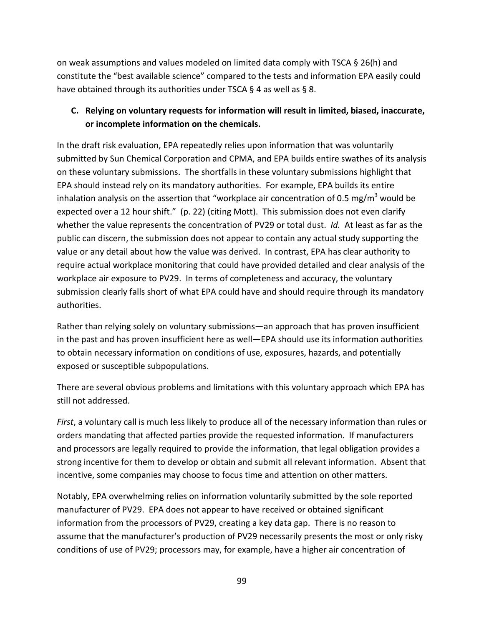on weak assumptions and values modeled on limited data comply with TSCA § 26(h) and constitute the "best available science" compared to the tests and information EPA easily could have obtained through its authorities under TSCA § 4 as well as § 8.

## **C. Relying on voluntary requests for information will result in limited, biased, inaccurate, or incomplete information on the chemicals.**

In the draft risk evaluation, EPA repeatedly relies upon information that was voluntarily submitted by Sun Chemical Corporation and CPMA, and EPA builds entire swathes of its analysis on these voluntary submissions. The shortfalls in these voluntary submissions highlight that EPA should instead rely on its mandatory authorities. For example, EPA builds its entire inhalation analysis on the assertion that "workplace air concentration of 0.5 mg/m<sup>3</sup> would be expected over a 12 hour shift." (p. 22) (citing Mott). This submission does not even clarify whether the value represents the concentration of PV29 or total dust. *Id.* At least as far as the public can discern, the submission does not appear to contain any actual study supporting the value or any detail about how the value was derived. In contrast, EPA has clear authority to require actual workplace monitoring that could have provided detailed and clear analysis of the workplace air exposure to PV29. In terms of completeness and accuracy, the voluntary submission clearly falls short of what EPA could have and should require through its mandatory authorities.

Rather than relying solely on voluntary submissions—an approach that has proven insufficient in the past and has proven insufficient here as well—EPA should use its information authorities to obtain necessary information on conditions of use, exposures, hazards, and potentially exposed or susceptible subpopulations.

There are several obvious problems and limitations with this voluntary approach which EPA has still not addressed.

*First*, a voluntary call is much less likely to produce all of the necessary information than rules or orders mandating that affected parties provide the requested information. If manufacturers and processors are legally required to provide the information, that legal obligation provides a strong incentive for them to develop or obtain and submit all relevant information. Absent that incentive, some companies may choose to focus time and attention on other matters.

Notably, EPA overwhelming relies on information voluntarily submitted by the sole reported manufacturer of PV29. EPA does not appear to have received or obtained significant information from the processors of PV29, creating a key data gap. There is no reason to assume that the manufacturer's production of PV29 necessarily presents the most or only risky conditions of use of PV29; processors may, for example, have a higher air concentration of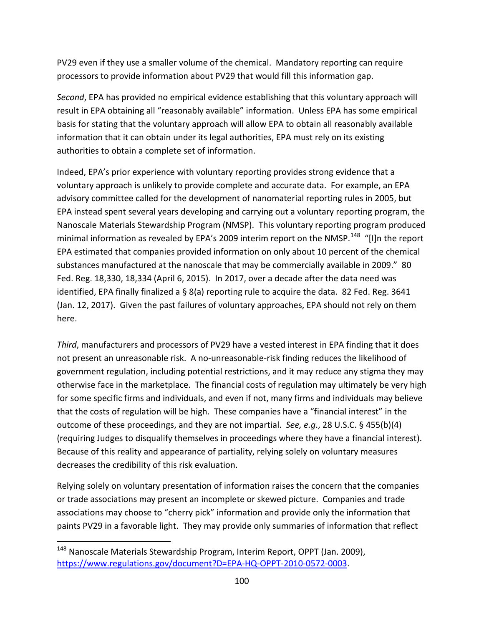PV29 even if they use a smaller volume of the chemical. Mandatory reporting can require processors to provide information about PV29 that would fill this information gap.

*Second*, EPA has provided no empirical evidence establishing that this voluntary approach will result in EPA obtaining all "reasonably available" information. Unless EPA has some empirical basis for stating that the voluntary approach will allow EPA to obtain all reasonably available information that it can obtain under its legal authorities, EPA must rely on its existing authorities to obtain a complete set of information.

Indeed, EPA's prior experience with voluntary reporting provides strong evidence that a voluntary approach is unlikely to provide complete and accurate data. For example, an EPA advisory committee called for the development of nanomaterial reporting rules in 2005, but EPA instead spent several years developing and carrying out a voluntary reporting program, the Nanoscale Materials Stewardship Program (NMSP). This voluntary reporting program produced minimal information as revealed by EPA's 2009 interim report on the NMSP.<sup>148</sup> "[I]n the report EPA estimated that companies provided information on only about 10 percent of the chemical substances manufactured at the nanoscale that may be commercially available in 2009." 80 Fed. Reg. 18,330, 18,334 (April 6, 2015). In 2017, over a decade after the data need was identified, EPA finally finalized a § 8(a) reporting rule to acquire the data. 82 Fed. Reg. 3641 (Jan. 12, 2017). Given the past failures of voluntary approaches, EPA should not rely on them here.

*Third*, manufacturers and processors of PV29 have a vested interest in EPA finding that it does not present an unreasonable risk. A no-unreasonable-risk finding reduces the likelihood of government regulation, including potential restrictions, and it may reduce any stigma they may otherwise face in the marketplace. The financial costs of regulation may ultimately be very high for some specific firms and individuals, and even if not, many firms and individuals may believe that the costs of regulation will be high. These companies have a "financial interest" in the outcome of these proceedings, and they are not impartial. *See, e.g*., 28 U.S.C. § 455(b)(4) (requiring Judges to disqualify themselves in proceedings where they have a financial interest). Because of this reality and appearance of partiality, relying solely on voluntary measures decreases the credibility of this risk evaluation.

Relying solely on voluntary presentation of information raises the concern that the companies or trade associations may present an incomplete or skewed picture. Companies and trade associations may choose to "cherry pick" information and provide only the information that paints PV29 in a favorable light. They may provide only summaries of information that reflect

<span id="page-99-0"></span><sup>&</sup>lt;sup>148</sup> Nanoscale Materials Stewardship Program, Interim Report, OPPT (Jan. 2009), [https://www.regulations.gov/document?D=EPA-HQ-OPPT-2010-0572-0003.](https://www.regulations.gov/document?D=EPA-HQ-OPPT-2010-0572-0003)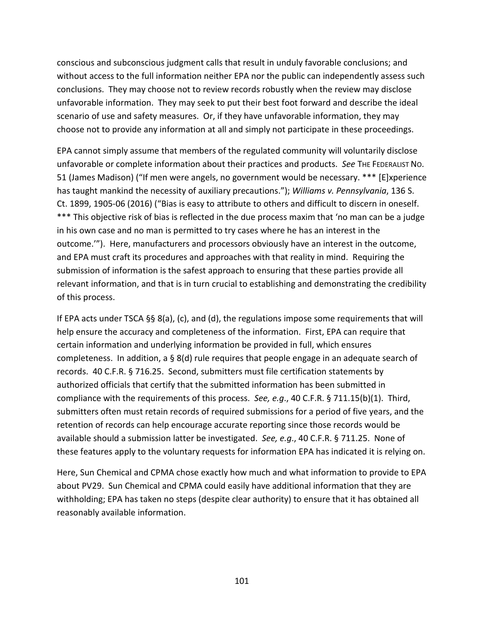conscious and subconscious judgment calls that result in unduly favorable conclusions; and without access to the full information neither EPA nor the public can independently assess such conclusions. They may choose not to review records robustly when the review may disclose unfavorable information. They may seek to put their best foot forward and describe the ideal scenario of use and safety measures. Or, if they have unfavorable information, they may choose not to provide any information at all and simply not participate in these proceedings.

EPA cannot simply assume that members of the regulated community will voluntarily disclose unfavorable or complete information about their practices and products. *See* THE FEDERALIST NO. 51 (James Madison) ("If men were angels, no government would be necessary. \*\*\* [E]xperience has taught mankind the necessity of auxiliary precautions."); *Williams v. Pennsylvania*, 136 S. Ct. 1899, 1905-06 (2016) ("Bias is easy to attribute to others and difficult to discern in oneself. \*\*\* This objective risk of bias is reflected in the due process maxim that 'no man can be a judge in his own case and no man is permitted to try cases where he has an interest in the outcome.'"). Here, manufacturers and processors obviously have an interest in the outcome, and EPA must craft its procedures and approaches with that reality in mind. Requiring the submission of information is the safest approach to ensuring that these parties provide all relevant information, and that is in turn crucial to establishing and demonstrating the credibility of this process.

If EPA acts under TSCA §§ 8(a), (c), and (d), the regulations impose some requirements that will help ensure the accuracy and completeness of the information. First, EPA can require that certain information and underlying information be provided in full, which ensures completeness. In addition, a § 8(d) rule requires that people engage in an adequate search of records. 40 C.F.R. § 716.25. Second, submitters must file certification statements by authorized officials that certify that the submitted information has been submitted in compliance with the requirements of this process. *See, e.g*., 40 C.F.R. § 711.15(b)(1). Third, submitters often must retain records of required submissions for a period of five years, and the retention of records can help encourage accurate reporting since those records would be available should a submission latter be investigated. *See, e.g*., 40 C.F.R. § 711.25. None of these features apply to the voluntary requests for information EPA has indicated it is relying on.

Here, Sun Chemical and CPMA chose exactly how much and what information to provide to EPA about PV29. Sun Chemical and CPMA could easily have additional information that they are withholding; EPA has taken no steps (despite clear authority) to ensure that it has obtained all reasonably available information.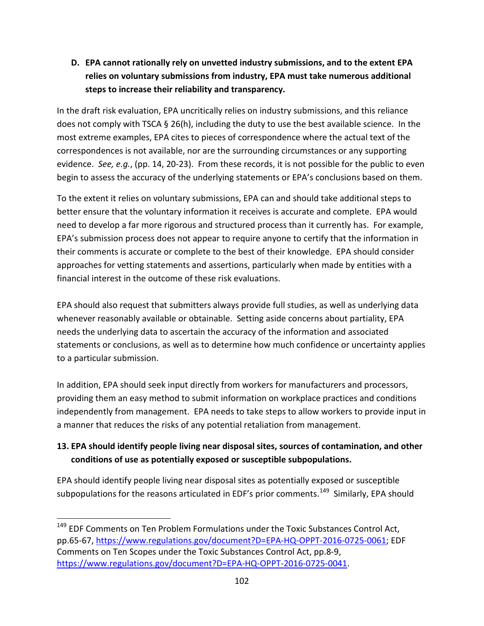**D. EPA cannot rationally rely on unvetted industry submissions, and to the extent EPA relies on voluntary submissions from industry, EPA must take numerous additional steps to increase their reliability and transparency.** 

In the draft risk evaluation, EPA uncritically relies on industry submissions, and this reliance does not comply with TSCA § 26(h), including the duty to use the best available science. In the most extreme examples, EPA cites to pieces of correspondence where the actual text of the correspondences is not available, nor are the surrounding circumstances or any supporting evidence. *See, e.g.*, (pp. 14, 20-23). From these records, it is not possible for the public to even begin to assess the accuracy of the underlying statements or EPA's conclusions based on them.

To the extent it relies on voluntary submissions, EPA can and should take additional steps to better ensure that the voluntary information it receives is accurate and complete. EPA would need to develop a far more rigorous and structured process than it currently has. For example, EPA's submission process does not appear to require anyone to certify that the information in their comments is accurate or complete to the best of their knowledge. EPA should consider approaches for vetting statements and assertions, particularly when made by entities with a financial interest in the outcome of these risk evaluations.

EPA should also request that submitters always provide full studies, as well as underlying data whenever reasonably available or obtainable. Setting aside concerns about partiality, EPA needs the underlying data to ascertain the accuracy of the information and associated statements or conclusions, as well as to determine how much confidence or uncertainty applies to a particular submission.

In addition, EPA should seek input directly from workers for manufacturers and processors, providing them an easy method to submit information on workplace practices and conditions independently from management. EPA needs to take steps to allow workers to provide input in a manner that reduces the risks of any potential retaliation from management.

# **13. EPA should identify people living near disposal sites, sources of contamination, and other conditions of use as potentially exposed or susceptible subpopulations.**

EPA should identify people living near disposal sites as potentially exposed or susceptible subpopulations for the reasons articulated in EDF's prior comments.<sup>149</sup> Similarly, EPA should

<span id="page-101-0"></span><sup>&</sup>lt;sup>149</sup> EDF Comments on Ten Problem Formulations under the Toxic Substances Control Act, pp.65-67, [https://www.regulations.gov/document?D=EPA-HQ-OPPT-2016-0725-0061;](https://www.regulations.gov/document?D=EPA-HQ-OPPT-2016-0725-0061) EDF Comments on Ten Scopes under the Toxic Substances Control Act, pp.8-9, [https://www.regulations.gov/document?D=EPA-HQ-OPPT-2016-0725-0041.](https://www.regulations.gov/document?D=EPA-HQ-OPPT-2016-0725-0041)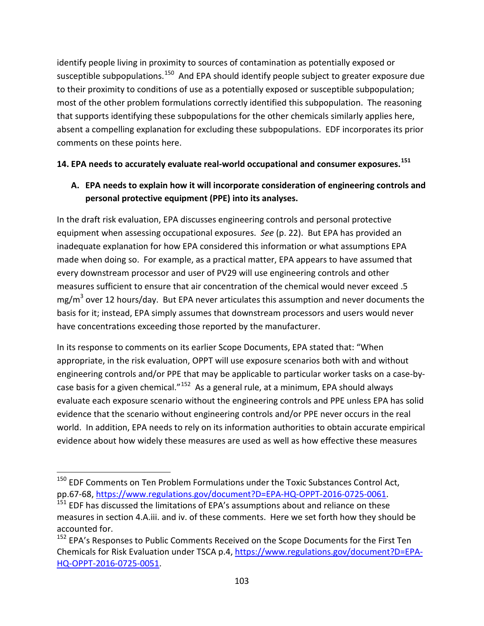identify people living in proximity to sources of contamination as potentially exposed or susceptible subpopulations.<sup>[150](#page-102-0)</sup> And EPA should identify people subject to greater exposure due to their proximity to conditions of use as a potentially exposed or susceptible subpopulation; most of the other problem formulations correctly identified this subpopulation. The reasoning that supports identifying these subpopulations for the other chemicals similarly applies here, absent a compelling explanation for excluding these subpopulations. EDF incorporates its prior comments on these points here.

#### **14. EPA needs to accurately evaluate real-world occupational and consumer exposures.[151](#page-102-1)**

# **A. EPA needs to explain how it will incorporate consideration of engineering controls and personal protective equipment (PPE) into its analyses.**

In the draft risk evaluation, EPA discusses engineering controls and personal protective equipment when assessing occupational exposures. *See* (p. 22). But EPA has provided an inadequate explanation for how EPA considered this information or what assumptions EPA made when doing so. For example, as a practical matter, EPA appears to have assumed that every downstream processor and user of PV29 will use engineering controls and other measures sufficient to ensure that air concentration of the chemical would never exceed .5  $mg/m<sup>3</sup>$  over 12 hours/day. But EPA never articulates this assumption and never documents the basis for it; instead, EPA simply assumes that downstream processors and users would never have concentrations exceeding those reported by the manufacturer.

In its response to comments on its earlier Scope Documents, EPA stated that: "When appropriate, in the risk evaluation, OPPT will use exposure scenarios both with and without engineering controls and/or PPE that may be applicable to particular worker tasks on a case-bycase basis for a given chemical." $152$  As a general rule, at a minimum, EPA should always evaluate each exposure scenario without the engineering controls and PPE unless EPA has solid evidence that the scenario without engineering controls and/or PPE never occurs in the real world. In addition, EPA needs to rely on its information authorities to obtain accurate empirical evidence about how widely these measures are used as well as how effective these measures

<span id="page-102-0"></span><sup>&</sup>lt;sup>150</sup> EDF Comments on Ten Problem Formulations under the Toxic Substances Control Act, pp.67-68, [https://www.regulations.gov/document?D=EPA-HQ-OPPT-2016-0725-0061.](https://www.regulations.gov/document?D=EPA-HQ-OPPT-2016-0725-0061)

<span id="page-102-1"></span><sup>&</sup>lt;sup>151</sup> EDF has discussed the limitations of EPA's assumptions about and reliance on these measures in section 4.A.iii. and iv. of these comments. Here we set forth how they should be accounted for.

<span id="page-102-2"></span><sup>&</sup>lt;sup>152</sup> EPA's Responses to Public Comments Received on the Scope Documents for the First Ten Chemicals for Risk Evaluation under TSCA p.4, [https://www.regulations.gov/document?D=EPA-](https://www.regulations.gov/document?D=EPA-HQ-OPPT-2016-0725-0051)[HQ-OPPT-2016-0725-0051.](https://www.regulations.gov/document?D=EPA-HQ-OPPT-2016-0725-0051)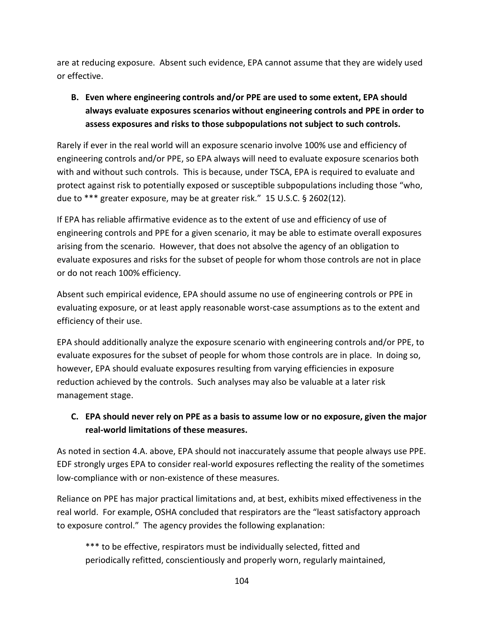are at reducing exposure. Absent such evidence, EPA cannot assume that they are widely used or effective.

# **B. Even where engineering controls and/or PPE are used to some extent, EPA should always evaluate exposures scenarios without engineering controls and PPE in order to assess exposures and risks to those subpopulations not subject to such controls.**

Rarely if ever in the real world will an exposure scenario involve 100% use and efficiency of engineering controls and/or PPE, so EPA always will need to evaluate exposure scenarios both with and without such controls. This is because, under TSCA, EPA is required to evaluate and protect against risk to potentially exposed or susceptible subpopulations including those "who, due to \*\*\* greater exposure, may be at greater risk." 15 U.S.C. § 2602(12).

If EPA has reliable affirmative evidence as to the extent of use and efficiency of use of engineering controls and PPE for a given scenario, it may be able to estimate overall exposures arising from the scenario. However, that does not absolve the agency of an obligation to evaluate exposures and risks for the subset of people for whom those controls are not in place or do not reach 100% efficiency.

Absent such empirical evidence, EPA should assume no use of engineering controls or PPE in evaluating exposure, or at least apply reasonable worst-case assumptions as to the extent and efficiency of their use.

EPA should additionally analyze the exposure scenario with engineering controls and/or PPE, to evaluate exposures for the subset of people for whom those controls are in place. In doing so, however, EPA should evaluate exposures resulting from varying efficiencies in exposure reduction achieved by the controls. Such analyses may also be valuable at a later risk management stage.

# **C. EPA should never rely on PPE as a basis to assume low or no exposure, given the major real-world limitations of these measures.**

As noted in section 4.A. above, EPA should not inaccurately assume that people always use PPE. EDF strongly urges EPA to consider real-world exposures reflecting the reality of the sometimes low-compliance with or non-existence of these measures.

Reliance on PPE has major practical limitations and, at best, exhibits mixed effectiveness in the real world. For example, OSHA concluded that respirators are the "least satisfactory approach to exposure control." The agency provides the following explanation:

\*\*\* to be effective, respirators must be individually selected, fitted and periodically refitted, conscientiously and properly worn, regularly maintained,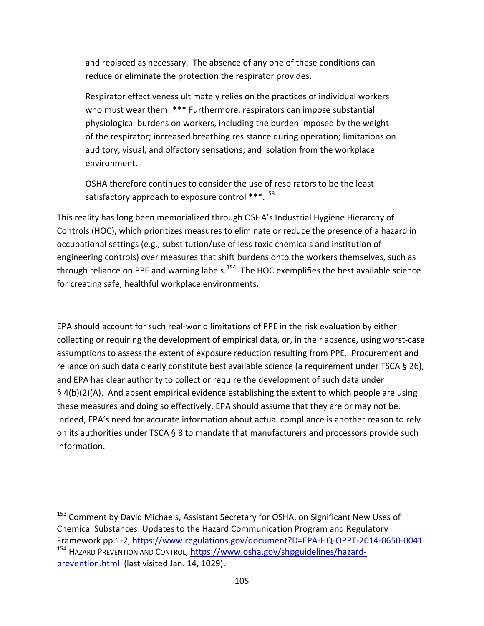and replaced as necessary. The absence of any one of these conditions can reduce or eliminate the protection the respirator provides.

Respirator effectiveness ultimately relies on the practices of individual workers who must wear them. \*\*\* Furthermore, respirators can impose substantial physiological burdens on workers, including the burden imposed by the weight of the respirator; increased breathing resistance during operation; limitations on auditory, visual, and olfactory sensations; and isolation from the workplace environment.

OSHA therefore continues to consider the use of respirators to be the least satisfactory approach to exposure control \*\*\*.<sup>[153](#page-104-0)</sup>

This reality has long been memorialized through OSHA's Industrial Hygiene Hierarchy of Controls (HOC), which prioritizes measures to eliminate or reduce the presence of a hazard in occupational settings (e.g., substitution/use of less toxic chemicals and institution of engineering controls) over measures that shift burdens onto the workers themselves, such as through reliance on PPE and warning labels.<sup>154</sup> The HOC exemplifies the best available science for creating safe, healthful workplace environments.

EPA should account for such real-world limitations of PPE in the risk evaluation by either collecting or requiring the development of empirical data, or, in their absence, using worst-case assumptions to assess the extent of exposure reduction resulting from PPE. Procurement and reliance on such data clearly constitute best available science (a requirement under TSCA § 26), and EPA has clear authority to collect or require the development of such data under § 4(b)(2)(A). And absent empirical evidence establishing the extent to which people are using these measures and doing so effectively, EPA should assume that they are or may not be. Indeed, EPA's need for accurate information about actual compliance is another reason to rely on its authorities under TSCA § 8 to mandate that manufacturers and processors provide such information.

<span id="page-104-1"></span><span id="page-104-0"></span><sup>&</sup>lt;sup>153</sup> Comment by David Michaels, Assistant Secretary for OSHA, on Significant New Uses of Chemical Substances: Updates to the Hazard Communication Program and Regulatory Framework pp.1-2,<https://www.regulations.gov/document?D=EPA-HQ-OPPT-2014-0650-0041> <sup>154</sup> HAZARD PREVENTION AND CONTROL, [https://www.osha.gov/shpguidelines/hazard](https://www.osha.gov/shpguidelines/hazard-prevention.html)[prevention.html](https://www.osha.gov/shpguidelines/hazard-prevention.html) (last visited Jan. 14, 1029).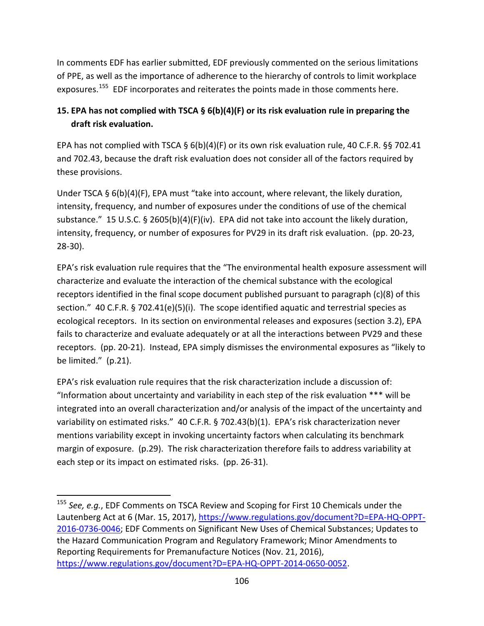In comments EDF has earlier submitted, EDF previously commented on the serious limitations of PPE, as well as the importance of adherence to the hierarchy of controls to limit workplace exposures.<sup>[155](#page-105-0)</sup> EDF incorporates and reiterates the points made in those comments here.

# **15. EPA has not complied with TSCA § 6(b)(4)(F) or its risk evaluation rule in preparing the draft risk evaluation.**

EPA has not complied with TSCA § 6(b)(4)(F) or its own risk evaluation rule, 40 C.F.R. §§ 702.41 and 702.43, because the draft risk evaluation does not consider all of the factors required by these provisions.

Under TSCA § 6(b)(4)(F), EPA must "take into account, where relevant, the likely duration, intensity, frequency, and number of exposures under the conditions of use of the chemical substance." 15 U.S.C. § 2605(b)(4)(F)(iv). EPA did not take into account the likely duration, intensity, frequency, or number of exposures for PV29 in its draft risk evaluation. (pp. 20-23, 28-30).

EPA's risk evaluation rule requires that the "The environmental health exposure assessment will characterize and evaluate the interaction of the chemical substance with the ecological receptors identified in the final scope document published pursuant to paragraph (c)(8) of this section." 40 C.F.R. § 702.41(e)(5)(i). The scope identified aquatic and terrestrial species as ecological receptors. In its section on environmental releases and exposures (section 3.2), EPA fails to characterize and evaluate adequately or at all the interactions between PV29 and these receptors. (pp. 20-21). Instead, EPA simply dismisses the environmental exposures as "likely to be limited." (p.21).

EPA's risk evaluation rule requires that the risk characterization include a discussion of: "Information about uncertainty and variability in each step of the risk evaluation \*\*\* will be integrated into an overall characterization and/or analysis of the impact of the uncertainty and variability on estimated risks." 40 C.F.R. § 702.43(b)(1). EPA's risk characterization never mentions variability except in invoking uncertainty factors when calculating its benchmark margin of exposure. (p.29). The risk characterization therefore fails to address variability at each step or its impact on estimated risks. (pp. 26-31).

<span id="page-105-0"></span> <sup>155</sup> *See, e.g.*, EDF Comments on TSCA Review and Scoping for First 10 Chemicals under the Lautenberg Act at 6 (Mar. 15, 2017), [https://www.regulations.gov/document?D=EPA-HQ-OPPT-](https://www.regulations.gov/document?D=EPA-HQ-OPPT-2016-0736-0046)[2016-0736-0046;](https://www.regulations.gov/document?D=EPA-HQ-OPPT-2016-0736-0046) EDF Comments on Significant New Uses of Chemical Substances; Updates to the Hazard Communication Program and Regulatory Framework; Minor Amendments to Reporting Requirements for Premanufacture Notices (Nov. 21, 2016), [https://www.regulations.gov/document?D=EPA-HQ-OPPT-2014-0650-0052.](https://www.regulations.gov/document?D=EPA-HQ-OPPT-2014-0650-0052)